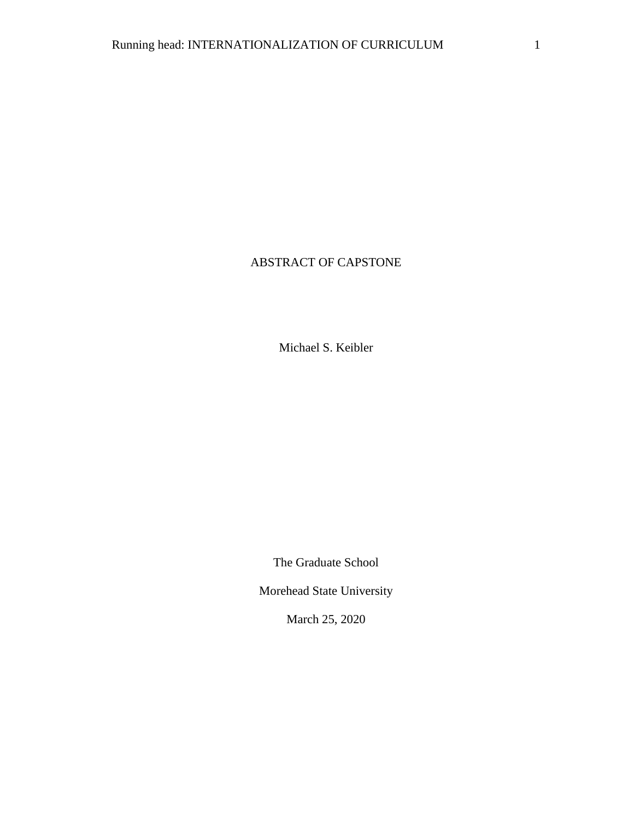# ABSTRACT OF CAPSTONE

Michael S. Keibler

The Graduate School

Morehead State University

March 25, 2020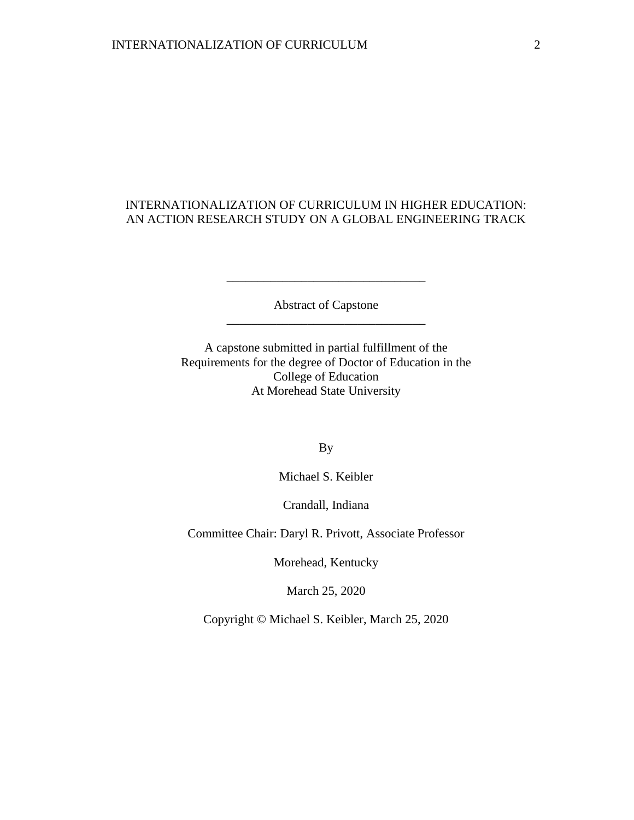## INTERNATIONALIZATION OF CURRICULUM IN HIGHER EDUCATION: AN ACTION RESEARCH STUDY ON A GLOBAL ENGINEERING TRACK

Abstract of Capstone \_\_\_\_\_\_\_\_\_\_\_\_\_\_\_\_\_\_\_\_\_\_\_\_\_\_\_\_\_\_\_\_

\_\_\_\_\_\_\_\_\_\_\_\_\_\_\_\_\_\_\_\_\_\_\_\_\_\_\_\_\_\_\_\_

A capstone submitted in partial fulfillment of the Requirements for the degree of Doctor of Education in the College of Education At Morehead State University

By

Michael S. Keibler

Crandall, Indiana

Committee Chair: Daryl R. Privott, Associate Professor

Morehead, Kentucky

March 25, 2020

Copyright © Michael S. Keibler, March 25, 2020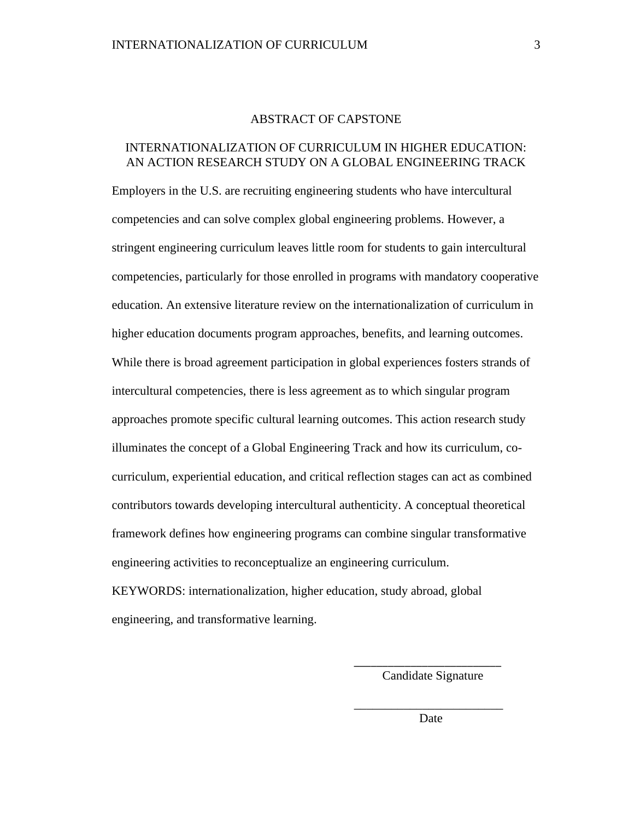### ABSTRACT OF CAPSTONE

## INTERNATIONALIZATION OF CURRICULUM IN HIGHER EDUCATION: AN ACTION RESEARCH STUDY ON A GLOBAL ENGINEERING TRACK

Employers in the U.S. are recruiting engineering students who have intercultural competencies and can solve complex global engineering problems. However, a stringent engineering curriculum leaves little room for students to gain intercultural competencies, particularly for those enrolled in programs with mandatory cooperative education. An extensive literature review on the internationalization of curriculum in higher education documents program approaches, benefits, and learning outcomes. While there is broad agreement participation in global experiences fosters strands of intercultural competencies, there is less agreement as to which singular program approaches promote specific cultural learning outcomes. This action research study illuminates the concept of a Global Engineering Track and how its curriculum, cocurriculum, experiential education, and critical reflection stages can act as combined contributors towards developing intercultural authenticity. A conceptual theoretical framework defines how engineering programs can combine singular transformative engineering activities to reconceptualize an engineering curriculum. KEYWORDS: internationalization, higher education, study abroad, global engineering, and transformative learning.

 $\overline{\phantom{a}}$  , and the contract of the contract of the contract of the contract of the contract of the contract of the contract of the contract of the contract of the contract of the contract of the contract of the contrac

Candidate Signature

\_\_\_\_\_\_\_\_\_\_\_\_\_\_\_\_\_\_\_\_\_\_\_\_ **Date Date**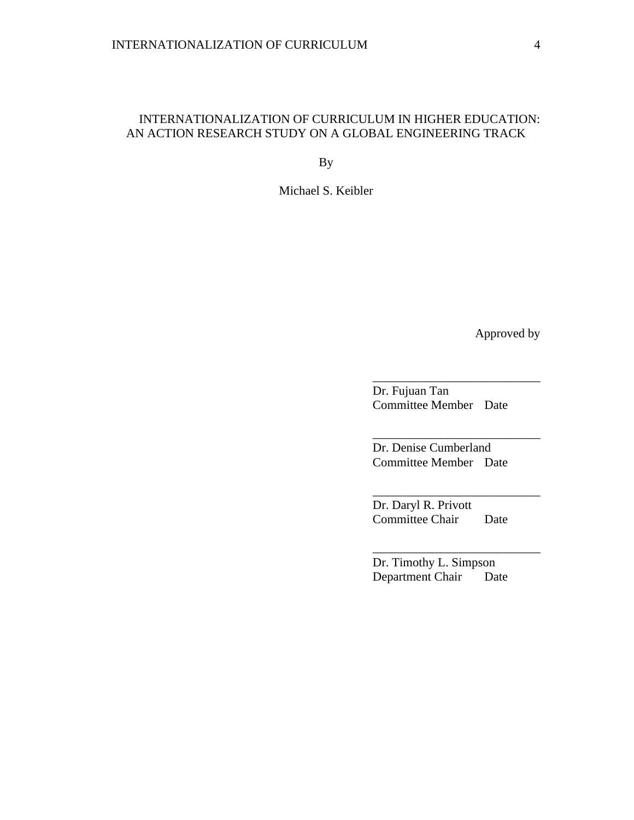## INTERNATIONALIZATION OF CURRICULUM IN HIGHER EDUCATION: AN ACTION RESEARCH STUDY ON A GLOBAL ENGINEERING TRACK

By

Michael S. Keibler

Approved by

Dr. Fujuan Tan Committee Member Date

\_\_\_\_\_\_\_\_\_\_\_\_\_\_\_\_\_\_\_\_\_\_\_\_\_\_\_

\_\_\_\_\_\_\_\_\_\_\_\_\_\_\_\_\_\_\_\_\_\_\_\_\_\_\_

\_\_\_\_\_\_\_\_\_\_\_\_\_\_\_\_\_\_\_\_\_\_\_\_\_\_\_

\_\_\_\_\_\_\_\_\_\_\_\_\_\_\_\_\_\_\_\_\_\_\_\_\_\_\_

Dr. Denise Cumberland Committee Member Date

Dr. Daryl R. Privott Committee Chair Date

Dr. Timothy L. Simpson Department Chair Date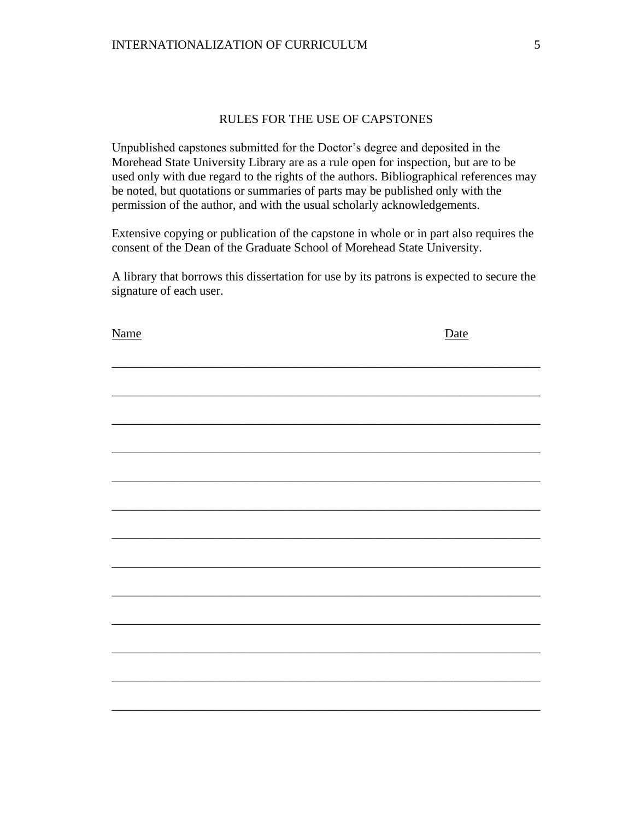## RULES FOR THE USE OF CAPSTONES

Unpublished capstones submitted for the Doctor's degree and deposited in the Morehead State University Library are as a rule open for inspection, but are to be used only with due regard to the rights of the authors. Bibliographical references may be noted, but quotations or summaries of parts may be published only with the permission of the author, and with the usual scholarly acknowledgements.

Extensive copying or publication of the capstone in whole or in part also requires the consent of the Dean of the Graduate School of Morehead State University.

A library that borrows this dissertation for use by its patrons is expected to secure the signature of each user.

| <b>Name</b> | Date |
|-------------|------|
|             |      |
|             |      |
|             |      |
|             |      |
|             |      |
|             |      |
|             |      |
|             |      |
|             |      |
|             |      |
|             |      |
|             |      |
|             |      |
|             |      |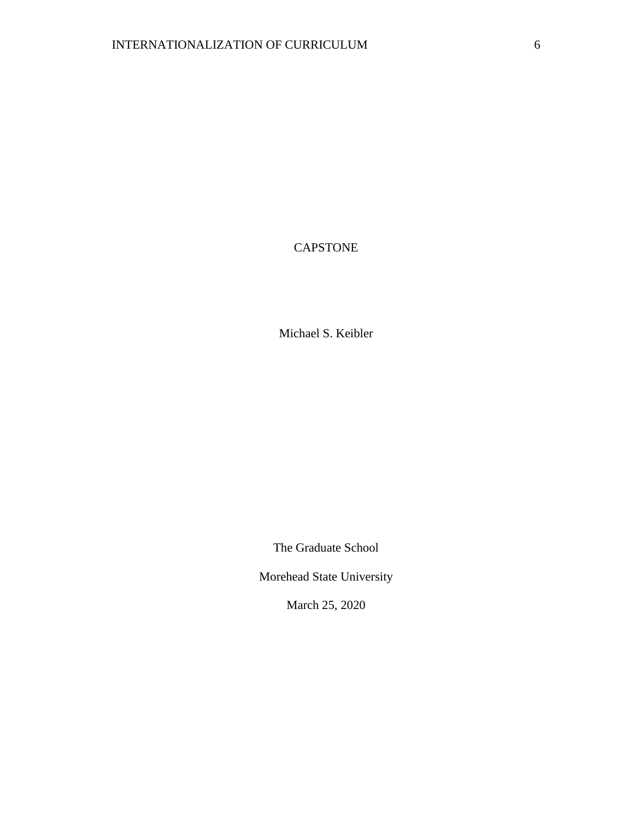# CAPSTONE

Michael S. Keibler

The Graduate School

Morehead State University

March 25, 2020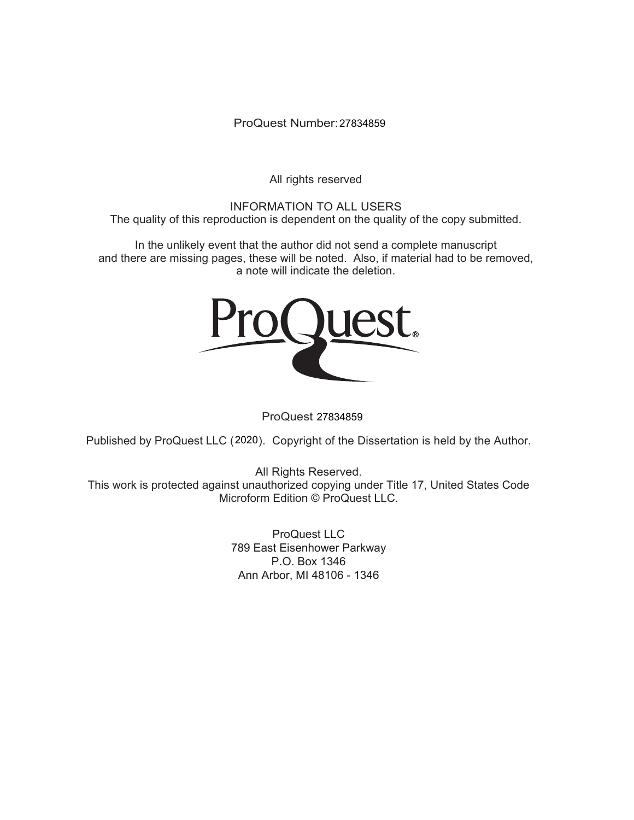ProQuest Number: 27834859

All rights reserved

INFORMATION TO ALL USERS The quality of this reproduction is dependent on the quality of the copy submitted.

In the unlikely event that the author did not send a complete manuscript and there are missing pages, these will be noted. Also, if material had to be removed, a note will indicate the deletion.



ProQuest 27834859

Published by ProQuest LLC (2020). Copyright of the Dissertation is held by the Author.

All Rights Reserved. This work is protected against unauthorized copying under Title 17, United States Code Microform Edition © ProQuest LLC.

> ProQuest LLC 789 East Eisenhower Parkway P.O. Box 1346 Ann Arbor, MI 48106 - 1346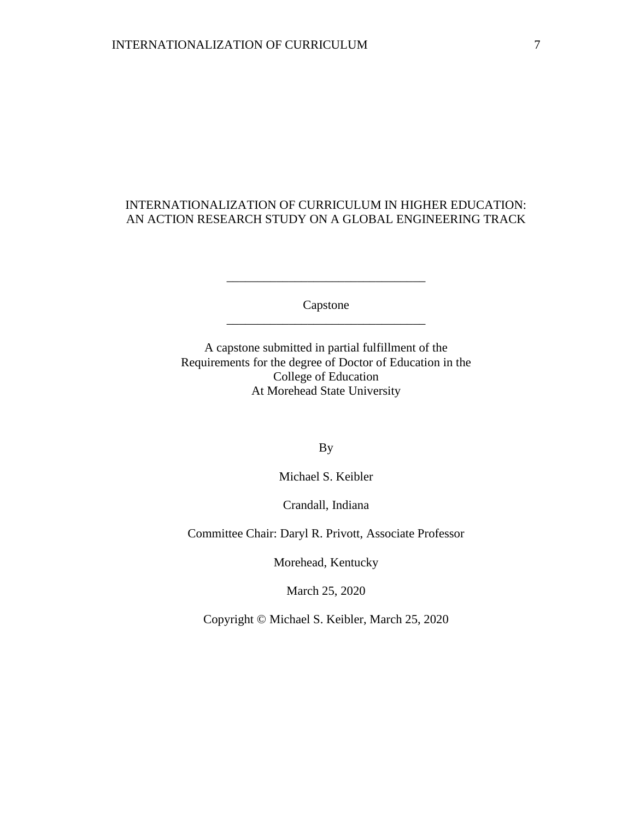## INTERNATIONALIZATION OF CURRICULUM IN HIGHER EDUCATION: AN ACTION RESEARCH STUDY ON A GLOBAL ENGINEERING TRACK

Capstone \_\_\_\_\_\_\_\_\_\_\_\_\_\_\_\_\_\_\_\_\_\_\_\_\_\_\_\_\_\_\_\_

\_\_\_\_\_\_\_\_\_\_\_\_\_\_\_\_\_\_\_\_\_\_\_\_\_\_\_\_\_\_\_\_

A capstone submitted in partial fulfillment of the Requirements for the degree of Doctor of Education in the College of Education At Morehead State University

By

Michael S. Keibler

Crandall, Indiana

Committee Chair: Daryl R. Privott, Associate Professor

Morehead, Kentucky

March 25, 2020

Copyright © Michael S. Keibler, March 25, 2020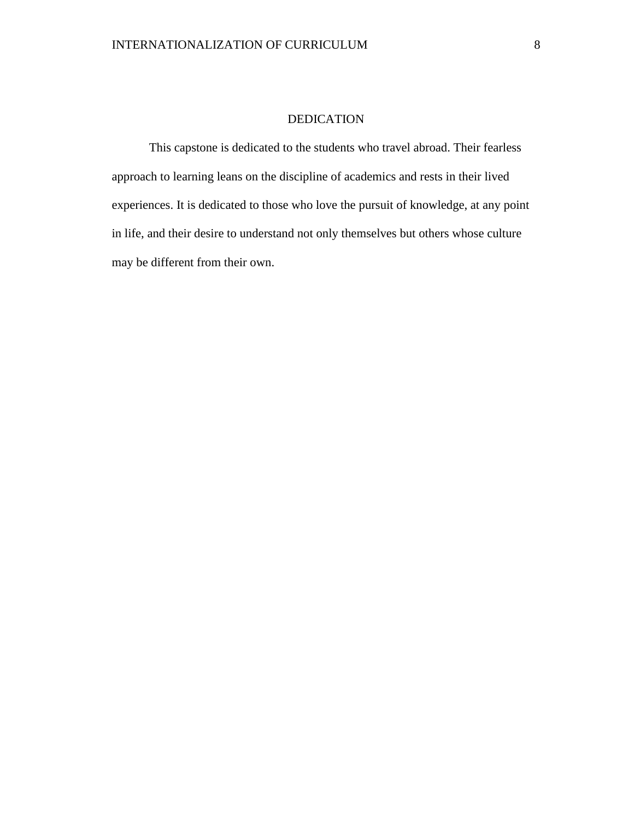### DEDICATION

This capstone is dedicated to the students who travel abroad. Their fearless approach to learning leans on the discipline of academics and rests in their lived experiences. It is dedicated to those who love the pursuit of knowledge, at any point in life, and their desire to understand not only themselves but others whose culture may be different from their own.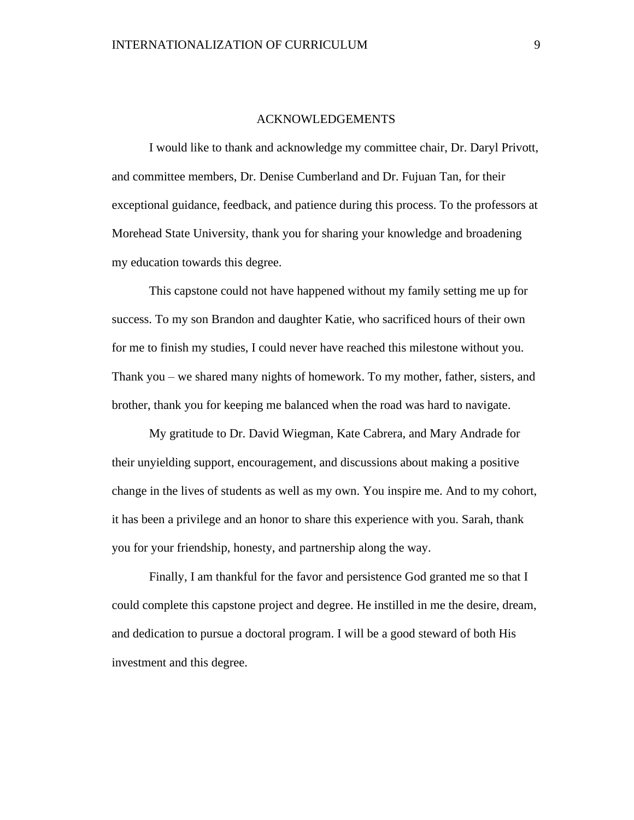#### ACKNOWLEDGEMENTS

I would like to thank and acknowledge my committee chair, Dr. Daryl Privott, and committee members, Dr. Denise Cumberland and Dr. Fujuan Tan, for their exceptional guidance, feedback, and patience during this process. To the professors at Morehead State University, thank you for sharing your knowledge and broadening my education towards this degree.

This capstone could not have happened without my family setting me up for success. To my son Brandon and daughter Katie, who sacrificed hours of their own for me to finish my studies, I could never have reached this milestone without you. Thank you – we shared many nights of homework. To my mother, father, sisters, and brother, thank you for keeping me balanced when the road was hard to navigate.

My gratitude to Dr. David Wiegman, Kate Cabrera, and Mary Andrade for their unyielding support, encouragement, and discussions about making a positive change in the lives of students as well as my own. You inspire me. And to my cohort, it has been a privilege and an honor to share this experience with you. Sarah, thank you for your friendship, honesty, and partnership along the way.

Finally, I am thankful for the favor and persistence God granted me so that I could complete this capstone project and degree. He instilled in me the desire, dream, and dedication to pursue a doctoral program. I will be a good steward of both His investment and this degree.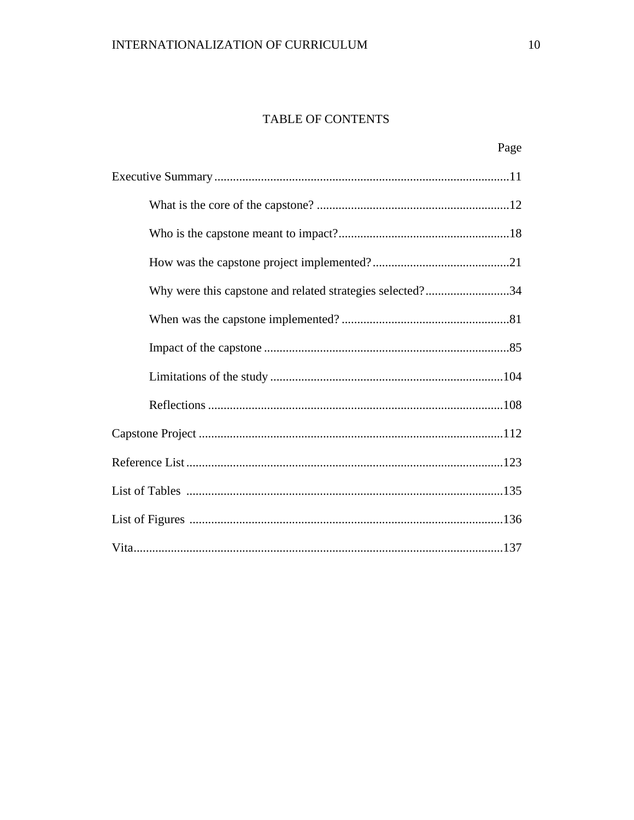# TABLE OF CONTENTS

| Why were this capstone and related strategies selected?34 |
|-----------------------------------------------------------|
|                                                           |
|                                                           |
|                                                           |
|                                                           |
|                                                           |
|                                                           |
|                                                           |
|                                                           |
|                                                           |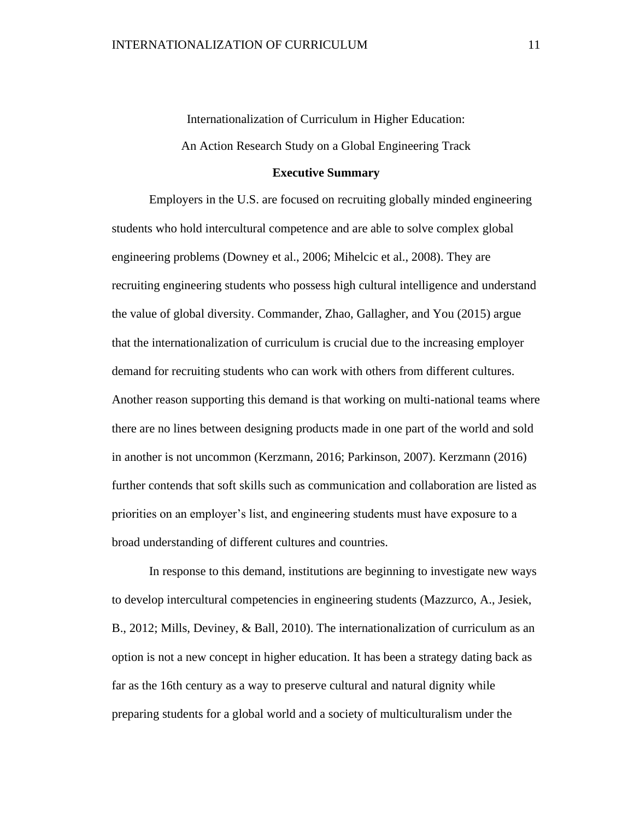Internationalization of Curriculum in Higher Education: An Action Research Study on a Global Engineering Track

### **Executive Summary**

Employers in the U.S. are focused on recruiting globally minded engineering students who hold intercultural competence and are able to solve complex global engineering problems (Downey et al., 2006; Mihelcic et al., 2008). They are recruiting engineering students who possess high cultural intelligence and understand the value of global diversity. Commander, Zhao, Gallagher, and You (2015) argue that the internationalization of curriculum is crucial due to the increasing employer demand for recruiting students who can work with others from different cultures. Another reason supporting this demand is that working on multi-national teams where there are no lines between designing products made in one part of the world and sold in another is not uncommon (Kerzmann, 2016; Parkinson, 2007). Kerzmann (2016) further contends that soft skills such as communication and collaboration are listed as priorities on an employer's list, and engineering students must have exposure to a broad understanding of different cultures and countries.

In response to this demand, institutions are beginning to investigate new ways to develop intercultural competencies in engineering students (Mazzurco, A., Jesiek, B., 2012; Mills, Deviney, & Ball, 2010). The internationalization of curriculum as an option is not a new concept in higher education. It has been a strategy dating back as far as the 16th century as a way to preserve cultural and natural dignity while preparing students for a global world and a society of multiculturalism under the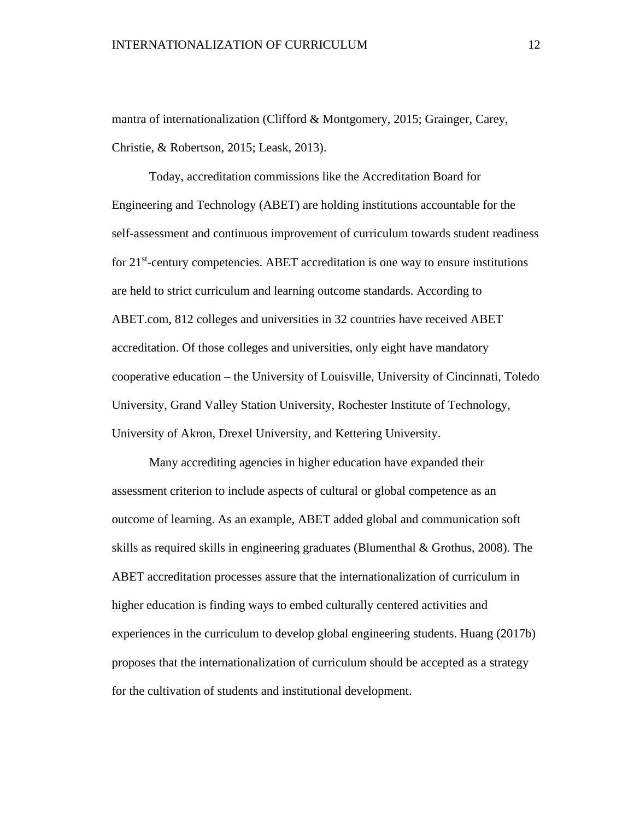mantra of internationalization (Clifford & Montgomery, 2015; Grainger, Carey, Christie, & Robertson, 2015; Leask, 2013).

Today, accreditation commissions like the Accreditation Board for Engineering and Technology (ABET) are holding institutions accountable for the self-assessment and continuous improvement of curriculum towards student readiness for 21<sup>st</sup>-century competencies. ABET accreditation is one way to ensure institutions are held to strict curriculum and learning outcome standards. According to ABET.com, 812 colleges and universities in 32 countries have received ABET accreditation. Of those colleges and universities, only eight have mandatory cooperative education – the University of Louisville, University of Cincinnati, Toledo University, Grand Valley Station University, Rochester Institute of Technology, University of Akron, Drexel University, and Kettering University.

Many accrediting agencies in higher education have expanded their assessment criterion to include aspects of cultural or global competence as an outcome of learning. As an example, ABET added global and communication soft skills as required skills in engineering graduates (Blumenthal & Grothus, 2008). The ABET accreditation processes assure that the internationalization of curriculum in higher education is finding ways to embed culturally centered activities and experiences in the curriculum to develop global engineering students. Huang (2017b) proposes that the internationalization of curriculum should be accepted as a strategy for the cultivation of students and institutional development.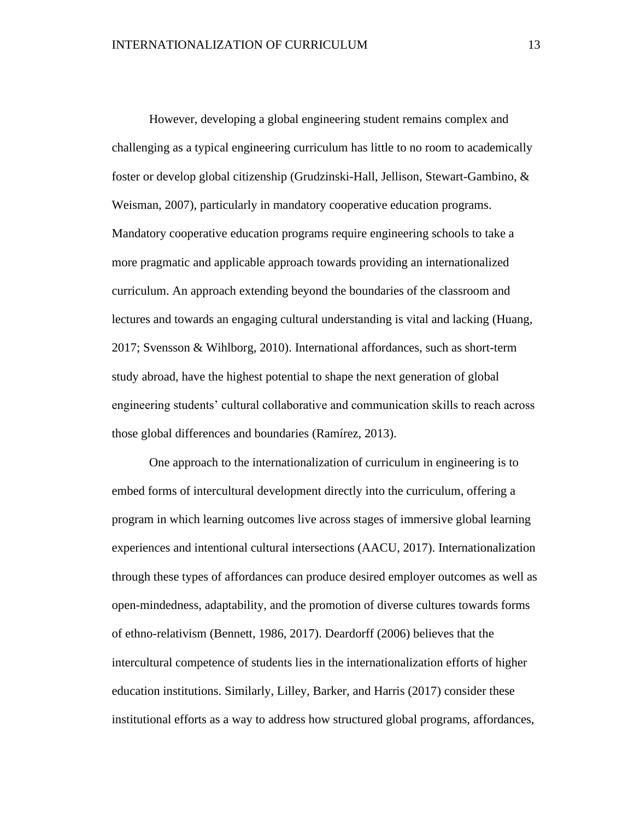However, developing a global engineering student remains complex and challenging as a typical engineering curriculum has little to no room to academically foster or develop global citizenship (Grudzinski-Hall, Jellison, Stewart-Gambino, & Weisman, 2007), particularly in mandatory cooperative education programs. Mandatory cooperative education programs require engineering schools to take a more pragmatic and applicable approach towards providing an internationalized curriculum. An approach extending beyond the boundaries of the classroom and lectures and towards an engaging cultural understanding is vital and lacking (Huang, 2017; Svensson & Wihlborg, 2010). International affordances, such as short-term study abroad, have the highest potential to shape the next generation of global engineering students' cultural collaborative and communication skills to reach across those global differences and boundaries (Ramírez, 2013).

One approach to the internationalization of curriculum in engineering is to embed forms of intercultural development directly into the curriculum, offering a program in which learning outcomes live across stages of immersive global learning experiences and intentional cultural intersections (AACU, 2017). Internationalization through these types of affordances can produce desired employer outcomes as well as open-mindedness, adaptability, and the promotion of diverse cultures towards forms of ethno-relativism (Bennett, 1986, 2017). Deardorff (2006) believes that the intercultural competence of students lies in the internationalization efforts of higher education institutions. Similarly, Lilley, Barker, and Harris (2017) consider these institutional efforts as a way to address how structured global programs, affordances,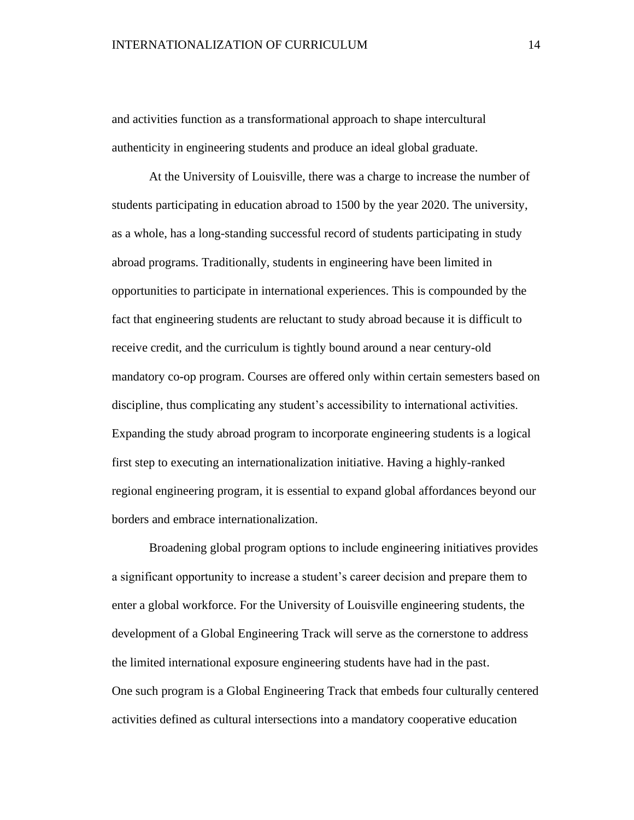and activities function as a transformational approach to shape intercultural authenticity in engineering students and produce an ideal global graduate.

At the University of Louisville, there was a charge to increase the number of students participating in education abroad to 1500 by the year 2020. The university, as a whole, has a long-standing successful record of students participating in study abroad programs. Traditionally, students in engineering have been limited in opportunities to participate in international experiences. This is compounded by the fact that engineering students are reluctant to study abroad because it is difficult to receive credit, and the curriculum is tightly bound around a near century-old mandatory co-op program. Courses are offered only within certain semesters based on discipline, thus complicating any student's accessibility to international activities. Expanding the study abroad program to incorporate engineering students is a logical first step to executing an internationalization initiative. Having a highly-ranked regional engineering program, it is essential to expand global affordances beyond our borders and embrace internationalization.

Broadening global program options to include engineering initiatives provides a significant opportunity to increase a student's career decision and prepare them to enter a global workforce. For the University of Louisville engineering students, the development of a Global Engineering Track will serve as the cornerstone to address the limited international exposure engineering students have had in the past. One such program is a Global Engineering Track that embeds four culturally centered activities defined as cultural intersections into a mandatory cooperative education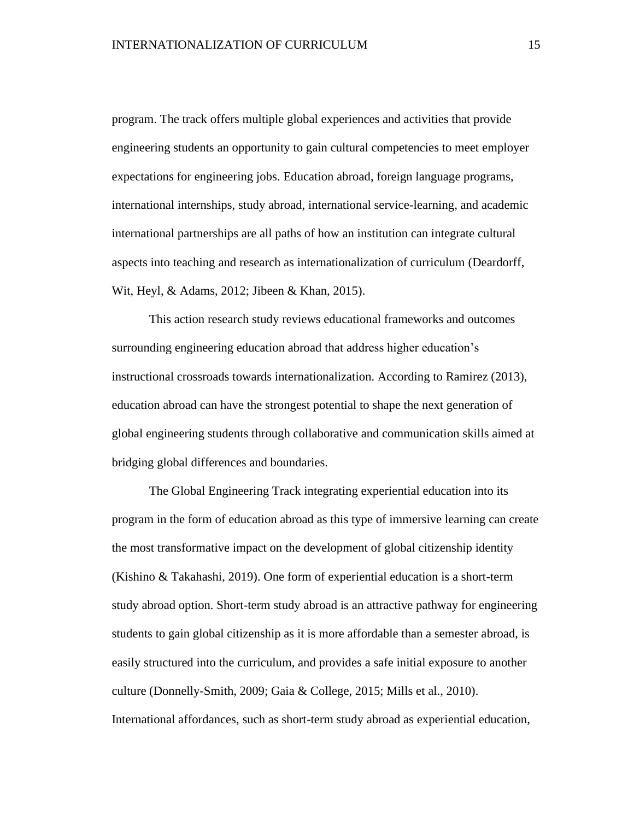program. The track offers multiple global experiences and activities that provide engineering students an opportunity to gain cultural competencies to meet employer expectations for engineering jobs. Education abroad, foreign language programs, international internships, study abroad, international service-learning, and academic international partnerships are all paths of how an institution can integrate cultural aspects into teaching and research as internationalization of curriculum (Deardorff, Wit, Heyl, & Adams, 2012; Jibeen & Khan, 2015).

This action research study reviews educational frameworks and outcomes surrounding engineering education abroad that address higher education's instructional crossroads towards internationalization. According to Ramirez (2013), education abroad can have the strongest potential to shape the next generation of global engineering students through collaborative and communication skills aimed at bridging global differences and boundaries.

The Global Engineering Track integrating experiential education into its program in the form of education abroad as this type of immersive learning can create the most transformative impact on the development of global citizenship identity (Kishino & Takahashi, 2019). One form of experiential education is a short-term study abroad option. Short-term study abroad is an attractive pathway for engineering students to gain global citizenship as it is more affordable than a semester abroad, is easily structured into the curriculum, and provides a safe initial exposure to another culture (Donnelly-Smith, 2009; Gaia & College, 2015; Mills et al., 2010). International affordances, such as short-term study abroad as experiential education,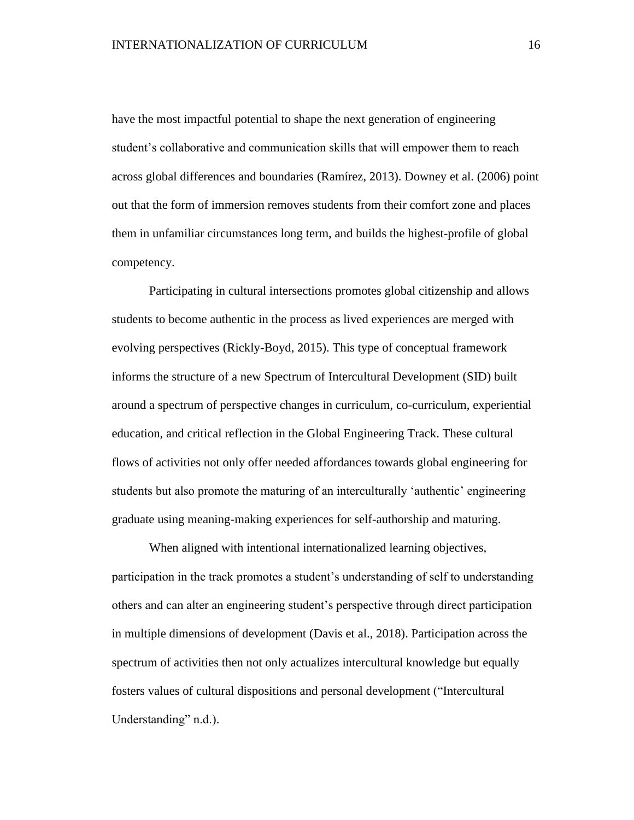have the most impactful potential to shape the next generation of engineering student's collaborative and communication skills that will empower them to reach across global differences and boundaries (Ramírez, 2013). Downey et al. (2006) point out that the form of immersion removes students from their comfort zone and places them in unfamiliar circumstances long term, and builds the highest-profile of global competency.

Participating in cultural intersections promotes global citizenship and allows students to become authentic in the process as lived experiences are merged with evolving perspectives (Rickly-Boyd, 2015). This type of conceptual framework informs the structure of a new Spectrum of Intercultural Development (SID) built around a spectrum of perspective changes in curriculum, co-curriculum, experiential education, and critical reflection in the Global Engineering Track. These cultural flows of activities not only offer needed affordances towards global engineering for students but also promote the maturing of an interculturally 'authentic' engineering graduate using meaning-making experiences for self-authorship and maturing.

When aligned with intentional internationalized learning objectives, participation in the track promotes a student's understanding of self to understanding others and can alter an engineering student's perspective through direct participation in multiple dimensions of development (Davis et al., 2018). Participation across the spectrum of activities then not only actualizes intercultural knowledge but equally fosters values of cultural dispositions and personal development ("Intercultural Understanding" n.d.).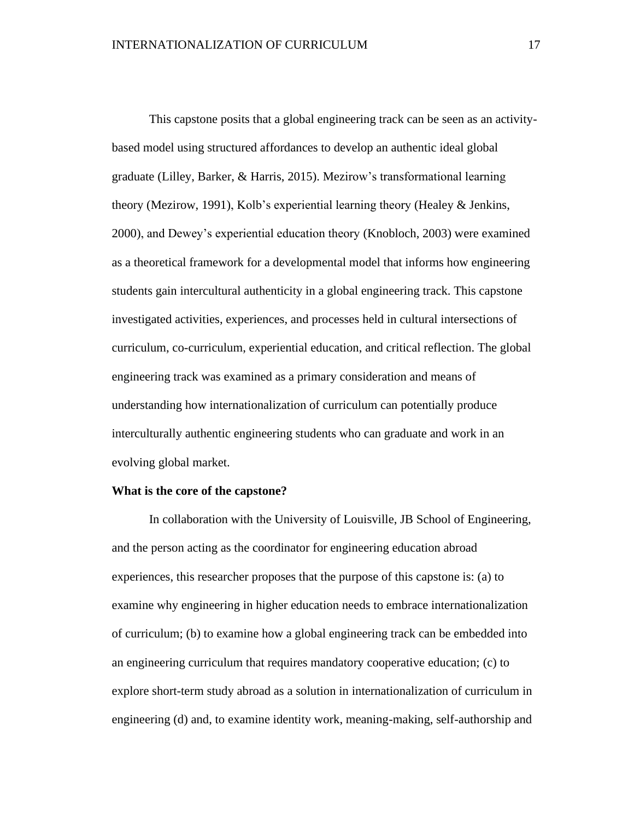This capstone posits that a global engineering track can be seen as an activitybased model using structured affordances to develop an authentic ideal global graduate (Lilley, Barker, & Harris, 2015). Mezirow's transformational learning theory (Mezirow, 1991), Kolb's experiential learning theory (Healey & Jenkins, 2000), and Dewey's experiential education theory (Knobloch, 2003) were examined as a theoretical framework for a developmental model that informs how engineering students gain intercultural authenticity in a global engineering track. This capstone investigated activities, experiences, and processes held in cultural intersections of curriculum, co-curriculum, experiential education, and critical reflection. The global engineering track was examined as a primary consideration and means of understanding how internationalization of curriculum can potentially produce interculturally authentic engineering students who can graduate and work in an evolving global market.

### **What is the core of the capstone?**

In collaboration with the University of Louisville, JB School of Engineering, and the person acting as the coordinator for engineering education abroad experiences, this researcher proposes that the purpose of this capstone is: (a) to examine why engineering in higher education needs to embrace internationalization of curriculum; (b) to examine how a global engineering track can be embedded into an engineering curriculum that requires mandatory cooperative education; (c) to explore short-term study abroad as a solution in internationalization of curriculum in engineering (d) and, to examine identity work, meaning-making, self-authorship and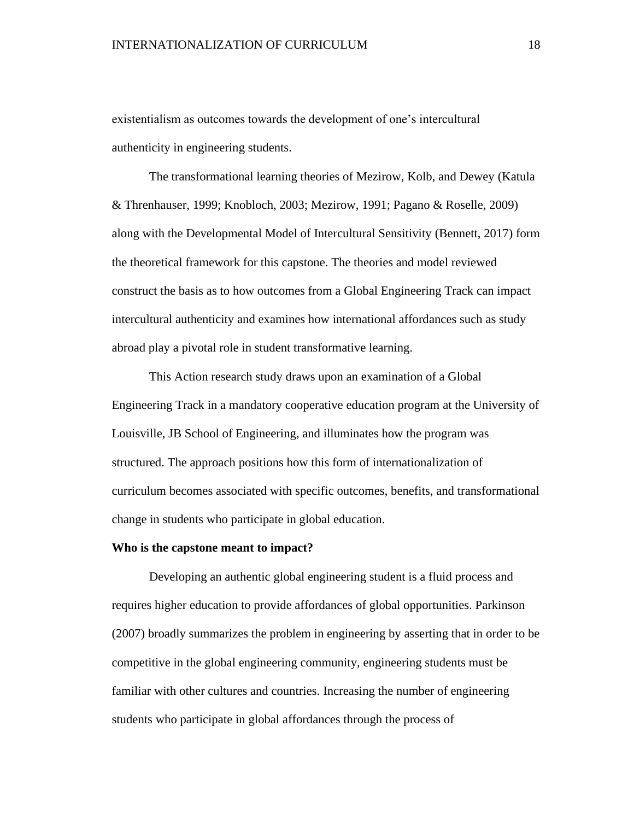existentialism as outcomes towards the development of one's intercultural authenticity in engineering students.

The transformational learning theories of Mezirow, Kolb, and Dewey (Katula & Threnhauser, 1999; Knobloch, 2003; Mezirow, 1991; Pagano & Roselle, 2009) along with the Developmental Model of Intercultural Sensitivity (Bennett, 2017) form the theoretical framework for this capstone. The theories and model reviewed construct the basis as to how outcomes from a Global Engineering Track can impact intercultural authenticity and examines how international affordances such as study abroad play a pivotal role in student transformative learning.

This Action research study draws upon an examination of a Global Engineering Track in a mandatory cooperative education program at the University of Louisville, JB School of Engineering, and illuminates how the program was structured. The approach positions how this form of internationalization of curriculum becomes associated with specific outcomes, benefits, and transformational change in students who participate in global education.

#### **Who is the capstone meant to impact?**

Developing an authentic global engineering student is a fluid process and requires higher education to provide affordances of global opportunities. Parkinson (2007) broadly summarizes the problem in engineering by asserting that in order to be competitive in the global engineering community, engineering students must be familiar with other cultures and countries. Increasing the number of engineering students who participate in global affordances through the process of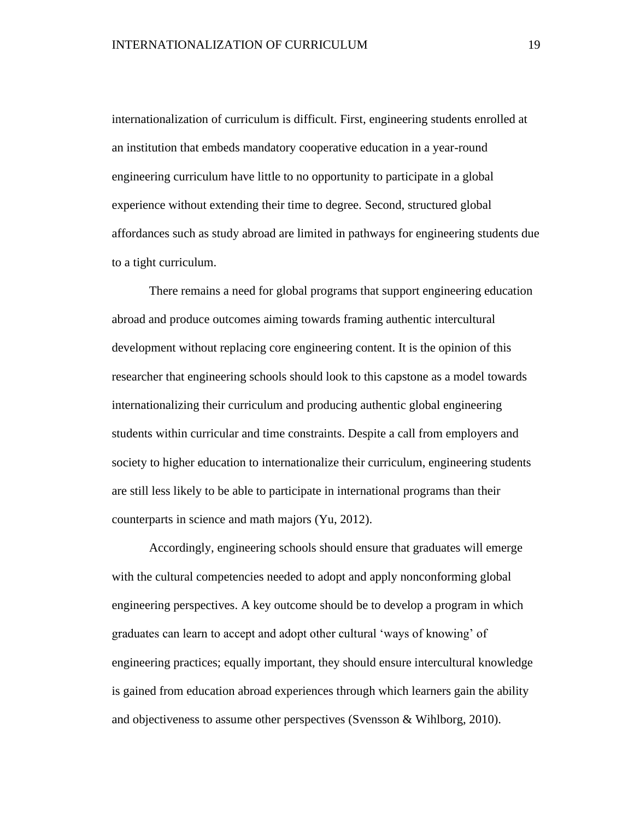internationalization of curriculum is difficult. First, engineering students enrolled at an institution that embeds mandatory cooperative education in a year-round engineering curriculum have little to no opportunity to participate in a global experience without extending their time to degree. Second, structured global affordances such as study abroad are limited in pathways for engineering students due to a tight curriculum.

There remains a need for global programs that support engineering education abroad and produce outcomes aiming towards framing authentic intercultural development without replacing core engineering content. It is the opinion of this researcher that engineering schools should look to this capstone as a model towards internationalizing their curriculum and producing authentic global engineering students within curricular and time constraints. Despite a call from employers and society to higher education to internationalize their curriculum, engineering students are still less likely to be able to participate in international programs than their counterparts in science and math majors (Yu, 2012).

Accordingly, engineering schools should ensure that graduates will emerge with the cultural competencies needed to adopt and apply nonconforming global engineering perspectives. A key outcome should be to develop a program in which graduates can learn to accept and adopt other cultural 'ways of knowing' of engineering practices; equally important, they should ensure intercultural knowledge is gained from education abroad experiences through which learners gain the ability and objectiveness to assume other perspectives (Svensson & Wihlborg, 2010).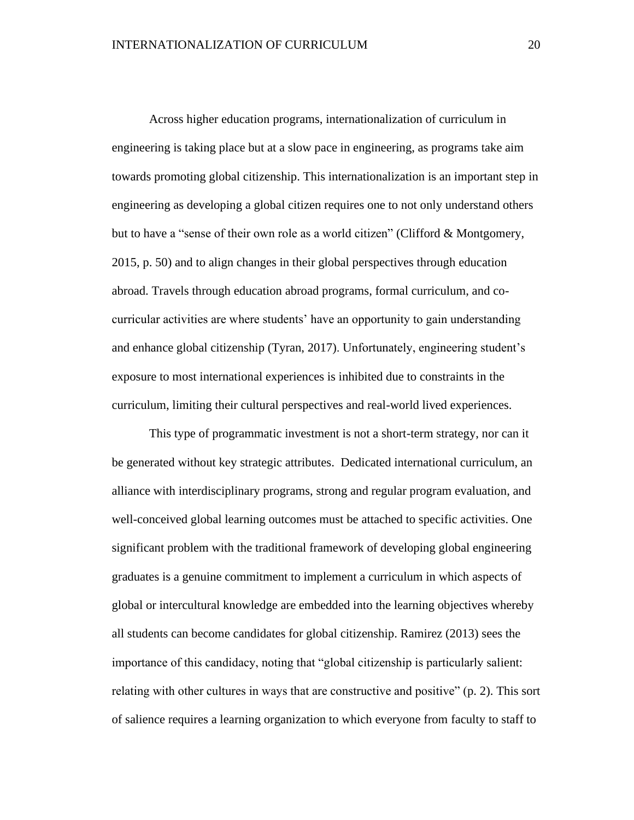Across higher education programs, internationalization of curriculum in engineering is taking place but at a slow pace in engineering, as programs take aim towards promoting global citizenship. This internationalization is an important step in engineering as developing a global citizen requires one to not only understand others but to have a "sense of their own role as a world citizen" (Clifford & Montgomery, 2015, p. 50) and to align changes in their global perspectives through education abroad. Travels through education abroad programs, formal curriculum, and cocurricular activities are where students' have an opportunity to gain understanding and enhance global citizenship (Tyran, 2017). Unfortunately, engineering student's exposure to most international experiences is inhibited due to constraints in the curriculum, limiting their cultural perspectives and real-world lived experiences.

This type of programmatic investment is not a short-term strategy, nor can it be generated without key strategic attributes. Dedicated international curriculum, an alliance with interdisciplinary programs, strong and regular program evaluation, and well-conceived global learning outcomes must be attached to specific activities. One significant problem with the traditional framework of developing global engineering graduates is a genuine commitment to implement a curriculum in which aspects of global or intercultural knowledge are embedded into the learning objectives whereby all students can become candidates for global citizenship. Ramirez (2013) sees the importance of this candidacy, noting that "global citizenship is particularly salient: relating with other cultures in ways that are constructive and positive" (p. 2). This sort of salience requires a learning organization to which everyone from faculty to staff to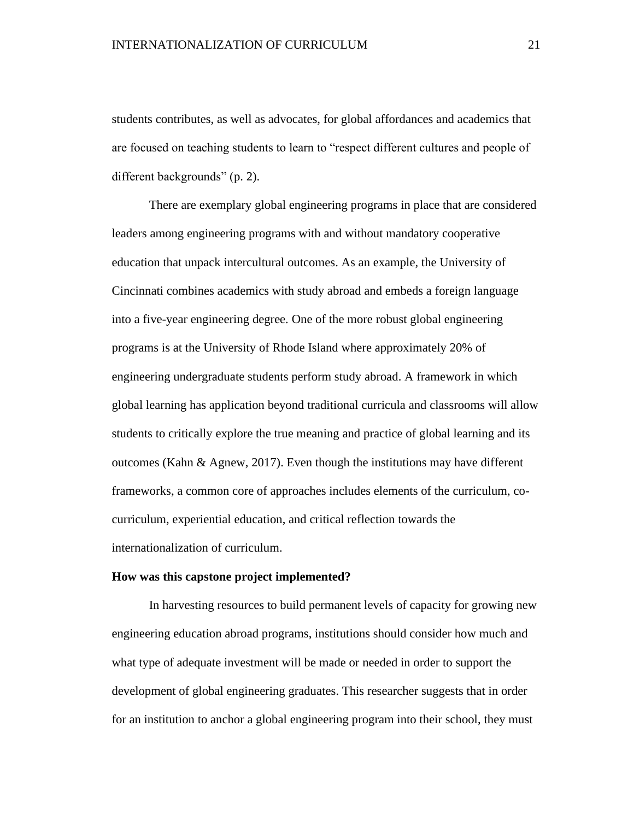students contributes, as well as advocates, for global affordances and academics that are focused on teaching students to learn to "respect different cultures and people of different backgrounds" (p. 2).

There are exemplary global engineering programs in place that are considered leaders among engineering programs with and without mandatory cooperative education that unpack intercultural outcomes. As an example, the University of Cincinnati combines academics with study abroad and embeds a foreign language into a five-year engineering degree. One of the more robust global engineering programs is at the University of Rhode Island where approximately 20% of engineering undergraduate students perform study abroad. A framework in which global learning has application beyond traditional curricula and classrooms will allow students to critically explore the true meaning and practice of global learning and its outcomes (Kahn & Agnew, 2017). Even though the institutions may have different frameworks, a common core of approaches includes elements of the curriculum, cocurriculum, experiential education, and critical reflection towards the internationalization of curriculum.

### **How was this capstone project implemented?**

In harvesting resources to build permanent levels of capacity for growing new engineering education abroad programs, institutions should consider how much and what type of adequate investment will be made or needed in order to support the development of global engineering graduates. This researcher suggests that in order for an institution to anchor a global engineering program into their school, they must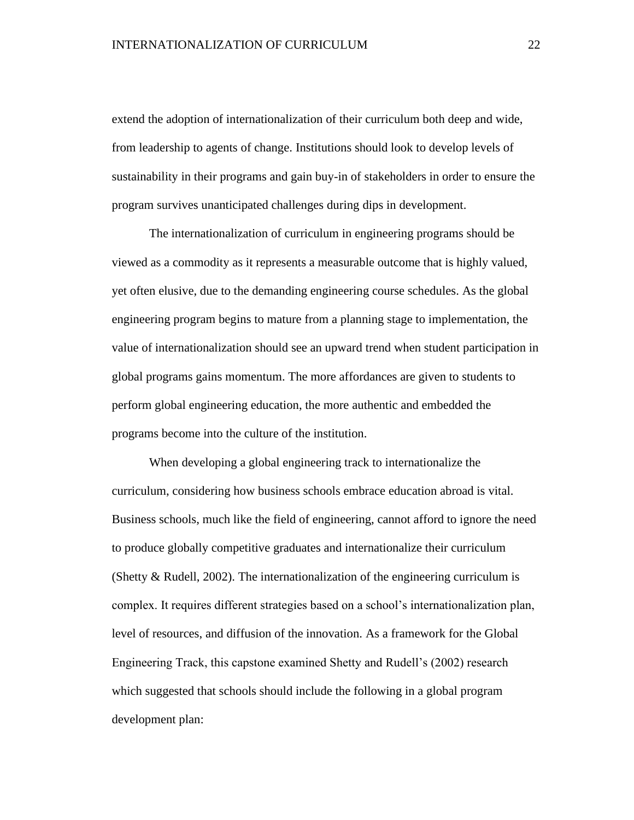extend the adoption of internationalization of their curriculum both deep and wide, from leadership to agents of change. Institutions should look to develop levels of sustainability in their programs and gain buy-in of stakeholders in order to ensure the program survives unanticipated challenges during dips in development.

The internationalization of curriculum in engineering programs should be viewed as a commodity as it represents a measurable outcome that is highly valued, yet often elusive, due to the demanding engineering course schedules. As the global engineering program begins to mature from a planning stage to implementation, the value of internationalization should see an upward trend when student participation in global programs gains momentum. The more affordances are given to students to perform global engineering education, the more authentic and embedded the programs become into the culture of the institution.

When developing a global engineering track to internationalize the curriculum, considering how business schools embrace education abroad is vital. Business schools, much like the field of engineering, cannot afford to ignore the need to produce globally competitive graduates and internationalize their curriculum (Shetty & Rudell, 2002). The internationalization of the engineering curriculum is complex. It requires different strategies based on a school's internationalization plan, level of resources, and diffusion of the innovation. As a framework for the Global Engineering Track, this capstone examined Shetty and Rudell's (2002) research which suggested that schools should include the following in a global program development plan: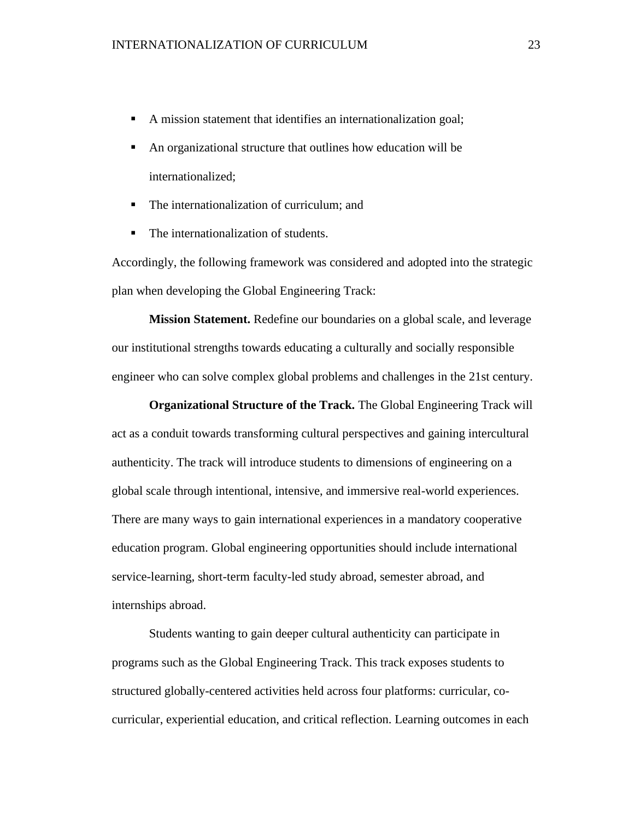- A mission statement that identifies an internationalization goal;
- An organizational structure that outlines how education will be internationalized;
- The internationalization of curriculum: and
- The internationalization of students.

Accordingly, the following framework was considered and adopted into the strategic plan when developing the Global Engineering Track:

**Mission Statement.** Redefine our boundaries on a global scale, and leverage our institutional strengths towards educating a culturally and socially responsible engineer who can solve complex global problems and challenges in the 21st century.

**Organizational Structure of the Track.** The Global Engineering Track will act as a conduit towards transforming cultural perspectives and gaining intercultural authenticity. The track will introduce students to dimensions of engineering on a global scale through intentional, intensive, and immersive real-world experiences. There are many ways to gain international experiences in a mandatory cooperative education program. Global engineering opportunities should include international service-learning, short-term faculty-led study abroad, semester abroad, and internships abroad.

Students wanting to gain deeper cultural authenticity can participate in programs such as the Global Engineering Track. This track exposes students to structured globally-centered activities held across four platforms: curricular, cocurricular, experiential education, and critical reflection. Learning outcomes in each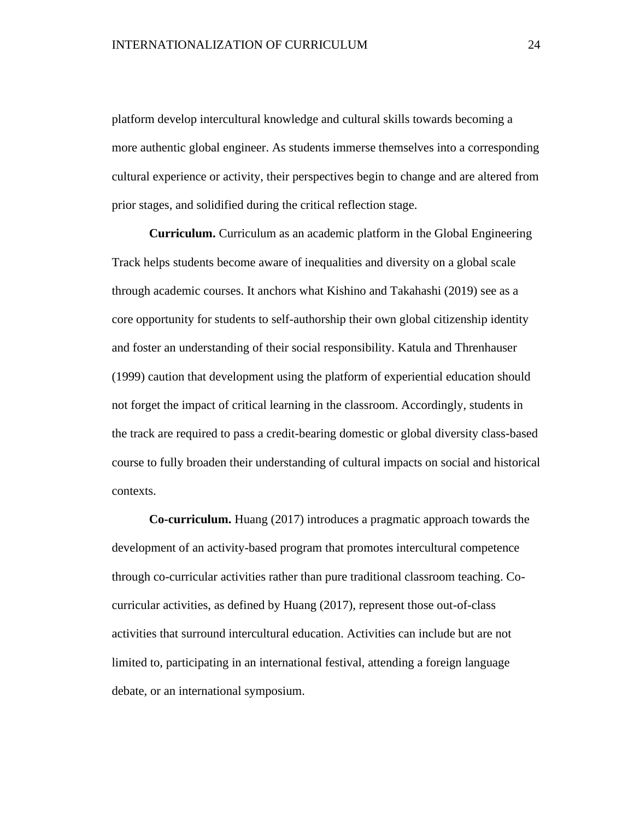platform develop intercultural knowledge and cultural skills towards becoming a more authentic global engineer. As students immerse themselves into a corresponding cultural experience or activity, their perspectives begin to change and are altered from prior stages, and solidified during the critical reflection stage.

**Curriculum.** Curriculum as an academic platform in the Global Engineering Track helps students become aware of inequalities and diversity on a global scale through academic courses. It anchors what Kishino and Takahashi (2019) see as a core opportunity for students to self-authorship their own global citizenship identity and foster an understanding of their social responsibility. Katula and Threnhauser (1999) caution that development using the platform of experiential education should not forget the impact of critical learning in the classroom. Accordingly, students in the track are required to pass a credit-bearing domestic or global diversity class-based course to fully broaden their understanding of cultural impacts on social and historical contexts.

**Co-curriculum.** Huang (2017) introduces a pragmatic approach towards the development of an activity-based program that promotes intercultural competence through co-curricular activities rather than pure traditional classroom teaching. Cocurricular activities, as defined by Huang (2017), represent those out-of-class activities that surround intercultural education. Activities can include but are not limited to, participating in an international festival, attending a foreign language debate, or an international symposium.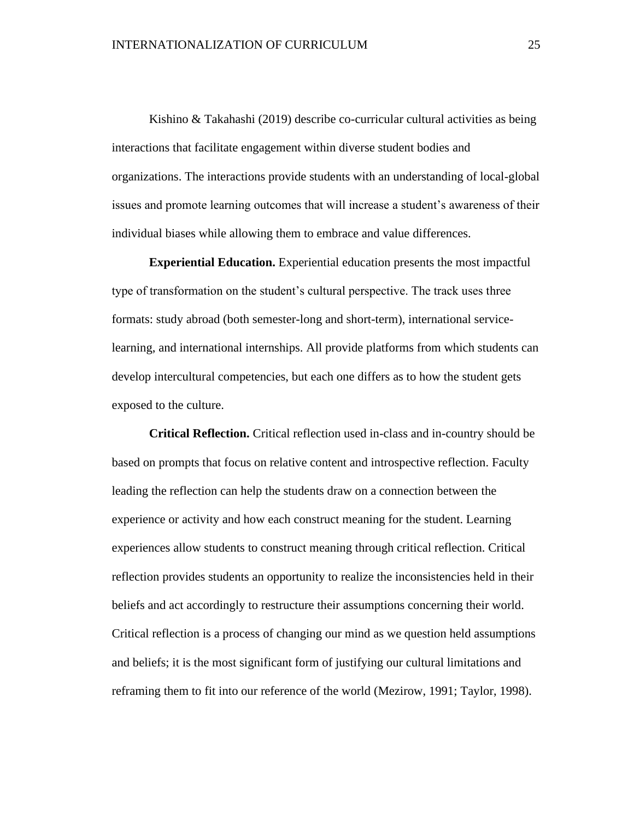Kishino & Takahashi (2019) describe co-curricular cultural activities as being interactions that facilitate engagement within diverse student bodies and organizations. The interactions provide students with an understanding of local-global issues and promote learning outcomes that will increase a student's awareness of their individual biases while allowing them to embrace and value differences.

**Experiential Education.** Experiential education presents the most impactful type of transformation on the student's cultural perspective. The track uses three formats: study abroad (both semester-long and short-term), international servicelearning, and international internships. All provide platforms from which students can develop intercultural competencies, but each one differs as to how the student gets exposed to the culture.

**Critical Reflection.** Critical reflection used in-class and in-country should be based on prompts that focus on relative content and introspective reflection. Faculty leading the reflection can help the students draw on a connection between the experience or activity and how each construct meaning for the student. Learning experiences allow students to construct meaning through critical reflection. Critical reflection provides students an opportunity to realize the inconsistencies held in their beliefs and act accordingly to restructure their assumptions concerning their world. Critical reflection is a process of changing our mind as we question held assumptions and beliefs; it is the most significant form of justifying our cultural limitations and reframing them to fit into our reference of the world (Mezirow, 1991; Taylor, 1998).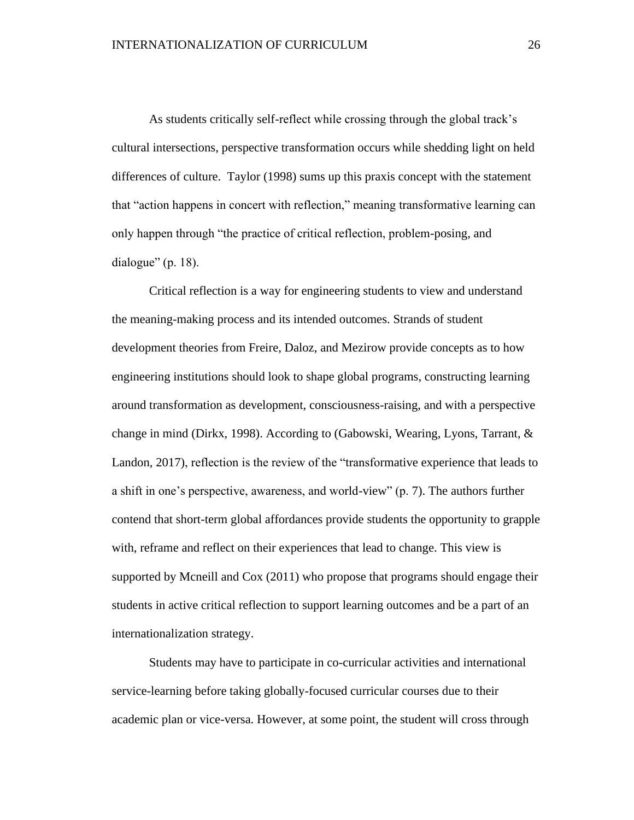As students critically self-reflect while crossing through the global track's cultural intersections, perspective transformation occurs while shedding light on held differences of culture. Taylor (1998) sums up this praxis concept with the statement that "action happens in concert with reflection," meaning transformative learning can only happen through "the practice of critical reflection, problem-posing, and dialogue" (p. 18).

Critical reflection is a way for engineering students to view and understand the meaning-making process and its intended outcomes. Strands of student development theories from Freire, Daloz, and Mezirow provide concepts as to how engineering institutions should look to shape global programs, constructing learning around transformation as development, consciousness-raising, and with a perspective change in mind (Dirkx, 1998). According to (Gabowski, Wearing, Lyons, Tarrant, & Landon, 2017), reflection is the review of the "transformative experience that leads to a shift in one's perspective, awareness, and world-view" (p. 7). The authors further contend that short-term global affordances provide students the opportunity to grapple with, reframe and reflect on their experiences that lead to change. This view is supported by Mcneill and Cox (2011) who propose that programs should engage their students in active critical reflection to support learning outcomes and be a part of an internationalization strategy.

Students may have to participate in co-curricular activities and international service-learning before taking globally-focused curricular courses due to their academic plan or vice-versa. However, at some point, the student will cross through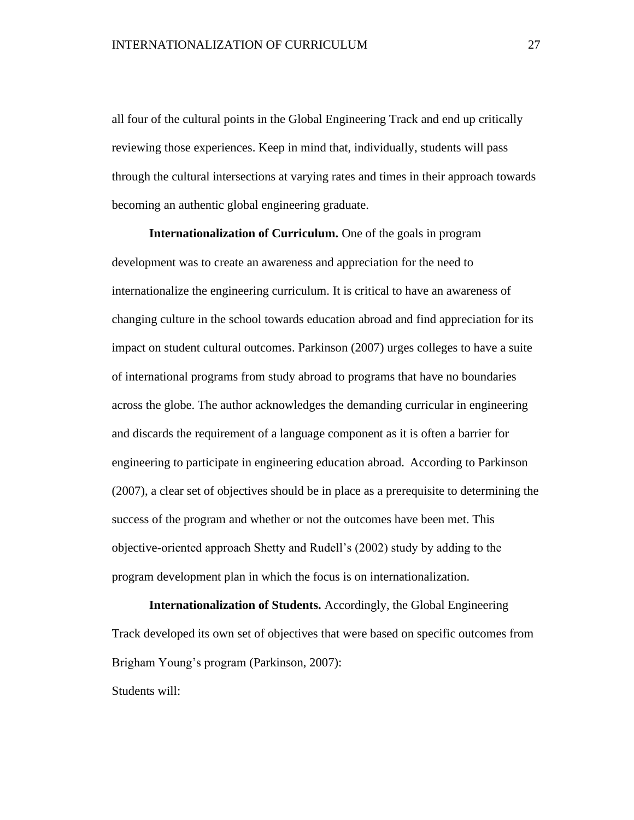all four of the cultural points in the Global Engineering Track and end up critically reviewing those experiences. Keep in mind that, individually, students will pass through the cultural intersections at varying rates and times in their approach towards becoming an authentic global engineering graduate.

**Internationalization of Curriculum.** One of the goals in program development was to create an awareness and appreciation for the need to internationalize the engineering curriculum. It is critical to have an awareness of changing culture in the school towards education abroad and find appreciation for its impact on student cultural outcomes. Parkinson (2007) urges colleges to have a suite of international programs from study abroad to programs that have no boundaries across the globe. The author acknowledges the demanding curricular in engineering and discards the requirement of a language component as it is often a barrier for engineering to participate in engineering education abroad. According to Parkinson (2007), a clear set of objectives should be in place as a prerequisite to determining the success of the program and whether or not the outcomes have been met. This objective-oriented approach Shetty and Rudell's (2002) study by adding to the program development plan in which the focus is on internationalization.

**Internationalization of Students.** Accordingly, the Global Engineering Track developed its own set of objectives that were based on specific outcomes from Brigham Young's program (Parkinson, 2007):

Students will: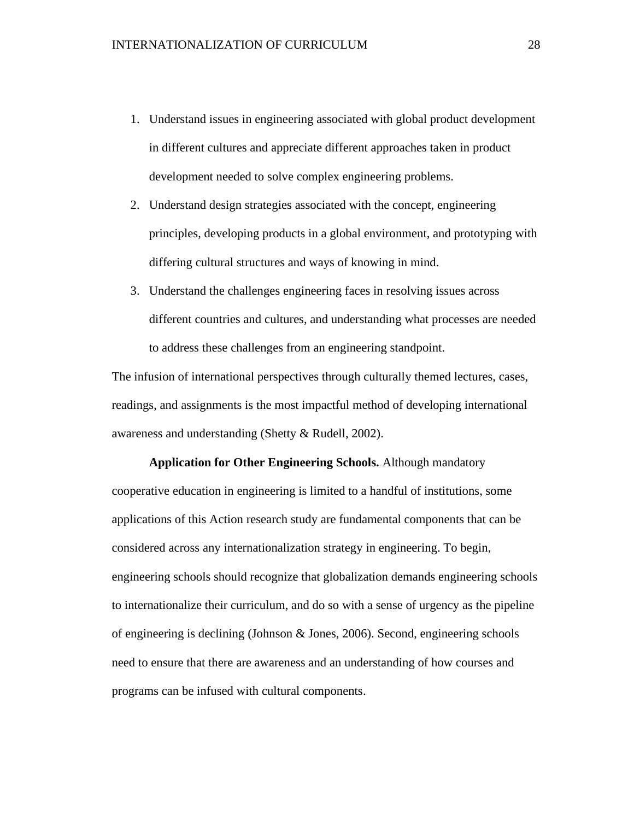- 1. Understand issues in engineering associated with global product development in different cultures and appreciate different approaches taken in product development needed to solve complex engineering problems.
- 2. Understand design strategies associated with the concept, engineering principles, developing products in a global environment, and prototyping with differing cultural structures and ways of knowing in mind.
- 3. Understand the challenges engineering faces in resolving issues across different countries and cultures, and understanding what processes are needed to address these challenges from an engineering standpoint.

The infusion of international perspectives through culturally themed lectures, cases, readings, and assignments is the most impactful method of developing international awareness and understanding (Shetty & Rudell, 2002).

**Application for Other Engineering Schools.** Although mandatory cooperative education in engineering is limited to a handful of institutions, some applications of this Action research study are fundamental components that can be considered across any internationalization strategy in engineering. To begin, engineering schools should recognize that globalization demands engineering schools to internationalize their curriculum, and do so with a sense of urgency as the pipeline of engineering is declining (Johnson & Jones, 2006). Second, engineering schools need to ensure that there are awareness and an understanding of how courses and programs can be infused with cultural components.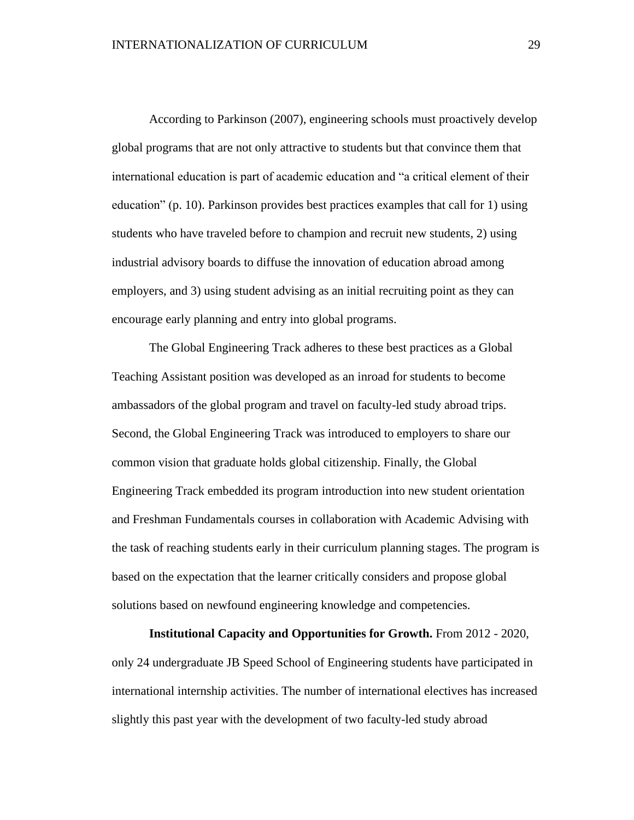According to Parkinson (2007), engineering schools must proactively develop global programs that are not only attractive to students but that convince them that international education is part of academic education and "a critical element of their education" (p. 10). Parkinson provides best practices examples that call for 1) using students who have traveled before to champion and recruit new students, 2) using industrial advisory boards to diffuse the innovation of education abroad among employers, and 3) using student advising as an initial recruiting point as they can encourage early planning and entry into global programs.

The Global Engineering Track adheres to these best practices as a Global Teaching Assistant position was developed as an inroad for students to become ambassadors of the global program and travel on faculty-led study abroad trips. Second, the Global Engineering Track was introduced to employers to share our common vision that graduate holds global citizenship. Finally, the Global Engineering Track embedded its program introduction into new student orientation and Freshman Fundamentals courses in collaboration with Academic Advising with the task of reaching students early in their curriculum planning stages. The program is based on the expectation that the learner critically considers and propose global solutions based on newfound engineering knowledge and competencies.

**Institutional Capacity and Opportunities for Growth.** From 2012 - 2020, only 24 undergraduate JB Speed School of Engineering students have participated in international internship activities. The number of international electives has increased slightly this past year with the development of two faculty-led study abroad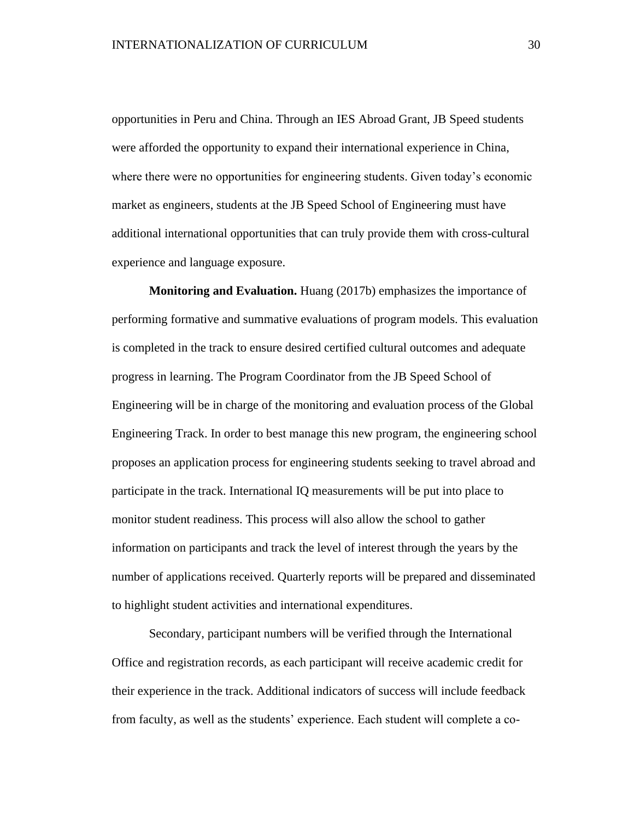opportunities in Peru and China. Through an IES Abroad Grant, JB Speed students were afforded the opportunity to expand their international experience in China, where there were no opportunities for engineering students. Given today's economic market as engineers, students at the JB Speed School of Engineering must have additional international opportunities that can truly provide them with cross-cultural experience and language exposure.

**Monitoring and Evaluation.** Huang (2017b) emphasizes the importance of performing formative and summative evaluations of program models. This evaluation is completed in the track to ensure desired certified cultural outcomes and adequate progress in learning. The Program Coordinator from the JB Speed School of Engineering will be in charge of the monitoring and evaluation process of the Global Engineering Track. In order to best manage this new program, the engineering school proposes an application process for engineering students seeking to travel abroad and participate in the track. International IQ measurements will be put into place to monitor student readiness. This process will also allow the school to gather information on participants and track the level of interest through the years by the number of applications received. Quarterly reports will be prepared and disseminated to highlight student activities and international expenditures.

Secondary, participant numbers will be verified through the International Office and registration records, as each participant will receive academic credit for their experience in the track. Additional indicators of success will include feedback from faculty, as well as the students' experience. Each student will complete a co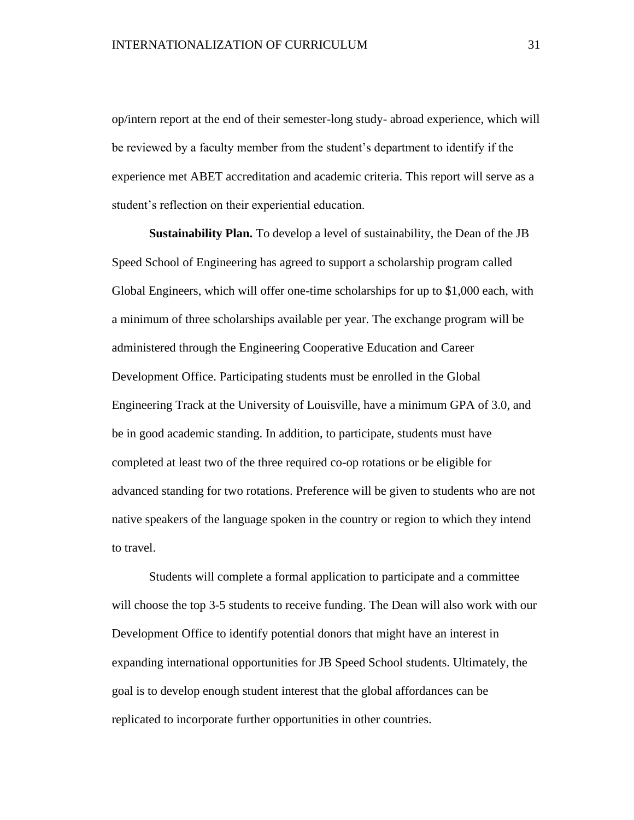op/intern report at the end of their semester-long study- abroad experience, which will be reviewed by a faculty member from the student's department to identify if the experience met ABET accreditation and academic criteria. This report will serve as a student's reflection on their experiential education.

**Sustainability Plan.** To develop a level of sustainability, the Dean of the JB Speed School of Engineering has agreed to support a scholarship program called Global Engineers, which will offer one-time scholarships for up to \$1,000 each, with a minimum of three scholarships available per year. The exchange program will be administered through the Engineering Cooperative Education and Career Development Office. Participating students must be enrolled in the Global Engineering Track at the University of Louisville, have a minimum GPA of 3.0, and be in good academic standing. In addition, to participate, students must have completed at least two of the three required co-op rotations or be eligible for advanced standing for two rotations. Preference will be given to students who are not native speakers of the language spoken in the country or region to which they intend to travel.

Students will complete a formal application to participate and a committee will choose the top 3-5 students to receive funding. The Dean will also work with our Development Office to identify potential donors that might have an interest in expanding international opportunities for JB Speed School students. Ultimately, the goal is to develop enough student interest that the global affordances can be replicated to incorporate further opportunities in other countries.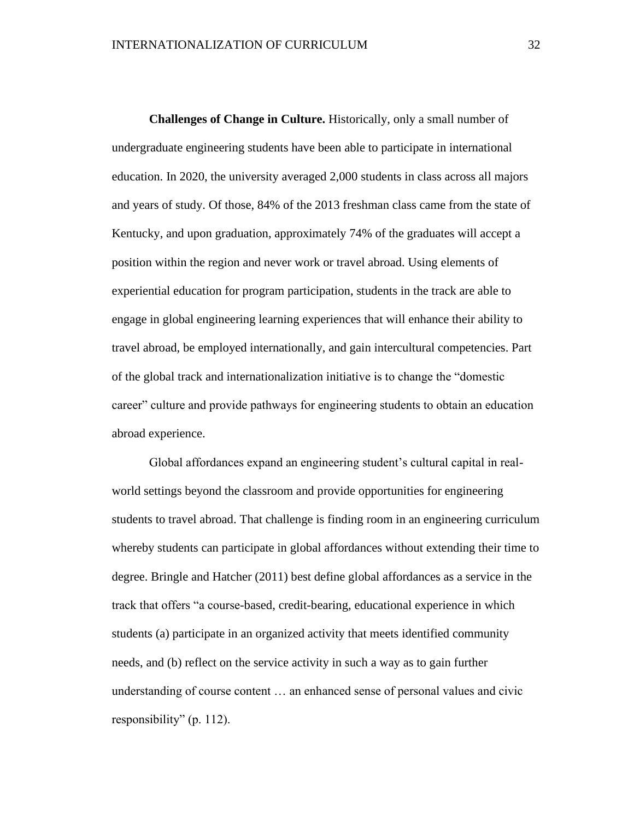**Challenges of Change in Culture.** Historically, only a small number of undergraduate engineering students have been able to participate in international education. In 2020, the university averaged 2,000 students in class across all majors and years of study. Of those, 84% of the 2013 freshman class came from the state of Kentucky, and upon graduation, approximately 74% of the graduates will accept a position within the region and never work or travel abroad. Using elements of experiential education for program participation, students in the track are able to engage in global engineering learning experiences that will enhance their ability to travel abroad, be employed internationally, and gain intercultural competencies. Part of the global track and internationalization initiative is to change the "domestic career" culture and provide pathways for engineering students to obtain an education abroad experience.

Global affordances expand an engineering student's cultural capital in realworld settings beyond the classroom and provide opportunities for engineering students to travel abroad. That challenge is finding room in an engineering curriculum whereby students can participate in global affordances without extending their time to degree. Bringle and Hatcher (2011) best define global affordances as a service in the track that offers "a course-based, credit-bearing, educational experience in which students (a) participate in an organized activity that meets identified community needs, and (b) reflect on the service activity in such a way as to gain further understanding of course content … an enhanced sense of personal values and civic responsibility" (p. 112).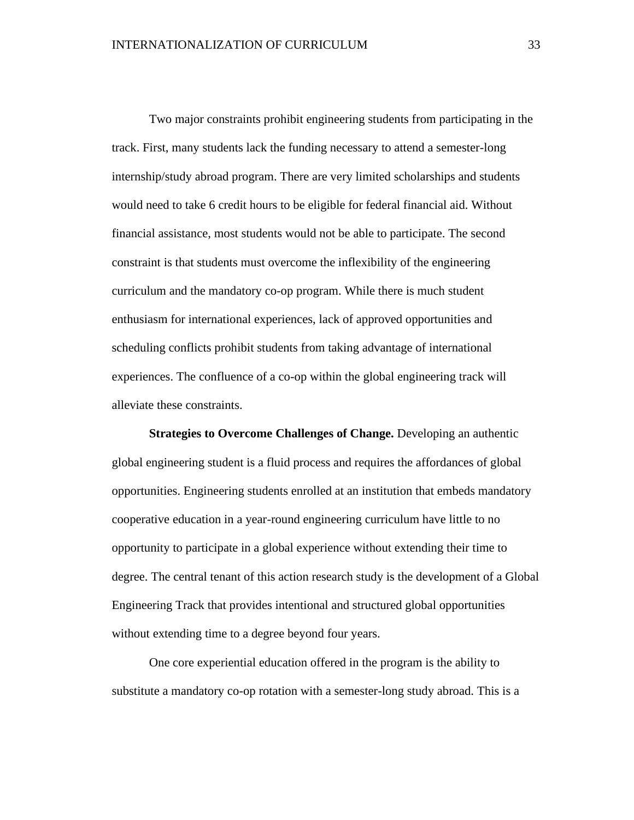Two major constraints prohibit engineering students from participating in the track. First, many students lack the funding necessary to attend a semester-long internship/study abroad program. There are very limited scholarships and students would need to take 6 credit hours to be eligible for federal financial aid. Without financial assistance, most students would not be able to participate. The second constraint is that students must overcome the inflexibility of the engineering curriculum and the mandatory co-op program. While there is much student enthusiasm for international experiences, lack of approved opportunities and scheduling conflicts prohibit students from taking advantage of international experiences. The confluence of a co-op within the global engineering track will alleviate these constraints.

**Strategies to Overcome Challenges of Change.** Developing an authentic global engineering student is a fluid process and requires the affordances of global opportunities. Engineering students enrolled at an institution that embeds mandatory cooperative education in a year-round engineering curriculum have little to no opportunity to participate in a global experience without extending their time to degree. The central tenant of this action research study is the development of a Global Engineering Track that provides intentional and structured global opportunities without extending time to a degree beyond four years.

One core experiential education offered in the program is the ability to substitute a mandatory co-op rotation with a semester-long study abroad. This is a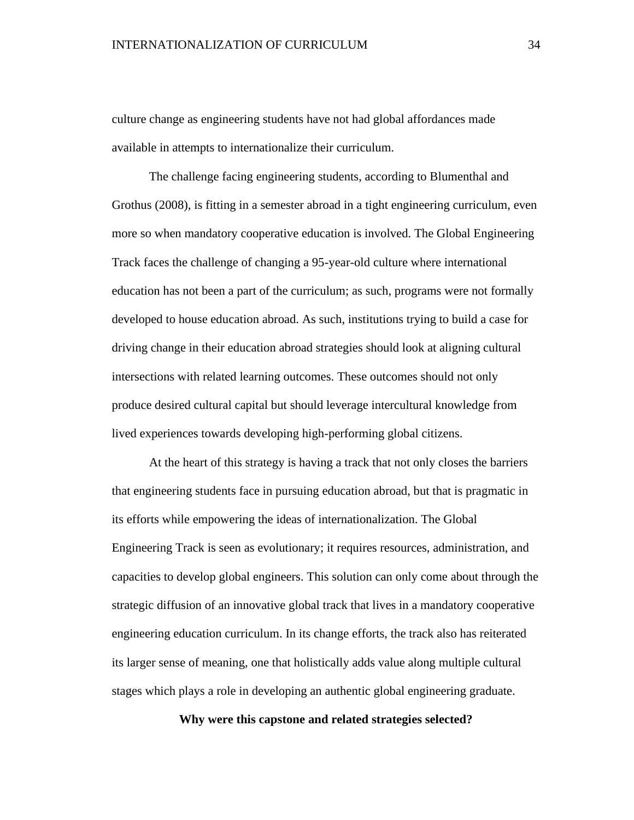culture change as engineering students have not had global affordances made available in attempts to internationalize their curriculum.

The challenge facing engineering students, according to Blumenthal and Grothus (2008), is fitting in a semester abroad in a tight engineering curriculum, even more so when mandatory cooperative education is involved. The Global Engineering Track faces the challenge of changing a 95-year-old culture where international education has not been a part of the curriculum; as such, programs were not formally developed to house education abroad. As such, institutions trying to build a case for driving change in their education abroad strategies should look at aligning cultural intersections with related learning outcomes. These outcomes should not only produce desired cultural capital but should leverage intercultural knowledge from lived experiences towards developing high-performing global citizens.

At the heart of this strategy is having a track that not only closes the barriers that engineering students face in pursuing education abroad, but that is pragmatic in its efforts while empowering the ideas of internationalization. The Global Engineering Track is seen as evolutionary; it requires resources, administration, and capacities to develop global engineers. This solution can only come about through the strategic diffusion of an innovative global track that lives in a mandatory cooperative engineering education curriculum. In its change efforts, the track also has reiterated its larger sense of meaning, one that holistically adds value along multiple cultural stages which plays a role in developing an authentic global engineering graduate.

**Why were this capstone and related strategies selected?**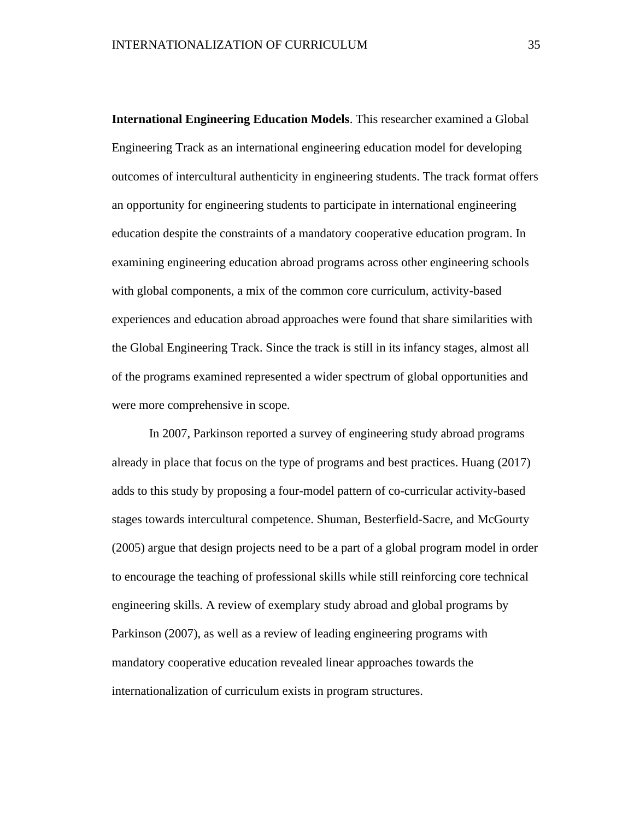**International Engineering Education Models**. This researcher examined a Global Engineering Track as an international engineering education model for developing outcomes of intercultural authenticity in engineering students. The track format offers an opportunity for engineering students to participate in international engineering education despite the constraints of a mandatory cooperative education program. In examining engineering education abroad programs across other engineering schools with global components, a mix of the common core curriculum, activity-based experiences and education abroad approaches were found that share similarities with the Global Engineering Track. Since the track is still in its infancy stages, almost all of the programs examined represented a wider spectrum of global opportunities and were more comprehensive in scope.

In 2007, Parkinson reported a survey of engineering study abroad programs already in place that focus on the type of programs and best practices. Huang (2017) adds to this study by proposing a four-model pattern of co-curricular activity-based stages towards intercultural competence. Shuman, Besterfield-Sacre, and McGourty (2005) argue that design projects need to be a part of a global program model in order to encourage the teaching of professional skills while still reinforcing core technical engineering skills. A review of exemplary study abroad and global programs by Parkinson (2007), as well as a review of leading engineering programs with mandatory cooperative education revealed linear approaches towards the internationalization of curriculum exists in program structures.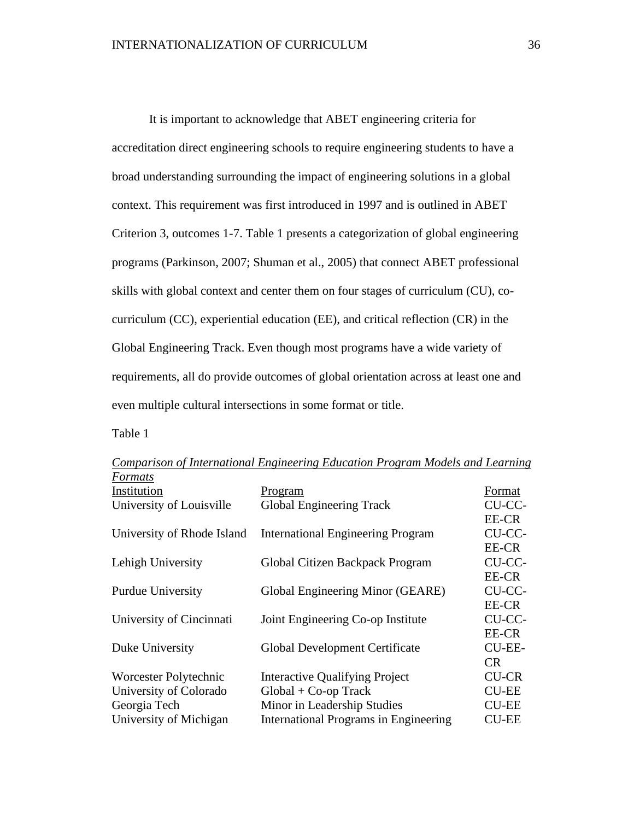It is important to acknowledge that ABET engineering criteria for accreditation direct engineering schools to require engineering students to have a broad understanding surrounding the impact of engineering solutions in a global context. This requirement was first introduced in 1997 and is outlined in ABET Criterion 3, outcomes 1-7. Table 1 presents a categorization of global engineering programs (Parkinson, 2007; Shuman et al., 2005) that connect ABET professional skills with global context and center them on four stages of curriculum (CU), cocurriculum (CC), experiential education (EE), and critical reflection (CR) in the Global Engineering Track. Even though most programs have a wide variety of requirements, all do provide outcomes of global orientation across at least one and even multiple cultural intersections in some format or title.

Table 1

| r ormais                   |                                          |               |
|----------------------------|------------------------------------------|---------------|
| Institution                | Program                                  | Format        |
| University of Louisville   | <b>Global Engineering Track</b>          | CU-CC-        |
|                            |                                          | EE-CR         |
| University of Rhode Island | <b>International Engineering Program</b> | CU-CC-        |
|                            |                                          | EE-CR         |
| Lehigh University          | Global Citizen Backpack Program          | CU-CC-        |
|                            |                                          | EE-CR         |
| <b>Purdue University</b>   | Global Engineering Minor (GEARE)         | CU-CC-        |
|                            |                                          | EE-CR         |
| University of Cincinnati   | Joint Engineering Co-op Institute        | CU-CC-        |
|                            |                                          | EE-CR         |
| Duke University            | Global Development Certificate           | <b>CU-EE-</b> |
|                            |                                          | <b>CR</b>     |
| Worcester Polytechnic      | <b>Interactive Qualifying Project</b>    | <b>CU-CR</b>  |
| University of Colorado     | $Global + Co-op$ Track                   | <b>CU-EE</b>  |
| Georgia Tech               | Minor in Leadership Studies              | <b>CU-EE</b>  |
| University of Michigan     | International Programs in Engineering    | <b>CU-EE</b>  |

*Comparison of International Engineering Education Program Models and Learning Formats*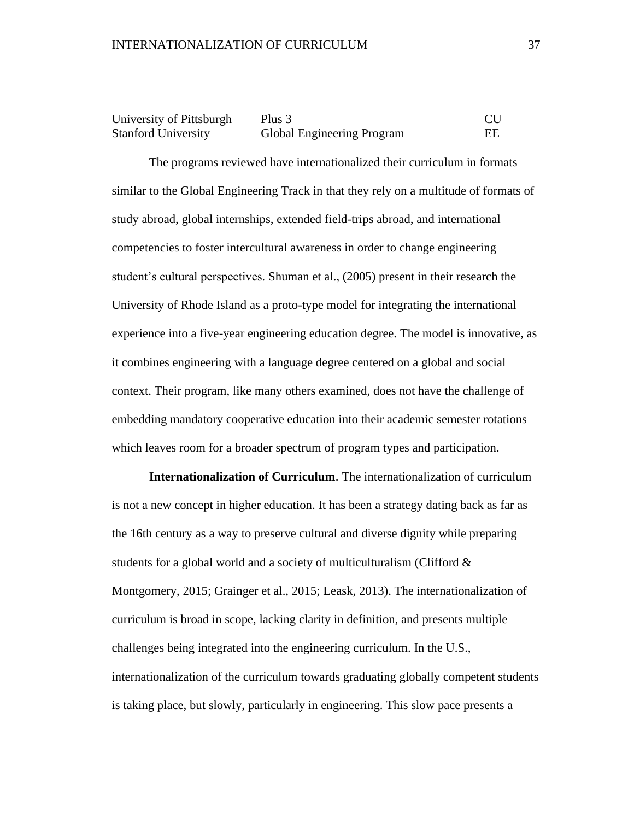| University of Pittsburgh   | Plus 3                            |  |
|----------------------------|-----------------------------------|--|
| <b>Stanford University</b> | <b>Global Engineering Program</b> |  |

The programs reviewed have internationalized their curriculum in formats similar to the Global Engineering Track in that they rely on a multitude of formats of study abroad, global internships, extended field-trips abroad, and international competencies to foster intercultural awareness in order to change engineering student's cultural perspectives. Shuman et al., (2005) present in their research the University of Rhode Island as a proto-type model for integrating the international experience into a five-year engineering education degree. The model is innovative, as it combines engineering with a language degree centered on a global and social context. Their program, like many others examined, does not have the challenge of embedding mandatory cooperative education into their academic semester rotations which leaves room for a broader spectrum of program types and participation.

**Internationalization of Curriculum**. The internationalization of curriculum is not a new concept in higher education. It has been a strategy dating back as far as the 16th century as a way to preserve cultural and diverse dignity while preparing students for a global world and a society of multiculturalism (Clifford & Montgomery, 2015; Grainger et al., 2015; Leask, 2013). The internationalization of curriculum is broad in scope, lacking clarity in definition, and presents multiple challenges being integrated into the engineering curriculum. In the U.S., internationalization of the curriculum towards graduating globally competent students is taking place, but slowly, particularly in engineering. This slow pace presents a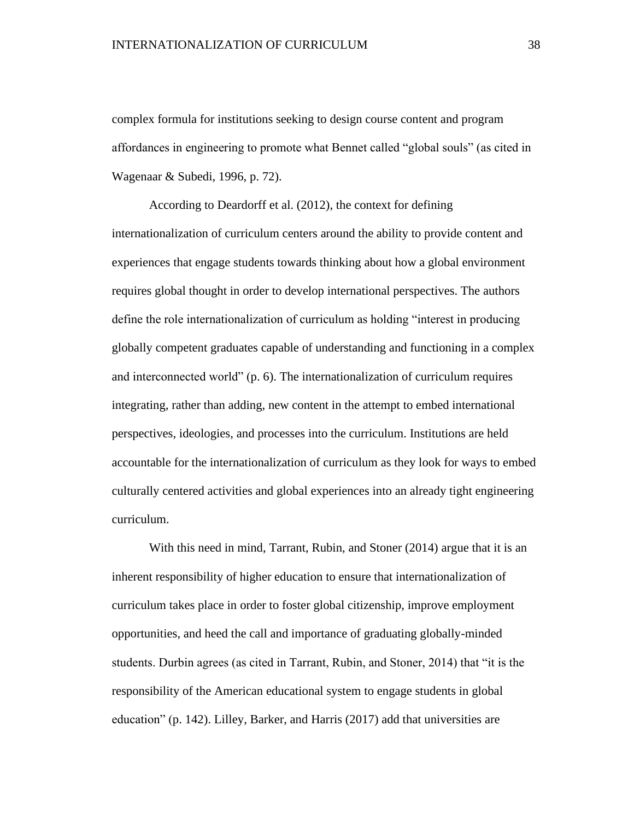complex formula for institutions seeking to design course content and program affordances in engineering to promote what Bennet called "global souls" (as cited in Wagenaar & Subedi, 1996, p. 72).

According to Deardorff et al. (2012), the context for defining internationalization of curriculum centers around the ability to provide content and experiences that engage students towards thinking about how a global environment requires global thought in order to develop international perspectives. The authors define the role internationalization of curriculum as holding "interest in producing globally competent graduates capable of understanding and functioning in a complex and interconnected world" (p. 6). The internationalization of curriculum requires integrating, rather than adding, new content in the attempt to embed international perspectives, ideologies, and processes into the curriculum. Institutions are held accountable for the internationalization of curriculum as they look for ways to embed culturally centered activities and global experiences into an already tight engineering curriculum.

With this need in mind, Tarrant, Rubin, and Stoner (2014) argue that it is an inherent responsibility of higher education to ensure that internationalization of curriculum takes place in order to foster global citizenship, improve employment opportunities, and heed the call and importance of graduating globally-minded students. Durbin agrees (as cited in Tarrant, Rubin, and Stoner, 2014) that "it is the responsibility of the American educational system to engage students in global education" (p. 142). Lilley, Barker, and Harris (2017) add that universities are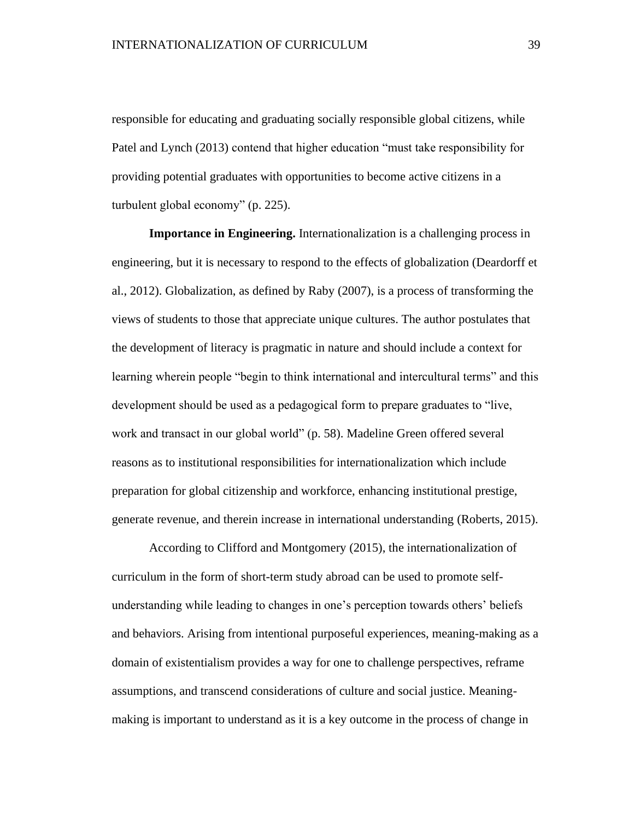responsible for educating and graduating socially responsible global citizens, while Patel and Lynch (2013) contend that higher education "must take responsibility for providing potential graduates with opportunities to become active citizens in a turbulent global economy" (p. 225).

**Importance in Engineering.** Internationalization is a challenging process in engineering, but it is necessary to respond to the effects of globalization (Deardorff et al., 2012). Globalization, as defined by Raby (2007), is a process of transforming the views of students to those that appreciate unique cultures. The author postulates that the development of literacy is pragmatic in nature and should include a context for learning wherein people "begin to think international and intercultural terms" and this development should be used as a pedagogical form to prepare graduates to "live, work and transact in our global world" (p. 58). Madeline Green offered several reasons as to institutional responsibilities for internationalization which include preparation for global citizenship and workforce, enhancing institutional prestige, generate revenue, and therein increase in international understanding (Roberts, 2015).

According to Clifford and Montgomery (2015), the internationalization of curriculum in the form of short-term study abroad can be used to promote selfunderstanding while leading to changes in one's perception towards others' beliefs and behaviors. Arising from intentional purposeful experiences, meaning-making as a domain of existentialism provides a way for one to challenge perspectives, reframe assumptions, and transcend considerations of culture and social justice. Meaningmaking is important to understand as it is a key outcome in the process of change in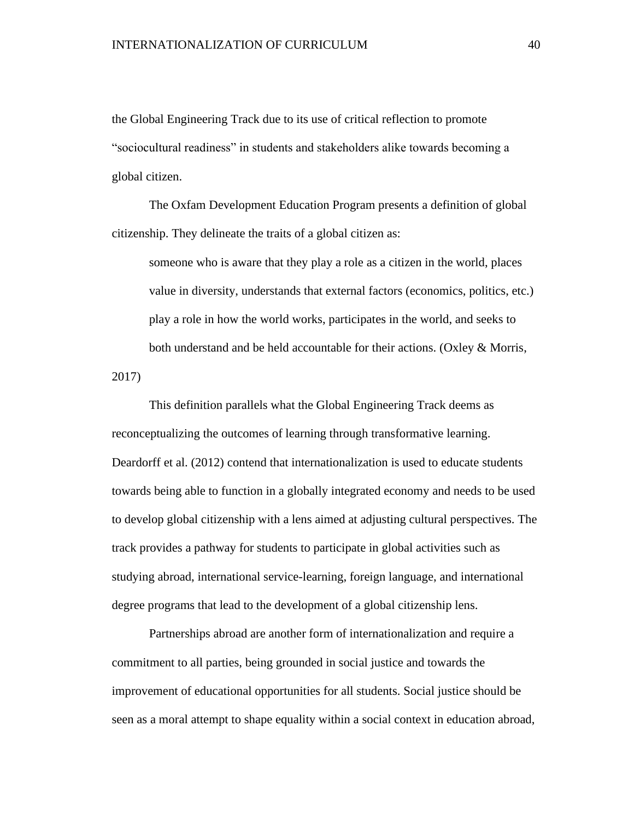the Global Engineering Track due to its use of critical reflection to promote "sociocultural readiness" in students and stakeholders alike towards becoming a global citizen.

The Oxfam Development Education Program presents a definition of global citizenship. They delineate the traits of a global citizen as:

someone who is aware that they play a role as a citizen in the world, places value in diversity, understands that external factors (economics, politics, etc.) play a role in how the world works, participates in the world, and seeks to both understand and be held accountable for their actions. (Oxley & Morris,

2017)

This definition parallels what the Global Engineering Track deems as reconceptualizing the outcomes of learning through transformative learning. Deardorff et al. (2012) contend that internationalization is used to educate students towards being able to function in a globally integrated economy and needs to be used to develop global citizenship with a lens aimed at adjusting cultural perspectives. The track provides a pathway for students to participate in global activities such as studying abroad, international service-learning, foreign language, and international degree programs that lead to the development of a global citizenship lens.

Partnerships abroad are another form of internationalization and require a commitment to all parties, being grounded in social justice and towards the improvement of educational opportunities for all students. Social justice should be seen as a moral attempt to shape equality within a social context in education abroad,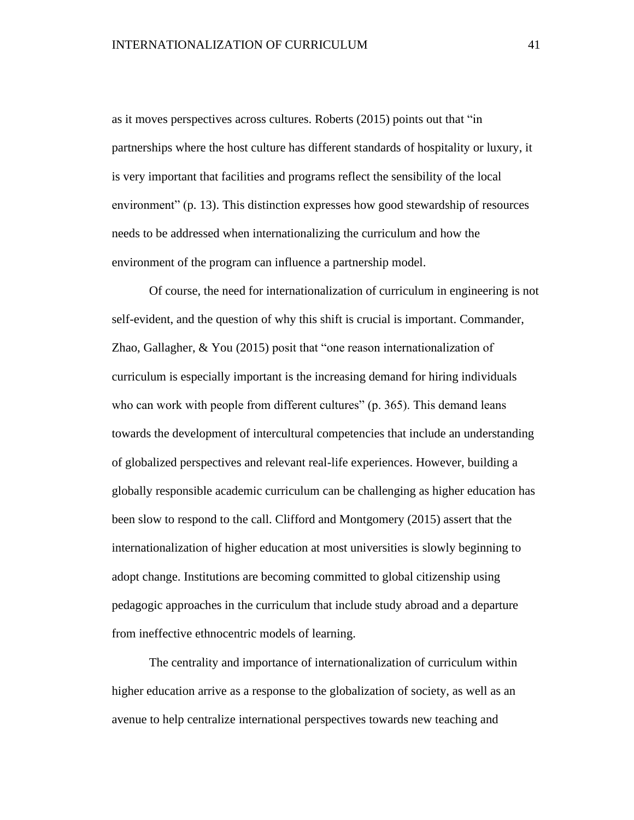as it moves perspectives across cultures. Roberts (2015) points out that "in partnerships where the host culture has different standards of hospitality or luxury, it is very important that facilities and programs reflect the sensibility of the local environment" (p. 13). This distinction expresses how good stewardship of resources needs to be addressed when internationalizing the curriculum and how the environment of the program can influence a partnership model.

Of course, the need for internationalization of curriculum in engineering is not self-evident, and the question of why this shift is crucial is important. Commander, Zhao, Gallagher, & You (2015) posit that "one reason internationalization of curriculum is especially important is the increasing demand for hiring individuals who can work with people from different cultures" (p. 365). This demand leans towards the development of intercultural competencies that include an understanding of globalized perspectives and relevant real-life experiences. However, building a globally responsible academic curriculum can be challenging as higher education has been slow to respond to the call. Clifford and Montgomery (2015) assert that the internationalization of higher education at most universities is slowly beginning to adopt change. Institutions are becoming committed to global citizenship using pedagogic approaches in the curriculum that include study abroad and a departure from ineffective ethnocentric models of learning.

The centrality and importance of internationalization of curriculum within higher education arrive as a response to the globalization of society, as well as an avenue to help centralize international perspectives towards new teaching and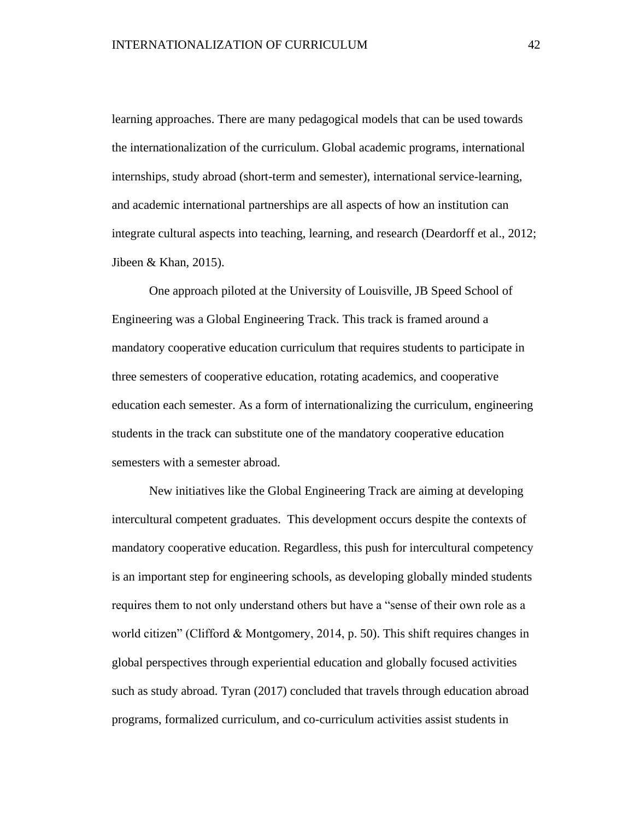learning approaches. There are many pedagogical models that can be used towards the internationalization of the curriculum. Global academic programs, international internships, study abroad (short-term and semester), international service-learning, and academic international partnerships are all aspects of how an institution can integrate cultural aspects into teaching, learning, and research (Deardorff et al., 2012; Jibeen & Khan, 2015).

One approach piloted at the University of Louisville, JB Speed School of Engineering was a Global Engineering Track. This track is framed around a mandatory cooperative education curriculum that requires students to participate in three semesters of cooperative education, rotating academics, and cooperative education each semester. As a form of internationalizing the curriculum, engineering students in the track can substitute one of the mandatory cooperative education semesters with a semester abroad.

New initiatives like the Global Engineering Track are aiming at developing intercultural competent graduates. This development occurs despite the contexts of mandatory cooperative education. Regardless, this push for intercultural competency is an important step for engineering schools, as developing globally minded students requires them to not only understand others but have a "sense of their own role as a world citizen" (Clifford & Montgomery, 2014, p. 50). This shift requires changes in global perspectives through experiential education and globally focused activities such as study abroad. Tyran (2017) concluded that travels through education abroad programs, formalized curriculum, and co-curriculum activities assist students in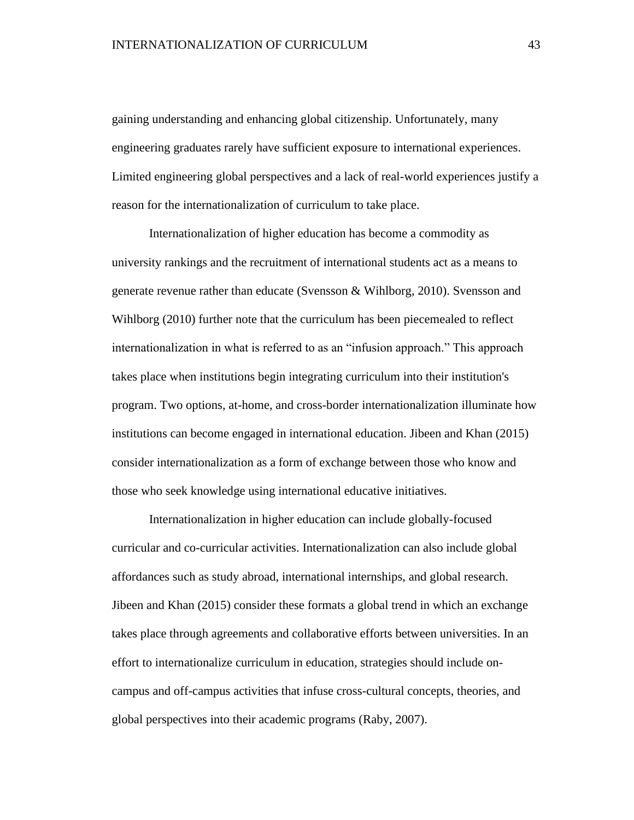gaining understanding and enhancing global citizenship. Unfortunately, many engineering graduates rarely have sufficient exposure to international experiences. Limited engineering global perspectives and a lack of real-world experiences justify a reason for the internationalization of curriculum to take place.

Internationalization of higher education has become a commodity as university rankings and the recruitment of international students act as a means to generate revenue rather than educate (Svensson & Wihlborg, 2010). Svensson and Wihlborg (2010) further note that the curriculum has been piecemealed to reflect internationalization in what is referred to as an "infusion approach." This approach takes place when institutions begin integrating curriculum into their institution's program. Two options, at-home, and cross-border internationalization illuminate how institutions can become engaged in international education. Jibeen and Khan (2015) consider internationalization as a form of exchange between those who know and those who seek knowledge using international educative initiatives.

Internationalization in higher education can include globally-focused curricular and co-curricular activities. Internationalization can also include global affordances such as study abroad, international internships, and global research. Jibeen and Khan (2015) consider these formats a global trend in which an exchange takes place through agreements and collaborative efforts between universities. In an effort to internationalize curriculum in education, strategies should include oncampus and off-campus activities that infuse cross-cultural concepts, theories, and global perspectives into their academic programs (Raby, 2007).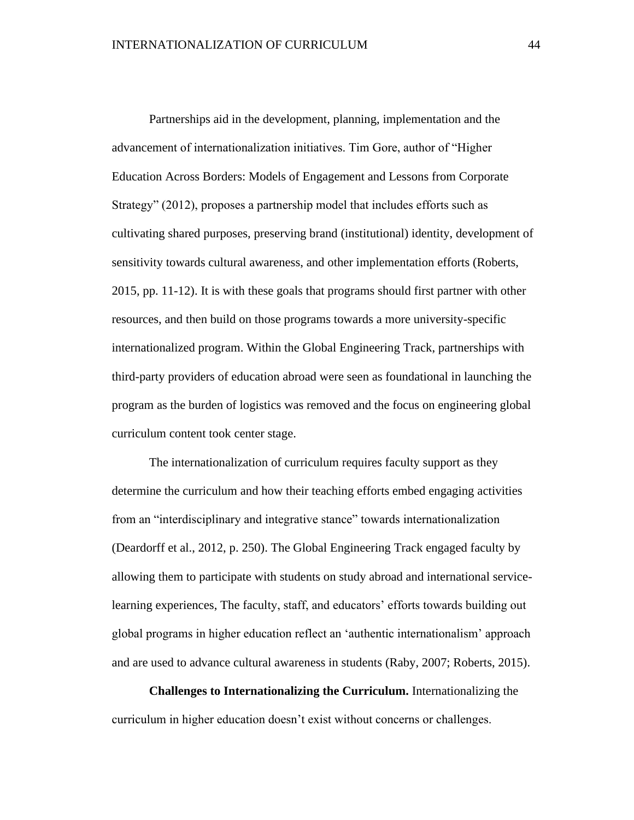Partnerships aid in the development, planning, implementation and the advancement of internationalization initiatives. Tim Gore, author of "Higher Education Across Borders: Models of Engagement and Lessons from Corporate Strategy" (2012), proposes a partnership model that includes efforts such as cultivating shared purposes, preserving brand (institutional) identity, development of sensitivity towards cultural awareness, and other implementation efforts (Roberts, 2015, pp. 11-12). It is with these goals that programs should first partner with other resources, and then build on those programs towards a more university-specific internationalized program. Within the Global Engineering Track, partnerships with third-party providers of education abroad were seen as foundational in launching the program as the burden of logistics was removed and the focus on engineering global curriculum content took center stage.

The internationalization of curriculum requires faculty support as they determine the curriculum and how their teaching efforts embed engaging activities from an "interdisciplinary and integrative stance" towards internationalization (Deardorff et al., 2012, p. 250). The Global Engineering Track engaged faculty by allowing them to participate with students on study abroad and international servicelearning experiences, The faculty, staff, and educators' efforts towards building out global programs in higher education reflect an 'authentic internationalism' approach and are used to advance cultural awareness in students (Raby, 2007; Roberts, 2015).

**Challenges to Internationalizing the Curriculum.** Internationalizing the curriculum in higher education doesn't exist without concerns or challenges.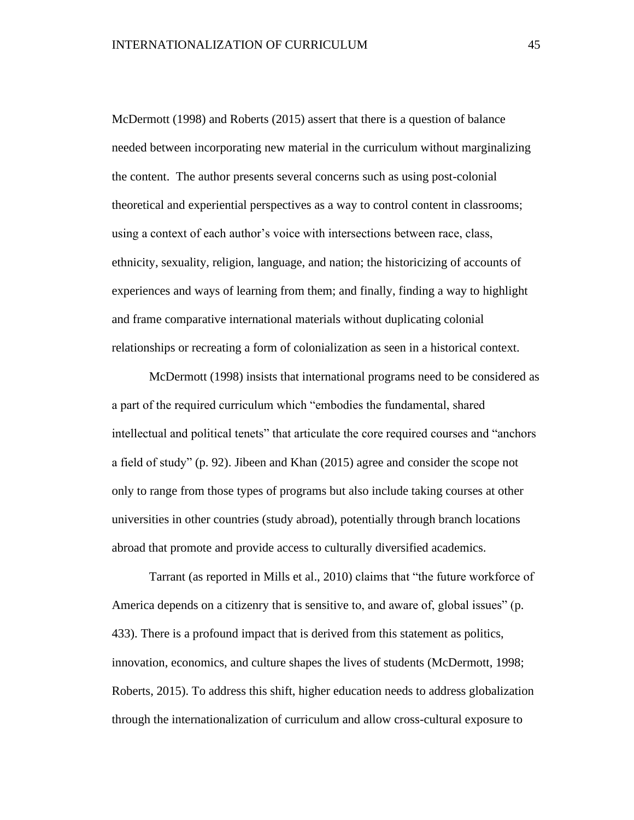McDermott (1998) and Roberts (2015) assert that there is a question of balance needed between incorporating new material in the curriculum without marginalizing the content. The author presents several concerns such as using post-colonial theoretical and experiential perspectives as a way to control content in classrooms; using a context of each author's voice with intersections between race, class, ethnicity, sexuality, religion, language, and nation; the historicizing of accounts of experiences and ways of learning from them; and finally, finding a way to highlight and frame comparative international materials without duplicating colonial relationships or recreating a form of colonialization as seen in a historical context.

McDermott (1998) insists that international programs need to be considered as a part of the required curriculum which "embodies the fundamental, shared intellectual and political tenets" that articulate the core required courses and "anchors a field of study" (p. 92). Jibeen and Khan (2015) agree and consider the scope not only to range from those types of programs but also include taking courses at other universities in other countries (study abroad), potentially through branch locations abroad that promote and provide access to culturally diversified academics.

Tarrant (as reported in Mills et al., 2010) claims that "the future workforce of America depends on a citizenry that is sensitive to, and aware of, global issues" (p. 433). There is a profound impact that is derived from this statement as politics, innovation, economics, and culture shapes the lives of students (McDermott, 1998; Roberts, 2015). To address this shift, higher education needs to address globalization through the internationalization of curriculum and allow cross-cultural exposure to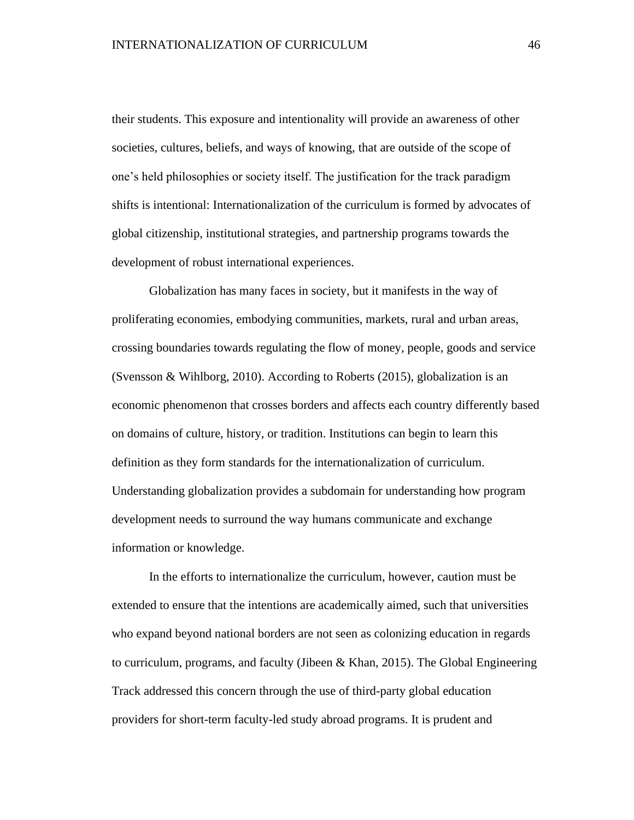their students. This exposure and intentionality will provide an awareness of other societies, cultures, beliefs, and ways of knowing, that are outside of the scope of one's held philosophies or society itself. The justification for the track paradigm shifts is intentional: Internationalization of the curriculum is formed by advocates of global citizenship, institutional strategies, and partnership programs towards the development of robust international experiences.

Globalization has many faces in society, but it manifests in the way of proliferating economies, embodying communities, markets, rural and urban areas, crossing boundaries towards regulating the flow of money, people, goods and service (Svensson & Wihlborg, 2010). According to Roberts (2015), globalization is an economic phenomenon that crosses borders and affects each country differently based on domains of culture, history, or tradition. Institutions can begin to learn this definition as they form standards for the internationalization of curriculum. Understanding globalization provides a subdomain for understanding how program development needs to surround the way humans communicate and exchange information or knowledge.

In the efforts to internationalize the curriculum, however, caution must be extended to ensure that the intentions are academically aimed, such that universities who expand beyond national borders are not seen as colonizing education in regards to curriculum, programs, and faculty (Jibeen & Khan, 2015). The Global Engineering Track addressed this concern through the use of third-party global education providers for short-term faculty-led study abroad programs. It is prudent and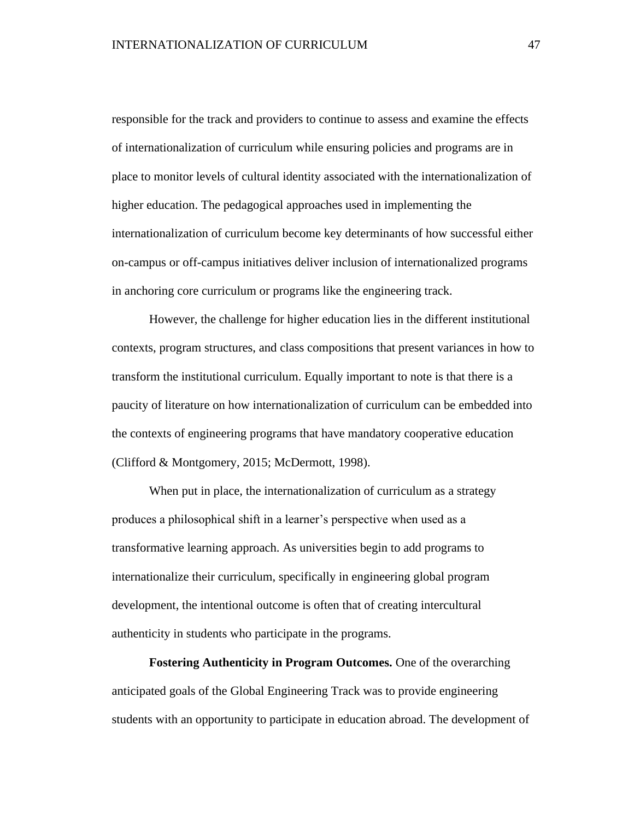responsible for the track and providers to continue to assess and examine the effects of internationalization of curriculum while ensuring policies and programs are in place to monitor levels of cultural identity associated with the internationalization of higher education. The pedagogical approaches used in implementing the internationalization of curriculum become key determinants of how successful either on-campus or off-campus initiatives deliver inclusion of internationalized programs in anchoring core curriculum or programs like the engineering track.

However, the challenge for higher education lies in the different institutional contexts, program structures, and class compositions that present variances in how to transform the institutional curriculum. Equally important to note is that there is a paucity of literature on how internationalization of curriculum can be embedded into the contexts of engineering programs that have mandatory cooperative education (Clifford & Montgomery, 2015; McDermott, 1998).

When put in place, the internationalization of curriculum as a strategy produces a philosophical shift in a learner's perspective when used as a transformative learning approach. As universities begin to add programs to internationalize their curriculum, specifically in engineering global program development, the intentional outcome is often that of creating intercultural authenticity in students who participate in the programs.

**Fostering Authenticity in Program Outcomes.** One of the overarching anticipated goals of the Global Engineering Track was to provide engineering students with an opportunity to participate in education abroad. The development of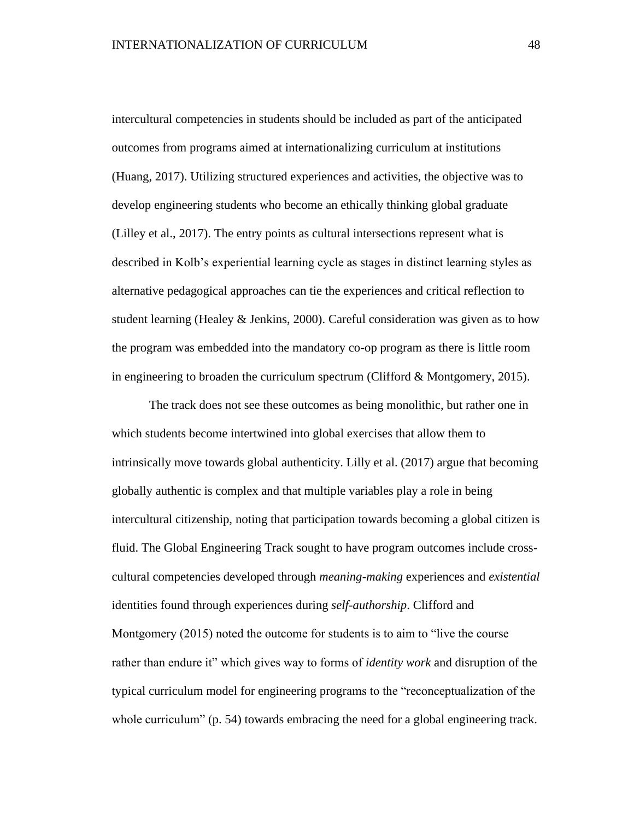intercultural competencies in students should be included as part of the anticipated outcomes from programs aimed at internationalizing curriculum at institutions (Huang, 2017). Utilizing structured experiences and activities, the objective was to develop engineering students who become an ethically thinking global graduate (Lilley et al., 2017). The entry points as cultural intersections represent what is described in Kolb's experiential learning cycle as stages in distinct learning styles as alternative pedagogical approaches can tie the experiences and critical reflection to student learning (Healey & Jenkins, 2000). Careful consideration was given as to how the program was embedded into the mandatory co-op program as there is little room in engineering to broaden the curriculum spectrum (Clifford  $&$  Montgomery, 2015).

The track does not see these outcomes as being monolithic, but rather one in which students become intertwined into global exercises that allow them to intrinsically move towards global authenticity. Lilly et al. (2017) argue that becoming globally authentic is complex and that multiple variables play a role in being intercultural citizenship, noting that participation towards becoming a global citizen is fluid. The Global Engineering Track sought to have program outcomes include crosscultural competencies developed through *meaning-making* experiences and *existential*  identities found through experiences during *self-authorship*. Clifford and Montgomery (2015) noted the outcome for students is to aim to "live the course rather than endure it" which gives way to forms of *identity work* and disruption of the typical curriculum model for engineering programs to the "reconceptualization of the whole curriculum" (p. 54) towards embracing the need for a global engineering track.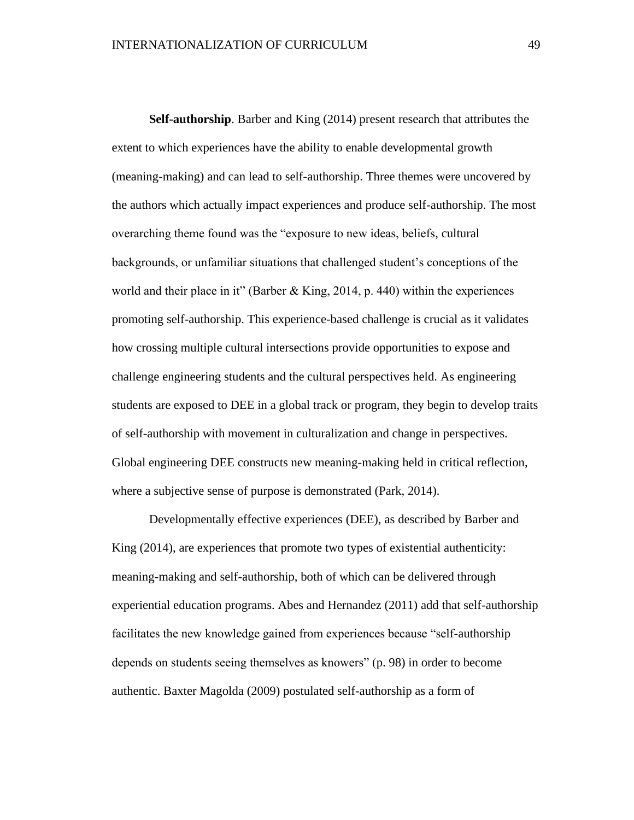**Self-authorship**. Barber and King (2014) present research that attributes the extent to which experiences have the ability to enable developmental growth (meaning-making) and can lead to self-authorship. Three themes were uncovered by the authors which actually impact experiences and produce self-authorship. The most overarching theme found was the "exposure to new ideas, beliefs, cultural backgrounds, or unfamiliar situations that challenged student's conceptions of the world and their place in it" (Barber & King, 2014, p. 440) within the experiences promoting self-authorship. This experience-based challenge is crucial as it validates how crossing multiple cultural intersections provide opportunities to expose and challenge engineering students and the cultural perspectives held. As engineering students are exposed to DEE in a global track or program, they begin to develop traits of self-authorship with movement in culturalization and change in perspectives. Global engineering DEE constructs new meaning-making held in critical reflection, where a subjective sense of purpose is demonstrated (Park, 2014).

Developmentally effective experiences (DEE), as described by Barber and King (2014), are experiences that promote two types of existential authenticity: meaning-making and self-authorship, both of which can be delivered through experiential education programs. Abes and Hernandez (2011) add that self-authorship facilitates the new knowledge gained from experiences because "self-authorship depends on students seeing themselves as knowers" (p. 98) in order to become authentic. Baxter Magolda (2009) postulated self-authorship as a form of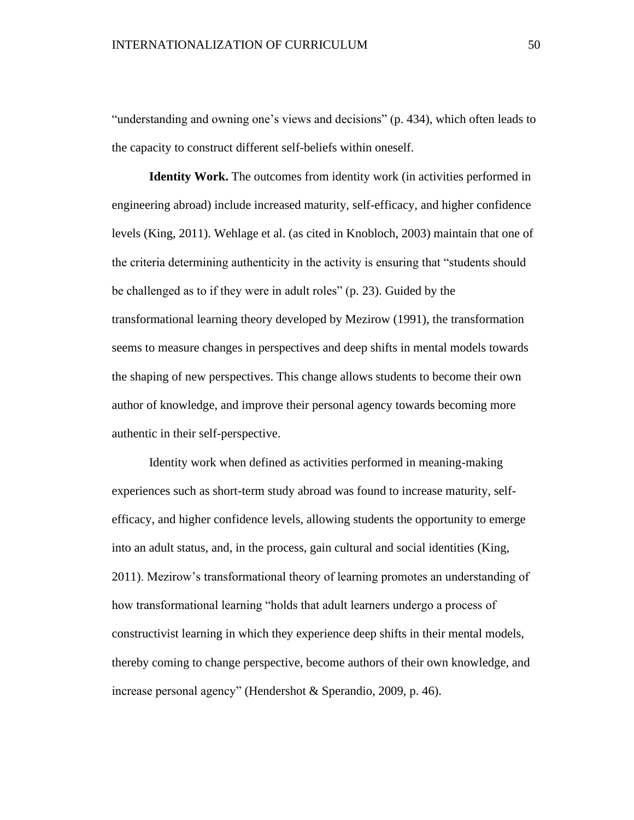"understanding and owning one's views and decisions" (p. 434), which often leads to the capacity to construct different self-beliefs within oneself.

**Identity Work.** The outcomes from identity work (in activities performed in engineering abroad) include increased maturity, self-efficacy, and higher confidence levels (King, 2011). Wehlage et al. (as cited in Knobloch, 2003) maintain that one of the criteria determining authenticity in the activity is ensuring that "students should be challenged as to if they were in adult roles" (p. 23). Guided by the transformational learning theory developed by Mezirow (1991), the transformation seems to measure changes in perspectives and deep shifts in mental models towards the shaping of new perspectives. This change allows students to become their own author of knowledge, and improve their personal agency towards becoming more authentic in their self-perspective.

Identity work when defined as activities performed in meaning-making experiences such as short-term study abroad was found to increase maturity, selfefficacy, and higher confidence levels, allowing students the opportunity to emerge into an adult status, and, in the process, gain cultural and social identities (King, 2011). Mezirow's transformational theory of learning promotes an understanding of how transformational learning "holds that adult learners undergo a process of constructivist learning in which they experience deep shifts in their mental models, thereby coming to change perspective, become authors of their own knowledge, and increase personal agency" (Hendershot & Sperandio, 2009, p. 46).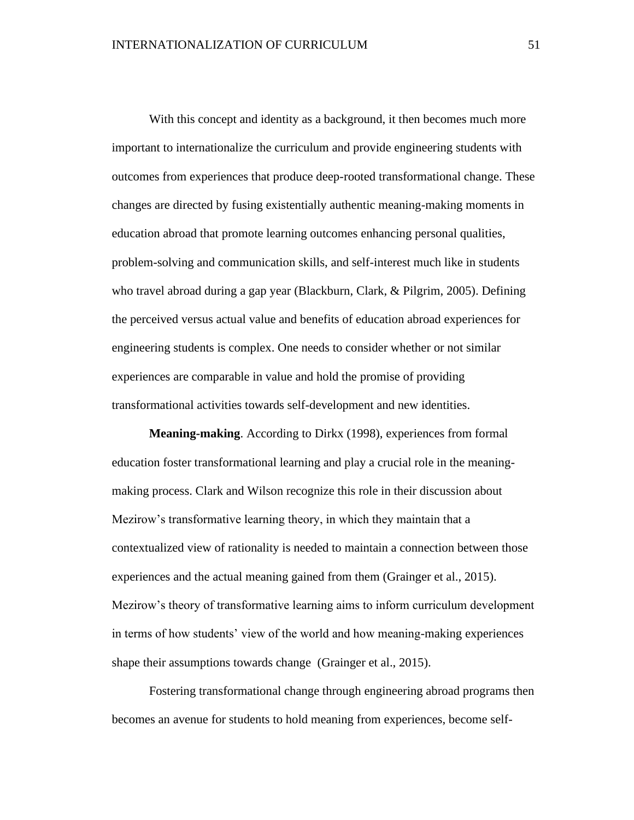With this concept and identity as a background, it then becomes much more important to internationalize the curriculum and provide engineering students with outcomes from experiences that produce deep-rooted transformational change. These changes are directed by fusing existentially authentic meaning-making moments in education abroad that promote learning outcomes enhancing personal qualities, problem-solving and communication skills, and self-interest much like in students who travel abroad during a gap year (Blackburn, Clark, & Pilgrim, 2005). Defining the perceived versus actual value and benefits of education abroad experiences for engineering students is complex. One needs to consider whether or not similar experiences are comparable in value and hold the promise of providing transformational activities towards self-development and new identities.

**Meaning-making**. According to Dirkx (1998), experiences from formal education foster transformational learning and play a crucial role in the meaningmaking process. Clark and Wilson recognize this role in their discussion about Mezirow's transformative learning theory, in which they maintain that a contextualized view of rationality is needed to maintain a connection between those experiences and the actual meaning gained from them (Grainger et al., 2015). Mezirow's theory of transformative learning aims to inform curriculum development in terms of how students' view of the world and how meaning-making experiences shape their assumptions towards change (Grainger et al., 2015).

Fostering transformational change through engineering abroad programs then becomes an avenue for students to hold meaning from experiences, become self-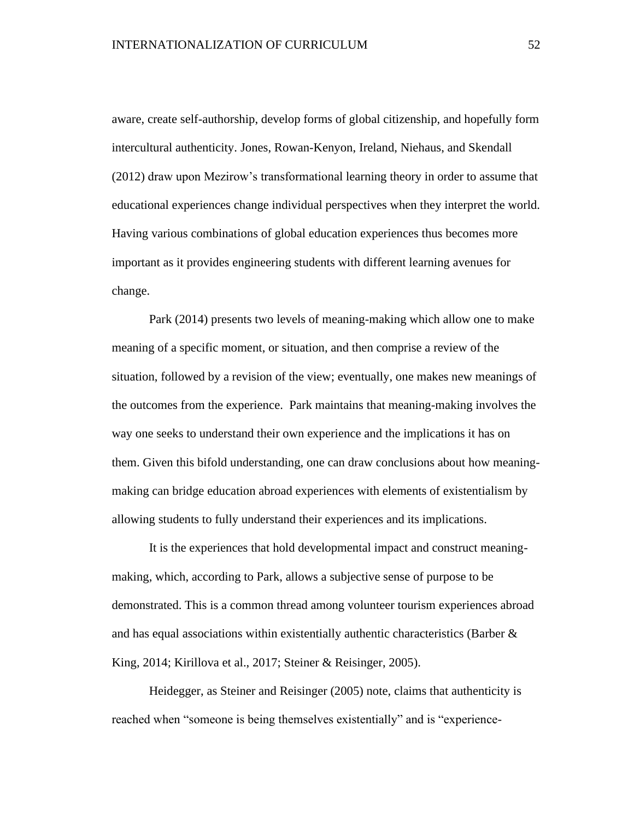aware, create self-authorship, develop forms of global citizenship, and hopefully form intercultural authenticity. Jones, Rowan-Kenyon, Ireland, Niehaus, and Skendall (2012) draw upon Mezirow's transformational learning theory in order to assume that educational experiences change individual perspectives when they interpret the world. Having various combinations of global education experiences thus becomes more important as it provides engineering students with different learning avenues for change.

Park (2014) presents two levels of meaning-making which allow one to make meaning of a specific moment, or situation, and then comprise a review of the situation, followed by a revision of the view; eventually, one makes new meanings of the outcomes from the experience. Park maintains that meaning-making involves the way one seeks to understand their own experience and the implications it has on them. Given this bifold understanding, one can draw conclusions about how meaningmaking can bridge education abroad experiences with elements of existentialism by allowing students to fully understand their experiences and its implications.

It is the experiences that hold developmental impact and construct meaningmaking, which, according to Park, allows a subjective sense of purpose to be demonstrated. This is a common thread among volunteer tourism experiences abroad and has equal associations within existentially authentic characteristics (Barber & King, 2014; Kirillova et al., 2017; Steiner & Reisinger, 2005).

Heidegger, as Steiner and Reisinger (2005) note, claims that authenticity is reached when "someone is being themselves existentially" and is "experience-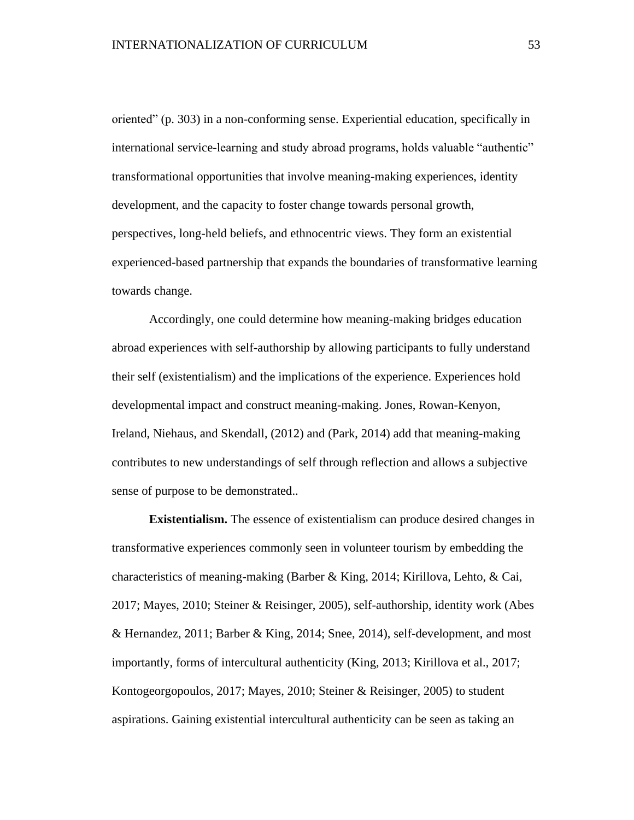oriented" (p. 303) in a non-conforming sense. Experiential education, specifically in international service-learning and study abroad programs, holds valuable "authentic" transformational opportunities that involve meaning-making experiences, identity development, and the capacity to foster change towards personal growth, perspectives, long-held beliefs, and ethnocentric views. They form an existential experienced-based partnership that expands the boundaries of transformative learning towards change.

Accordingly, one could determine how meaning-making bridges education abroad experiences with self-authorship by allowing participants to fully understand their self (existentialism) and the implications of the experience. Experiences hold developmental impact and construct meaning-making. Jones, Rowan-Kenyon, Ireland, Niehaus, and Skendall, (2012) and (Park, 2014) add that meaning-making contributes to new understandings of self through reflection and allows a subjective sense of purpose to be demonstrated..

**Existentialism.** The essence of existentialism can produce desired changes in transformative experiences commonly seen in volunteer tourism by embedding the characteristics of meaning-making (Barber & King, 2014; Kirillova, Lehto, & Cai, 2017; Mayes, 2010; Steiner & Reisinger, 2005), self-authorship, identity work (Abes & Hernandez, 2011; Barber & King, 2014; Snee, 2014), self-development, and most importantly, forms of intercultural authenticity (King, 2013; Kirillova et al., 2017; Kontogeorgopoulos, 2017; Mayes, 2010; Steiner & Reisinger, 2005) to student aspirations. Gaining existential intercultural authenticity can be seen as taking an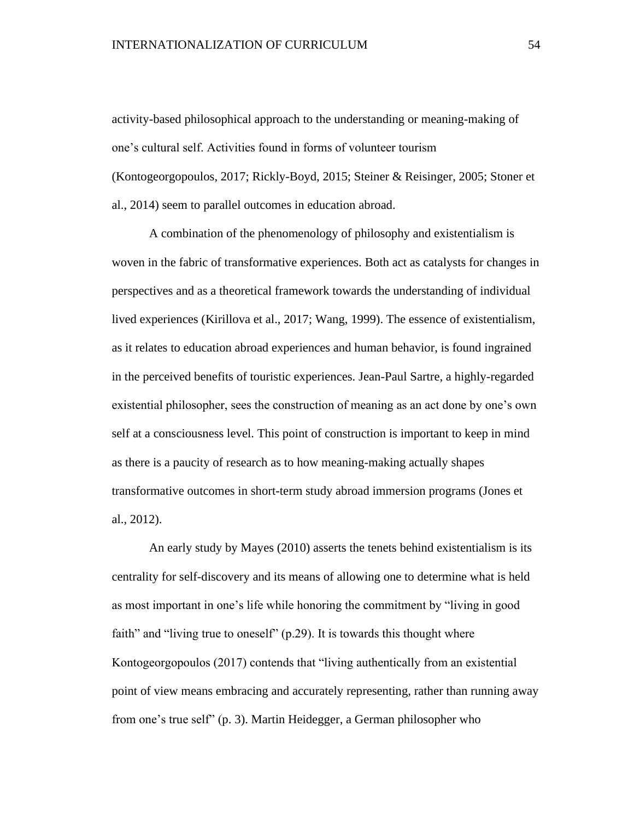activity-based philosophical approach to the understanding or meaning-making of one's cultural self. Activities found in forms of volunteer tourism (Kontogeorgopoulos, 2017; Rickly-Boyd, 2015; Steiner & Reisinger, 2005; Stoner et al., 2014) seem to parallel outcomes in education abroad.

A combination of the phenomenology of philosophy and existentialism is woven in the fabric of transformative experiences. Both act as catalysts for changes in perspectives and as a theoretical framework towards the understanding of individual lived experiences (Kirillova et al., 2017; Wang, 1999). The essence of existentialism, as it relates to education abroad experiences and human behavior, is found ingrained in the perceived benefits of touristic experiences. Jean-Paul Sartre, a highly-regarded existential philosopher, sees the construction of meaning as an act done by one's own self at a consciousness level. This point of construction is important to keep in mind as there is a paucity of research as to how meaning-making actually shapes transformative outcomes in short-term study abroad immersion programs (Jones et al., 2012).

An early study by Mayes (2010) asserts the tenets behind existentialism is its centrality for self-discovery and its means of allowing one to determine what is held as most important in one's life while honoring the commitment by "living in good faith" and "living true to oneself" (p.29). It is towards this thought where Kontogeorgopoulos (2017) contends that "living authentically from an existential point of view means embracing and accurately representing, rather than running away from one's true self" (p. 3). Martin Heidegger, a German philosopher who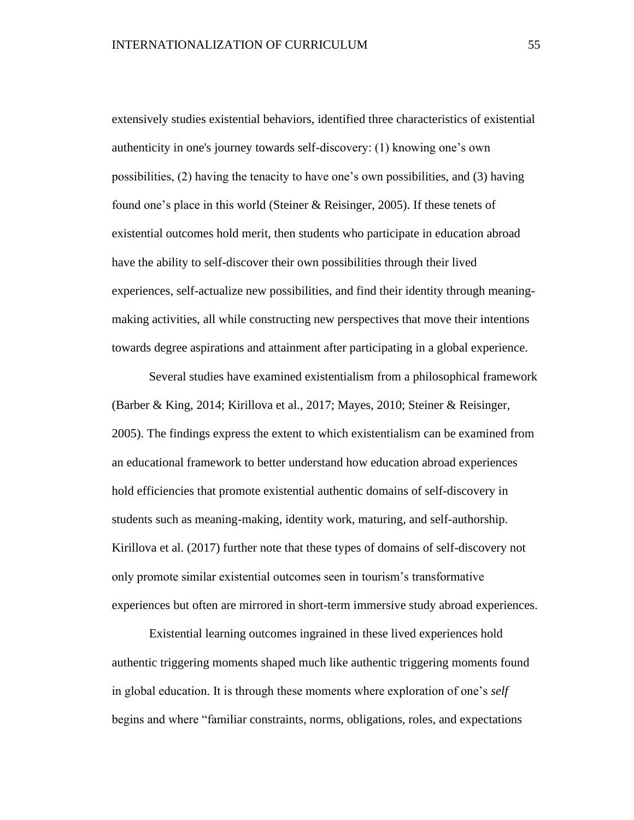extensively studies existential behaviors, identified three characteristics of existential authenticity in one's journey towards self-discovery: (1) knowing one's own possibilities, (2) having the tenacity to have one's own possibilities, and (3) having found one's place in this world (Steiner & Reisinger, 2005). If these tenets of existential outcomes hold merit, then students who participate in education abroad have the ability to self-discover their own possibilities through their lived experiences, self-actualize new possibilities, and find their identity through meaningmaking activities, all while constructing new perspectives that move their intentions towards degree aspirations and attainment after participating in a global experience.

Several studies have examined existentialism from a philosophical framework (Barber & King, 2014; Kirillova et al., 2017; Mayes, 2010; Steiner & Reisinger, 2005). The findings express the extent to which existentialism can be examined from an educational framework to better understand how education abroad experiences hold efficiencies that promote existential authentic domains of self-discovery in students such as meaning-making, identity work, maturing, and self-authorship. Kirillova et al. (2017) further note that these types of domains of self-discovery not only promote similar existential outcomes seen in tourism's transformative experiences but often are mirrored in short-term immersive study abroad experiences.

Existential learning outcomes ingrained in these lived experiences hold authentic triggering moments shaped much like authentic triggering moments found in global education. It is through these moments where exploration of one's *self* begins and where "familiar constraints, norms, obligations, roles, and expectations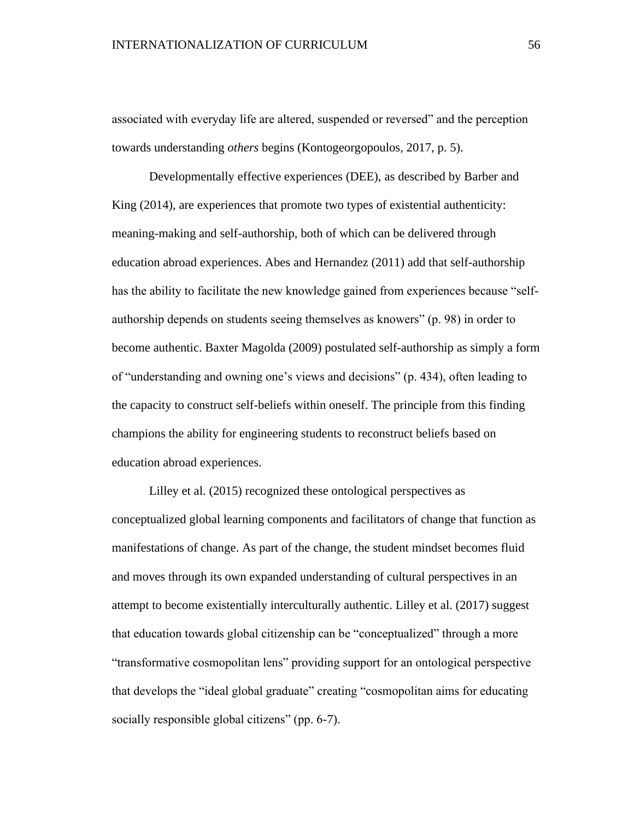associated with everyday life are altered, suspended or reversed" and the perception towards understanding *others* begins (Kontogeorgopoulos, 2017, p. 5).

Developmentally effective experiences (DEE), as described by Barber and King (2014), are experiences that promote two types of existential authenticity: meaning-making and self-authorship, both of which can be delivered through education abroad experiences. Abes and Hernandez (2011) add that self-authorship has the ability to facilitate the new knowledge gained from experiences because "selfauthorship depends on students seeing themselves as knowers" (p. 98) in order to become authentic. Baxter Magolda (2009) postulated self-authorship as simply a form of "understanding and owning one's views and decisions" (p. 434), often leading to the capacity to construct self-beliefs within oneself. The principle from this finding champions the ability for engineering students to reconstruct beliefs based on education abroad experiences.

Lilley et al. (2015) recognized these ontological perspectives as conceptualized global learning components and facilitators of change that function as manifestations of change. As part of the change, the student mindset becomes fluid and moves through its own expanded understanding of cultural perspectives in an attempt to become existentially interculturally authentic. Lilley et al. (2017) suggest that education towards global citizenship can be "conceptualized" through a more "transformative cosmopolitan lens" providing support for an ontological perspective that develops the "ideal global graduate" creating "cosmopolitan aims for educating socially responsible global citizens" (pp. 6-7).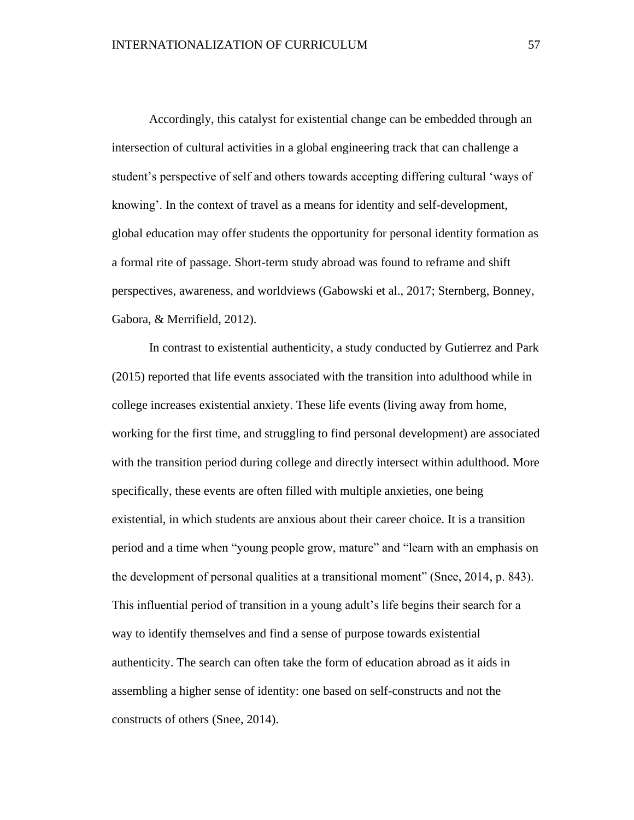Accordingly, this catalyst for existential change can be embedded through an intersection of cultural activities in a global engineering track that can challenge a student's perspective of self and others towards accepting differing cultural 'ways of knowing'. In the context of travel as a means for identity and self-development, global education may offer students the opportunity for personal identity formation as a formal rite of passage. Short-term study abroad was found to reframe and shift perspectives, awareness, and worldviews (Gabowski et al., 2017; Sternberg, Bonney, Gabora, & Merrifield, 2012).

In contrast to existential authenticity, a study conducted by Gutierrez and Park (2015) reported that life events associated with the transition into adulthood while in college increases existential anxiety. These life events (living away from home, working for the first time, and struggling to find personal development) are associated with the transition period during college and directly intersect within adulthood. More specifically, these events are often filled with multiple anxieties, one being existential, in which students are anxious about their career choice. It is a transition period and a time when "young people grow, mature" and "learn with an emphasis on the development of personal qualities at a transitional moment" (Snee, 2014, p. 843). This influential period of transition in a young adult's life begins their search for a way to identify themselves and find a sense of purpose towards existential authenticity. The search can often take the form of education abroad as it aids in assembling a higher sense of identity: one based on self-constructs and not the constructs of others (Snee, 2014).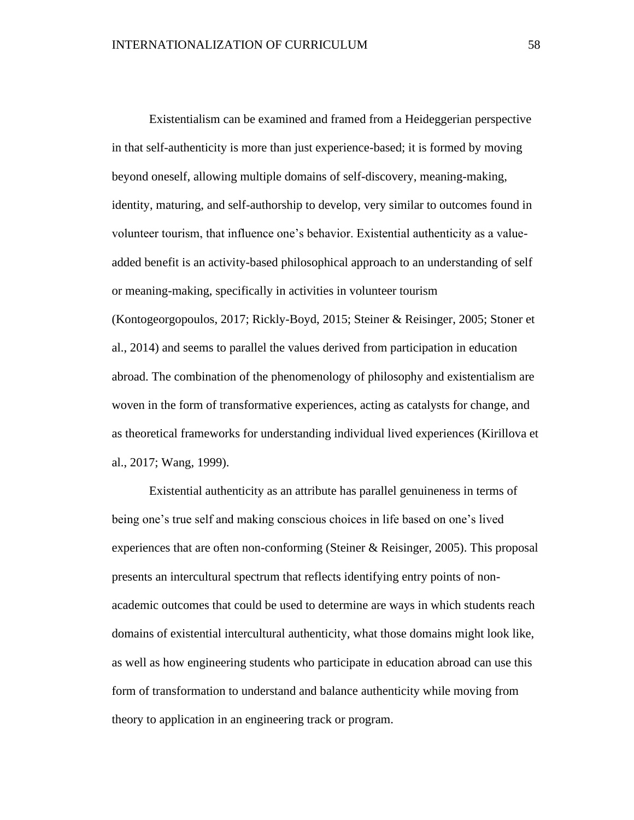Existentialism can be examined and framed from a Heideggerian perspective in that self-authenticity is more than just experience-based; it is formed by moving beyond oneself, allowing multiple domains of self-discovery, meaning-making, identity, maturing, and self-authorship to develop, very similar to outcomes found in volunteer tourism, that influence one's behavior. Existential authenticity as a valueadded benefit is an activity-based philosophical approach to an understanding of self or meaning-making, specifically in activities in volunteer tourism (Kontogeorgopoulos, 2017; Rickly-Boyd, 2015; Steiner & Reisinger, 2005; Stoner et al., 2014) and seems to parallel the values derived from participation in education abroad. The combination of the phenomenology of philosophy and existentialism are woven in the form of transformative experiences, acting as catalysts for change, and as theoretical frameworks for understanding individual lived experiences (Kirillova et al., 2017; Wang, 1999).

Existential authenticity as an attribute has parallel genuineness in terms of being one's true self and making conscious choices in life based on one's lived experiences that are often non-conforming (Steiner & Reisinger, 2005). This proposal presents an intercultural spectrum that reflects identifying entry points of nonacademic outcomes that could be used to determine are ways in which students reach domains of existential intercultural authenticity, what those domains might look like, as well as how engineering students who participate in education abroad can use this form of transformation to understand and balance authenticity while moving from theory to application in an engineering track or program.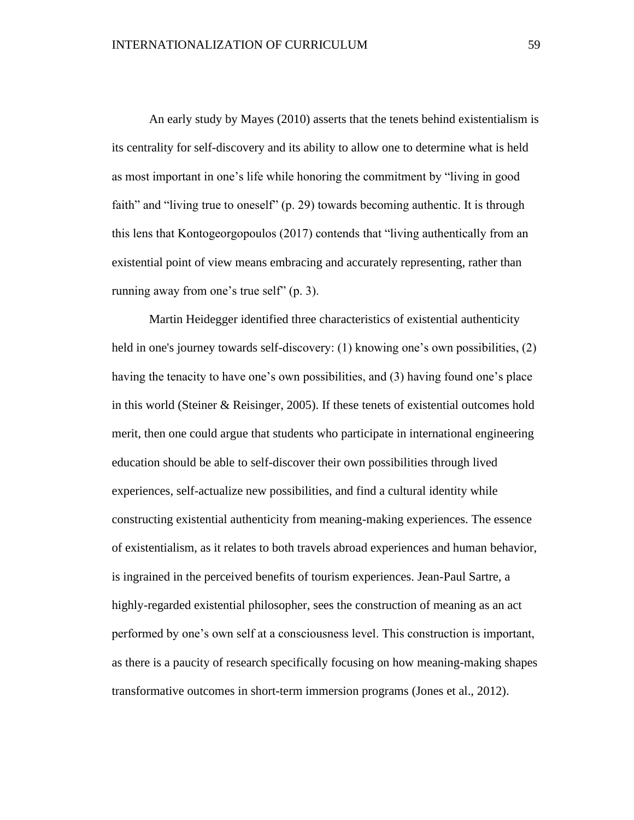An early study by Mayes (2010) asserts that the tenets behind existentialism is its centrality for self-discovery and its ability to allow one to determine what is held as most important in one's life while honoring the commitment by "living in good faith" and "living true to oneself" (p. 29) towards becoming authentic. It is through this lens that Kontogeorgopoulos (2017) contends that "living authentically from an existential point of view means embracing and accurately representing, rather than running away from one's true self" (p. 3).

Martin Heidegger identified three characteristics of existential authenticity held in one's journey towards self-discovery: (1) knowing one's own possibilities, (2) having the tenacity to have one's own possibilities, and (3) having found one's place in this world (Steiner & Reisinger, 2005). If these tenets of existential outcomes hold merit, then one could argue that students who participate in international engineering education should be able to self-discover their own possibilities through lived experiences, self-actualize new possibilities, and find a cultural identity while constructing existential authenticity from meaning-making experiences. The essence of existentialism, as it relates to both travels abroad experiences and human behavior, is ingrained in the perceived benefits of tourism experiences. Jean-Paul Sartre, a highly-regarded existential philosopher, sees the construction of meaning as an act performed by one's own self at a consciousness level. This construction is important, as there is a paucity of research specifically focusing on how meaning-making shapes transformative outcomes in short-term immersion programs (Jones et al., 2012).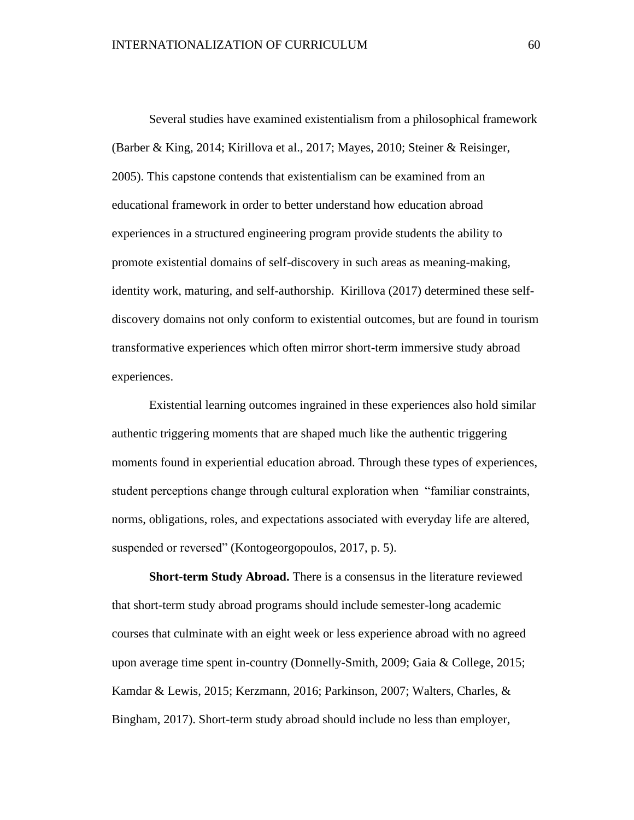Several studies have examined existentialism from a philosophical framework (Barber & King, 2014; Kirillova et al., 2017; Mayes, 2010; Steiner & Reisinger, 2005). This capstone contends that existentialism can be examined from an educational framework in order to better understand how education abroad experiences in a structured engineering program provide students the ability to promote existential domains of self-discovery in such areas as meaning-making, identity work, maturing, and self-authorship. Kirillova (2017) determined these selfdiscovery domains not only conform to existential outcomes, but are found in tourism transformative experiences which often mirror short-term immersive study abroad experiences.

Existential learning outcomes ingrained in these experiences also hold similar authentic triggering moments that are shaped much like the authentic triggering moments found in experiential education abroad. Through these types of experiences, student perceptions change through cultural exploration when "familiar constraints, norms, obligations, roles, and expectations associated with everyday life are altered, suspended or reversed" (Kontogeorgopoulos, 2017, p. 5).

**Short-term Study Abroad.** There is a consensus in the literature reviewed that short-term study abroad programs should include semester-long academic courses that culminate with an eight week or less experience abroad with no agreed upon average time spent in-country (Donnelly-Smith, 2009; Gaia & College, 2015; Kamdar & Lewis, 2015; Kerzmann, 2016; Parkinson, 2007; Walters, Charles, & Bingham, 2017). Short-term study abroad should include no less than employer,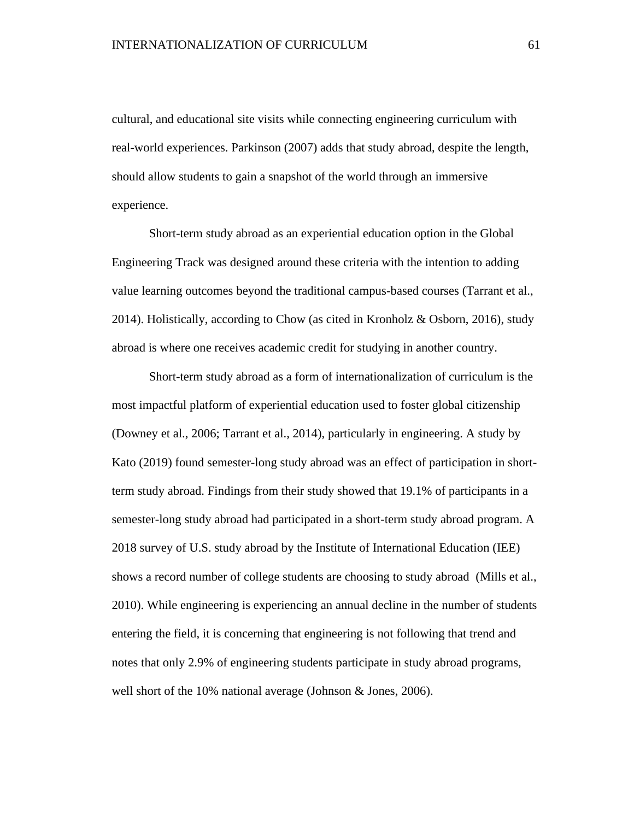cultural, and educational site visits while connecting engineering curriculum with real-world experiences. Parkinson (2007) adds that study abroad, despite the length, should allow students to gain a snapshot of the world through an immersive experience.

Short-term study abroad as an experiential education option in the Global Engineering Track was designed around these criteria with the intention to adding value learning outcomes beyond the traditional campus-based courses (Tarrant et al., 2014). Holistically, according to Chow (as cited in Kronholz & Osborn, 2016), study abroad is where one receives academic credit for studying in another country.

Short-term study abroad as a form of internationalization of curriculum is the most impactful platform of experiential education used to foster global citizenship (Downey et al., 2006; Tarrant et al., 2014), particularly in engineering. A study by Kato (2019) found semester-long study abroad was an effect of participation in shortterm study abroad. Findings from their study showed that 19.1% of participants in a semester-long study abroad had participated in a short-term study abroad program. A 2018 survey of U.S. study abroad by the Institute of International Education (IEE) shows a record number of college students are choosing to study abroad (Mills et al., 2010). While engineering is experiencing an annual decline in the number of students entering the field, it is concerning that engineering is not following that trend and notes that only 2.9% of engineering students participate in study abroad programs, well short of the 10% national average (Johnson & Jones, 2006).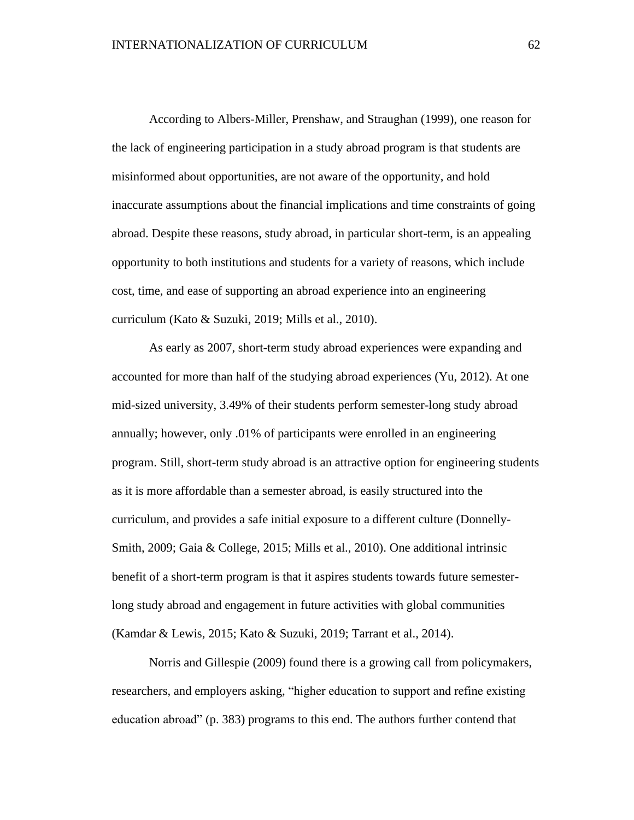According to Albers-Miller, Prenshaw, and Straughan (1999), one reason for the lack of engineering participation in a study abroad program is that students are misinformed about opportunities, are not aware of the opportunity, and hold inaccurate assumptions about the financial implications and time constraints of going abroad. Despite these reasons, study abroad, in particular short-term, is an appealing opportunity to both institutions and students for a variety of reasons, which include cost, time, and ease of supporting an abroad experience into an engineering curriculum (Kato & Suzuki, 2019; Mills et al., 2010).

As early as 2007, short-term study abroad experiences were expanding and accounted for more than half of the studying abroad experiences (Yu, 2012). At one mid-sized university, 3.49% of their students perform semester-long study abroad annually; however, only .01% of participants were enrolled in an engineering program. Still, short-term study abroad is an attractive option for engineering students as it is more affordable than a semester abroad, is easily structured into the curriculum, and provides a safe initial exposure to a different culture (Donnelly-Smith, 2009; Gaia & College, 2015; Mills et al., 2010). One additional intrinsic benefit of a short-term program is that it aspires students towards future semesterlong study abroad and engagement in future activities with global communities (Kamdar & Lewis, 2015; Kato & Suzuki, 2019; Tarrant et al., 2014).

Norris and Gillespie (2009) found there is a growing call from policymakers, researchers, and employers asking, "higher education to support and refine existing education abroad" (p. 383) programs to this end. The authors further contend that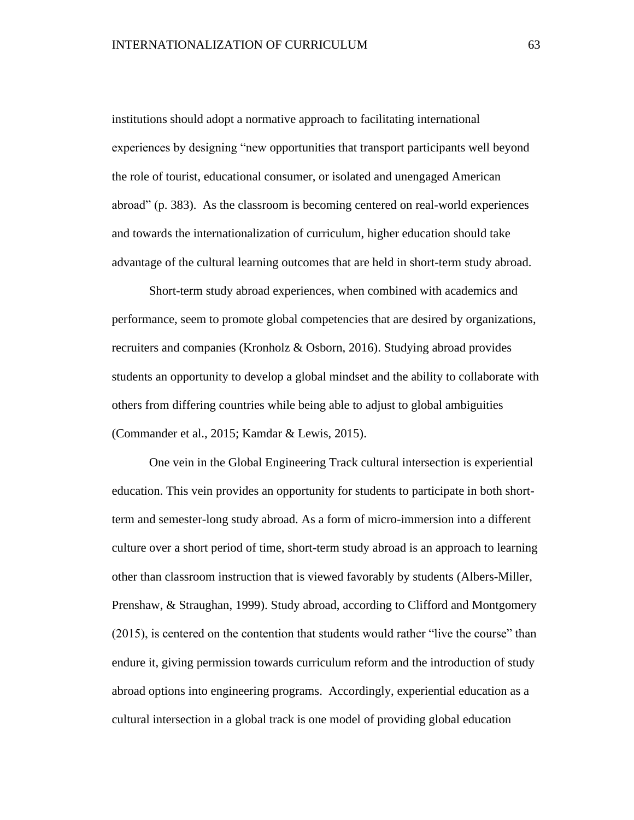institutions should adopt a normative approach to facilitating international experiences by designing "new opportunities that transport participants well beyond the role of tourist, educational consumer, or isolated and unengaged American abroad" (p. 383). As the classroom is becoming centered on real-world experiences and towards the internationalization of curriculum, higher education should take advantage of the cultural learning outcomes that are held in short-term study abroad.

Short-term study abroad experiences, when combined with academics and performance, seem to promote global competencies that are desired by organizations, recruiters and companies (Kronholz & Osborn, 2016). Studying abroad provides students an opportunity to develop a global mindset and the ability to collaborate with others from differing countries while being able to adjust to global ambiguities (Commander et al., 2015; Kamdar & Lewis, 2015).

One vein in the Global Engineering Track cultural intersection is experiential education. This vein provides an opportunity for students to participate in both shortterm and semester-long study abroad. As a form of micro-immersion into a different culture over a short period of time, short-term study abroad is an approach to learning other than classroom instruction that is viewed favorably by students (Albers-Miller, Prenshaw, & Straughan, 1999). Study abroad, according to Clifford and Montgomery (2015), is centered on the contention that students would rather "live the course" than endure it, giving permission towards curriculum reform and the introduction of study abroad options into engineering programs. Accordingly, experiential education as a cultural intersection in a global track is one model of providing global education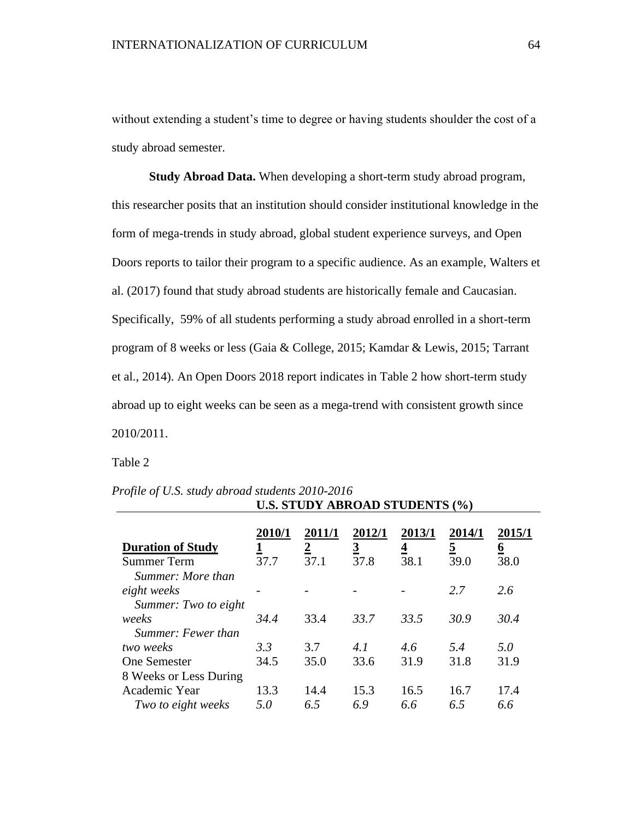without extending a student's time to degree or having students shoulder the cost of a study abroad semester.

**Study Abroad Data.** When developing a short-term study abroad program, this researcher posits that an institution should consider institutional knowledge in the form of mega-trends in study abroad, global student experience surveys, and Open Doors reports to tailor their program to a specific audience. As an example, Walters et al. (2017) found that study abroad students are historically female and Caucasian. Specifically, 59% of all students performing a study abroad enrolled in a short-term program of 8 weeks or less (Gaia & College, 2015; Kamdar & Lewis, 2015; Tarrant et al., 2014). An Open Doors 2018 report indicates in Table 2 how short-term study abroad up to eight weeks can be seen as a mega-trend with consistent growth since 2010/2011.

Table 2

|                                                 | $\mathbf{C}$ to the $\mathbf{D}$ $\mathbf{I}$ then $\mathbf{C}$ . The $\mathbf{D}$ to $\mathbf{D}$ the state $\mathbf{D}$ |                                         |                            |                            |                            |                            |
|-------------------------------------------------|---------------------------------------------------------------------------------------------------------------------------|-----------------------------------------|----------------------------|----------------------------|----------------------------|----------------------------|
| <b>Duration of Study</b><br><b>Summer Term</b>  | 2010/1<br>37.7                                                                                                            | <b>2011/1</b><br>$\overline{2}$<br>37.1 | 2012/1<br><u>3</u><br>37.8 | 2013/1<br><u>4</u><br>38.1 | 2014/1<br><u>5</u><br>39.0 | 2015/1<br><u>6</u><br>38.0 |
| Summer: More than<br>eight weeks                |                                                                                                                           |                                         |                            |                            | 2.7                        | 2.6                        |
| Summer: Two to eight<br>weeks                   | 34.4                                                                                                                      | 33.4                                    | 33.7                       | 33.5                       | 30.9                       | 30.4                       |
| Summer: Fewer than<br>two weeks<br>One Semester | 3.3<br>34.5                                                                                                               | 3.7<br>35.0                             | 4.1<br>33.6                | 4.6<br>31.9                | 5.4<br>31.8                | 5.0<br>31.9                |
| 8 Weeks or Less During                          |                                                                                                                           |                                         |                            |                            |                            |                            |
| Academic Year<br>Two to eight weeks             | 13.3<br>5.0                                                                                                               | 14.4<br>6.5                             | 15.3<br>6.9                | 16.5<br>6.6                | 16.7<br>6.5                | 17.4<br>6.6                |

*Profile of U.S. study abroad students 2010-2016*  **U.S. STUDY ABROAD STUDENTS (%)**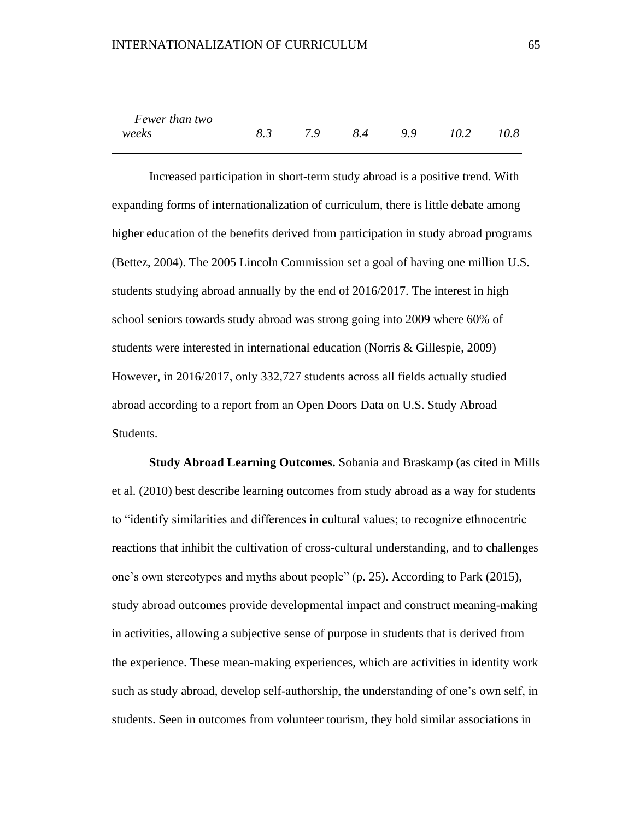| Fewer than two |  |  |                           |  |
|----------------|--|--|---------------------------|--|
| weeks          |  |  | 8.3 7.9 8.4 9.9 10.2 10.8 |  |

Increased participation in short-term study abroad is a positive trend. With expanding forms of internationalization of curriculum, there is little debate among higher education of the benefits derived from participation in study abroad programs (Bettez, 2004). The 2005 Lincoln Commission set a goal of having one million U.S. students studying abroad annually by the end of 2016/2017. The interest in high school seniors towards study abroad was strong going into 2009 where 60% of students were interested in international education (Norris & Gillespie, 2009) However, in 2016/2017, only 332,727 students across all fields actually studied abroad according to a report from an Open Doors Data on U.S. Study Abroad Students.

**Study Abroad Learning Outcomes.** Sobania and Braskamp (as cited in Mills et al. (2010) best describe learning outcomes from study abroad as a way for students to "identify similarities and differences in cultural values; to recognize ethnocentric reactions that inhibit the cultivation of cross-cultural understanding, and to challenges one's own stereotypes and myths about people" (p. 25). According to Park (2015), study abroad outcomes provide developmental impact and construct meaning-making in activities, allowing a subjective sense of purpose in students that is derived from the experience. These mean-making experiences, which are activities in identity work such as study abroad, develop self-authorship, the understanding of one's own self, in students. Seen in outcomes from volunteer tourism, they hold similar associations in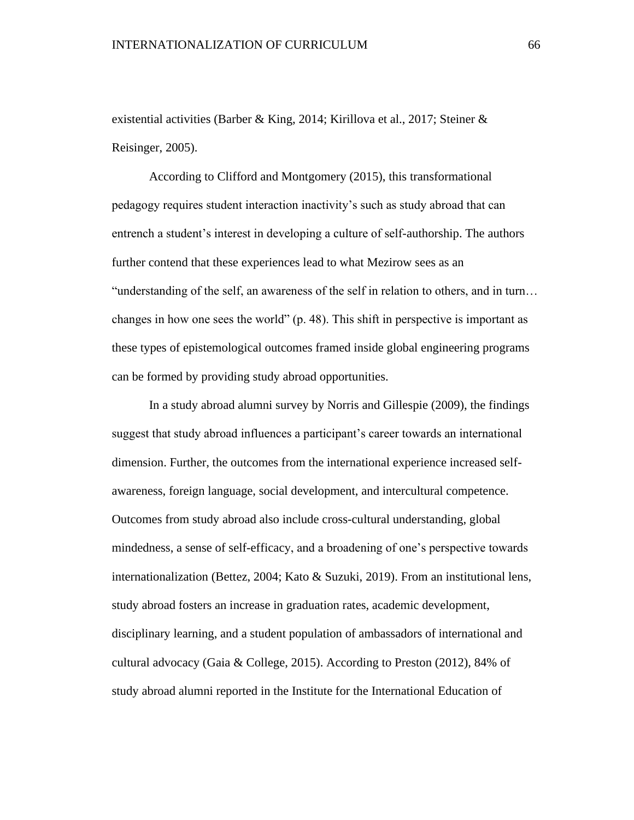existential activities (Barber & King, 2014; Kirillova et al., 2017; Steiner & Reisinger, 2005).

According to Clifford and Montgomery (2015), this transformational pedagogy requires student interaction inactivity's such as study abroad that can entrench a student's interest in developing a culture of self-authorship. The authors further contend that these experiences lead to what Mezirow sees as an "understanding of the self, an awareness of the self in relation to others, and in turn… changes in how one sees the world" (p. 48). This shift in perspective is important as these types of epistemological outcomes framed inside global engineering programs can be formed by providing study abroad opportunities.

In a study abroad alumni survey by Norris and Gillespie (2009), the findings suggest that study abroad influences a participant's career towards an international dimension. Further, the outcomes from the international experience increased selfawareness, foreign language, social development, and intercultural competence. Outcomes from study abroad also include cross-cultural understanding, global mindedness, a sense of self-efficacy, and a broadening of one's perspective towards internationalization (Bettez, 2004; Kato & Suzuki, 2019). From an institutional lens, study abroad fosters an increase in graduation rates, academic development, disciplinary learning, and a student population of ambassadors of international and cultural advocacy (Gaia & College, 2015). According to Preston (2012), 84% of study abroad alumni reported in the Institute for the International Education of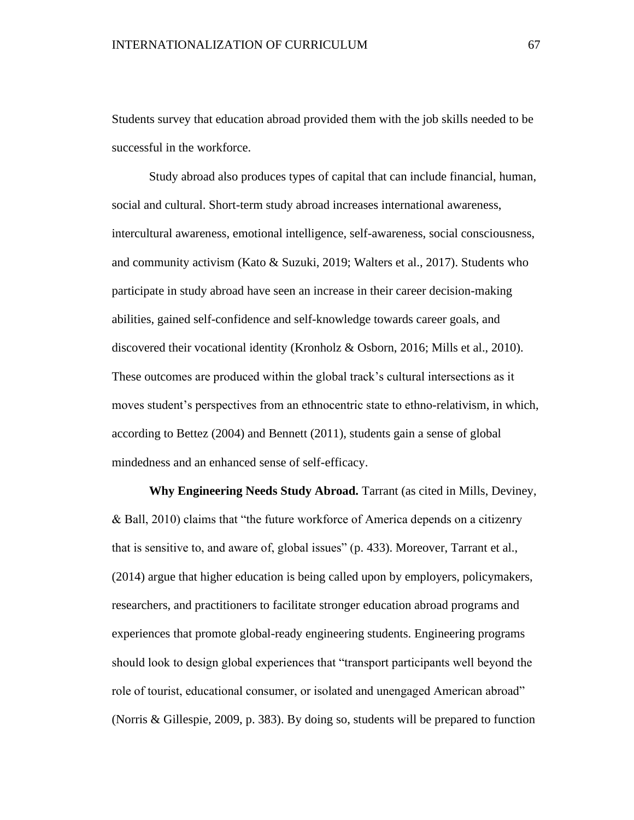Students survey that education abroad provided them with the job skills needed to be successful in the workforce.

Study abroad also produces types of capital that can include financial, human, social and cultural. Short-term study abroad increases international awareness, intercultural awareness, emotional intelligence, self-awareness, social consciousness, and community activism (Kato & Suzuki, 2019; Walters et al., 2017). Students who participate in study abroad have seen an increase in their career decision-making abilities, gained self-confidence and self-knowledge towards career goals, and discovered their vocational identity (Kronholz & Osborn, 2016; Mills et al., 2010). These outcomes are produced within the global track's cultural intersections as it moves student's perspectives from an ethnocentric state to ethno-relativism, in which, according to Bettez (2004) and Bennett (2011), students gain a sense of global mindedness and an enhanced sense of self-efficacy.

**Why Engineering Needs Study Abroad.** Tarrant (as cited in Mills, Deviney, & Ball, 2010) claims that "the future workforce of America depends on a citizenry that is sensitive to, and aware of, global issues" (p. 433). Moreover, Tarrant et al., (2014) argue that higher education is being called upon by employers, policymakers, researchers, and practitioners to facilitate stronger education abroad programs and experiences that promote global-ready engineering students. Engineering programs should look to design global experiences that "transport participants well beyond the role of tourist, educational consumer, or isolated and unengaged American abroad" (Norris & Gillespie, 2009, p. 383). By doing so, students will be prepared to function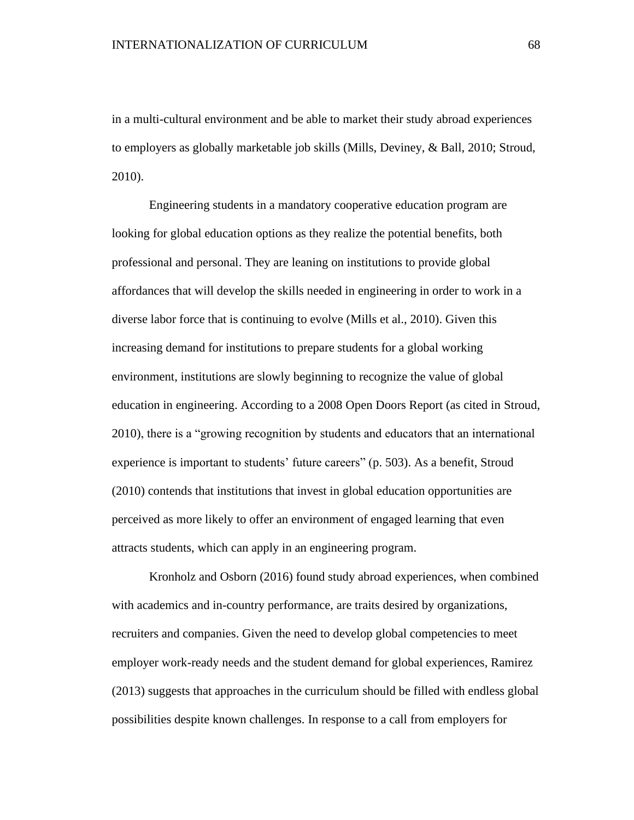in a multi-cultural environment and be able to market their study abroad experiences to employers as globally marketable job skills (Mills, Deviney, & Ball, 2010; Stroud, 2010).

Engineering students in a mandatory cooperative education program are looking for global education options as they realize the potential benefits, both professional and personal. They are leaning on institutions to provide global affordances that will develop the skills needed in engineering in order to work in a diverse labor force that is continuing to evolve (Mills et al., 2010). Given this increasing demand for institutions to prepare students for a global working environment, institutions are slowly beginning to recognize the value of global education in engineering. According to a 2008 Open Doors Report (as cited in Stroud, 2010), there is a "growing recognition by students and educators that an international experience is important to students' future careers" (p. 503). As a benefit, Stroud (2010) contends that institutions that invest in global education opportunities are perceived as more likely to offer an environment of engaged learning that even attracts students, which can apply in an engineering program.

Kronholz and Osborn (2016) found study abroad experiences, when combined with academics and in-country performance, are traits desired by organizations, recruiters and companies. Given the need to develop global competencies to meet employer work-ready needs and the student demand for global experiences, Ramirez (2013) suggests that approaches in the curriculum should be filled with endless global possibilities despite known challenges. In response to a call from employers for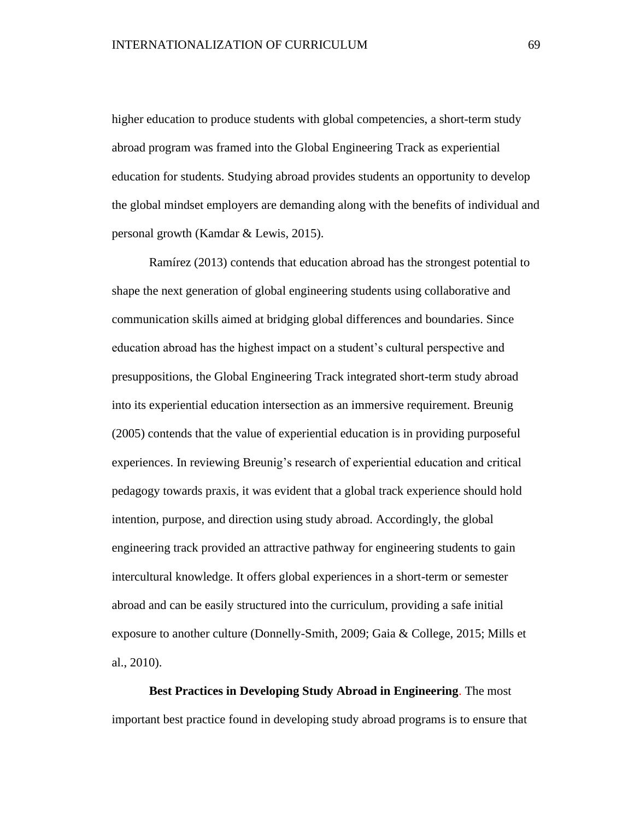higher education to produce students with global competencies, a short-term study abroad program was framed into the Global Engineering Track as experiential education for students. Studying abroad provides students an opportunity to develop the global mindset employers are demanding along with the benefits of individual and personal growth (Kamdar & Lewis, 2015).

Ramírez (2013) contends that education abroad has the strongest potential to shape the next generation of global engineering students using collaborative and communication skills aimed at bridging global differences and boundaries. Since education abroad has the highest impact on a student's cultural perspective and presuppositions, the Global Engineering Track integrated short-term study abroad into its experiential education intersection as an immersive requirement. Breunig (2005) contends that the value of experiential education is in providing purposeful experiences. In reviewing Breunig's research of experiential education and critical pedagogy towards praxis, it was evident that a global track experience should hold intention, purpose, and direction using study abroad. Accordingly, the global engineering track provided an attractive pathway for engineering students to gain intercultural knowledge. It offers global experiences in a short-term or semester abroad and can be easily structured into the curriculum, providing a safe initial exposure to another culture (Donnelly-Smith, 2009; Gaia & College, 2015; Mills et al., 2010).

**Best Practices in Developing Study Abroad in Engineering**. The most important best practice found in developing study abroad programs is to ensure that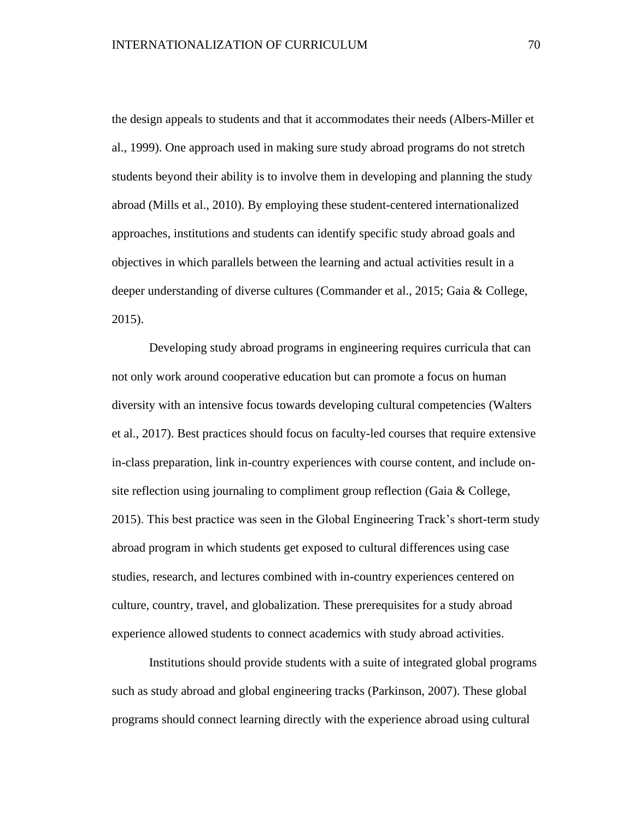the design appeals to students and that it accommodates their needs (Albers-Miller et al., 1999). One approach used in making sure study abroad programs do not stretch students beyond their ability is to involve them in developing and planning the study abroad (Mills et al., 2010). By employing these student-centered internationalized approaches, institutions and students can identify specific study abroad goals and objectives in which parallels between the learning and actual activities result in a deeper understanding of diverse cultures (Commander et al., 2015; Gaia & College, 2015).

Developing study abroad programs in engineering requires curricula that can not only work around cooperative education but can promote a focus on human diversity with an intensive focus towards developing cultural competencies (Walters et al., 2017). Best practices should focus on faculty-led courses that require extensive in-class preparation, link in-country experiences with course content, and include onsite reflection using journaling to compliment group reflection (Gaia & College, 2015). This best practice was seen in the Global Engineering Track's short-term study abroad program in which students get exposed to cultural differences using case studies, research, and lectures combined with in-country experiences centered on culture, country, travel, and globalization. These prerequisites for a study abroad experience allowed students to connect academics with study abroad activities.

Institutions should provide students with a suite of integrated global programs such as study abroad and global engineering tracks (Parkinson, 2007). These global programs should connect learning directly with the experience abroad using cultural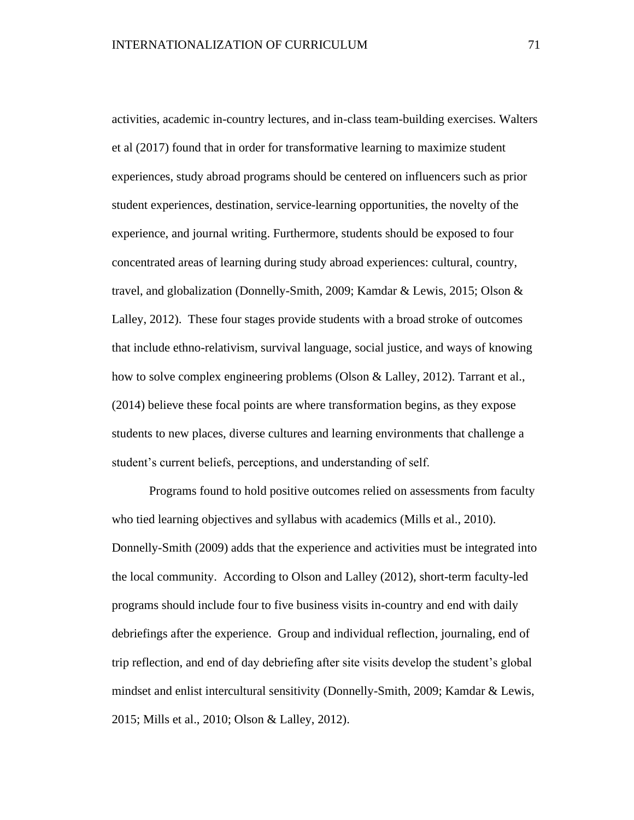activities, academic in-country lectures, and in-class team-building exercises. Walters et al (2017) found that in order for transformative learning to maximize student experiences, study abroad programs should be centered on influencers such as prior student experiences, destination, service-learning opportunities, the novelty of the experience, and journal writing. Furthermore, students should be exposed to four concentrated areas of learning during study abroad experiences: cultural, country, travel, and globalization (Donnelly-Smith, 2009; Kamdar & Lewis, 2015; Olson & Lalley, 2012). These four stages provide students with a broad stroke of outcomes that include ethno-relativism, survival language, social justice, and ways of knowing how to solve complex engineering problems (Olson & Lalley, 2012). Tarrant et al., (2014) believe these focal points are where transformation begins, as they expose students to new places, diverse cultures and learning environments that challenge a student's current beliefs, perceptions, and understanding of self.

Programs found to hold positive outcomes relied on assessments from faculty who tied learning objectives and syllabus with academics (Mills et al., 2010). Donnelly-Smith (2009) adds that the experience and activities must be integrated into the local community. According to Olson and Lalley (2012), short-term faculty-led programs should include four to five business visits in-country and end with daily debriefings after the experience. Group and individual reflection, journaling, end of trip reflection, and end of day debriefing after site visits develop the student's global mindset and enlist intercultural sensitivity (Donnelly-Smith, 2009; Kamdar & Lewis, 2015; Mills et al., 2010; Olson & Lalley, 2012).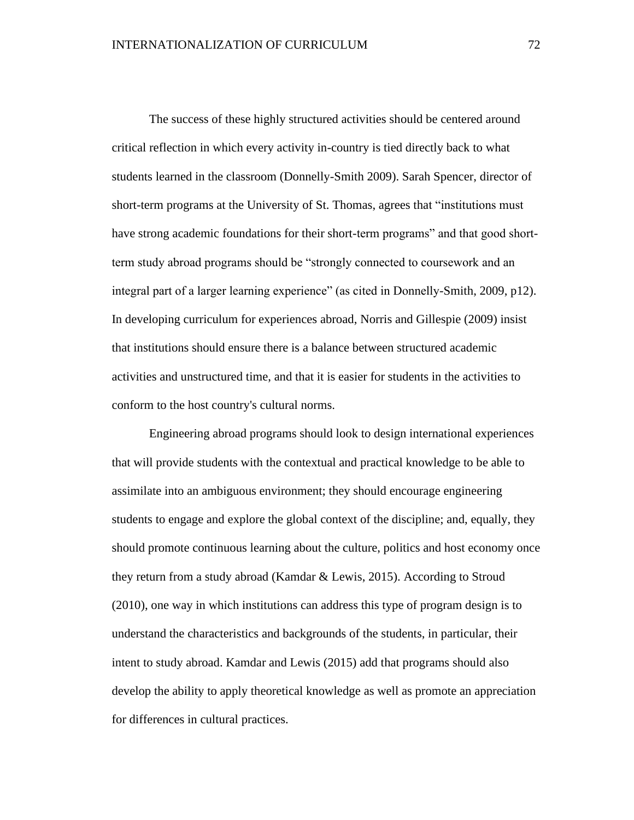The success of these highly structured activities should be centered around critical reflection in which every activity in-country is tied directly back to what students learned in the classroom (Donnelly-Smith 2009). Sarah Spencer, director of short-term programs at the University of St. Thomas, agrees that "institutions must have strong academic foundations for their short-term programs" and that good shortterm study abroad programs should be "strongly connected to coursework and an integral part of a larger learning experience" (as cited in Donnelly-Smith, 2009, p12). In developing curriculum for experiences abroad, Norris and Gillespie (2009) insist that institutions should ensure there is a balance between structured academic activities and unstructured time, and that it is easier for students in the activities to conform to the host country's cultural norms.

Engineering abroad programs should look to design international experiences that will provide students with the contextual and practical knowledge to be able to assimilate into an ambiguous environment; they should encourage engineering students to engage and explore the global context of the discipline; and, equally, they should promote continuous learning about the culture, politics and host economy once they return from a study abroad (Kamdar & Lewis, 2015). According to Stroud (2010), one way in which institutions can address this type of program design is to understand the characteristics and backgrounds of the students, in particular, their intent to study abroad. Kamdar and Lewis (2015) add that programs should also develop the ability to apply theoretical knowledge as well as promote an appreciation for differences in cultural practices.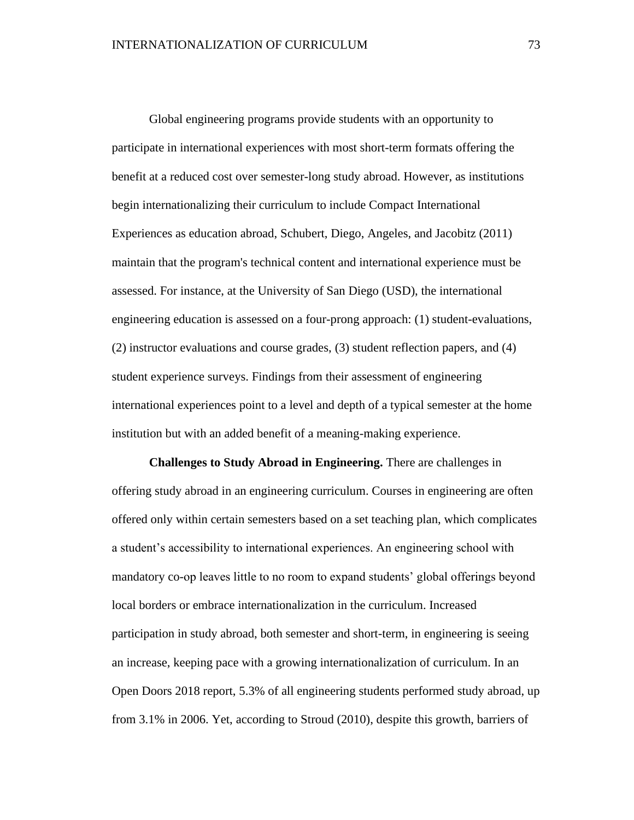Global engineering programs provide students with an opportunity to participate in international experiences with most short-term formats offering the benefit at a reduced cost over semester-long study abroad. However, as institutions begin internationalizing their curriculum to include Compact International Experiences as education abroad, Schubert, Diego, Angeles, and Jacobitz (2011) maintain that the program's technical content and international experience must be assessed. For instance, at the University of San Diego (USD), the international engineering education is assessed on a four-prong approach: (1) student-evaluations, (2) instructor evaluations and course grades, (3) student reflection papers, and (4) student experience surveys. Findings from their assessment of engineering international experiences point to a level and depth of a typical semester at the home institution but with an added benefit of a meaning-making experience.

**Challenges to Study Abroad in Engineering.** There are challenges in offering study abroad in an engineering curriculum. Courses in engineering are often offered only within certain semesters based on a set teaching plan, which complicates a student's accessibility to international experiences. An engineering school with mandatory co-op leaves little to no room to expand students' global offerings beyond local borders or embrace internationalization in the curriculum. Increased participation in study abroad, both semester and short-term, in engineering is seeing an increase, keeping pace with a growing internationalization of curriculum. In an Open Doors 2018 report, 5.3% of all engineering students performed study abroad, up from 3.1% in 2006. Yet, according to Stroud (2010), despite this growth, barriers of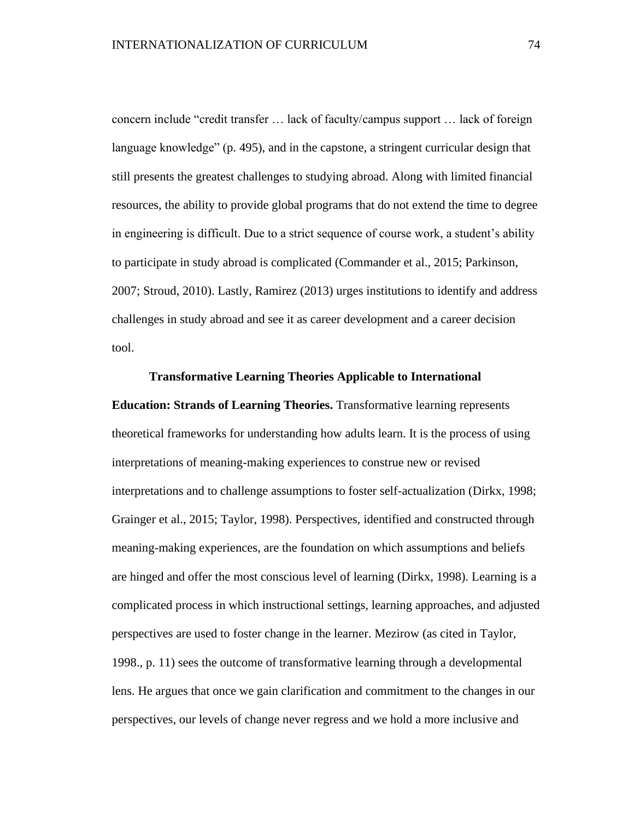concern include "credit transfer … lack of faculty/campus support … lack of foreign language knowledge" (p. 495), and in the capstone, a stringent curricular design that still presents the greatest challenges to studying abroad. Along with limited financial resources, the ability to provide global programs that do not extend the time to degree in engineering is difficult. Due to a strict sequence of course work, a student's ability to participate in study abroad is complicated (Commander et al., 2015; Parkinson, 2007; Stroud, 2010). Lastly, Ramirez (2013) urges institutions to identify and address challenges in study abroad and see it as career development and a career decision tool.

## **Transformative Learning Theories Applicable to International**

**Education: Strands of Learning Theories.** Transformative learning represents theoretical frameworks for understanding how adults learn. It is the process of using interpretations of meaning-making experiences to construe new or revised interpretations and to challenge assumptions to foster self-actualization (Dirkx, 1998; Grainger et al., 2015; Taylor, 1998). Perspectives, identified and constructed through meaning-making experiences, are the foundation on which assumptions and beliefs are hinged and offer the most conscious level of learning (Dirkx, 1998). Learning is a complicated process in which instructional settings, learning approaches, and adjusted perspectives are used to foster change in the learner. Mezirow (as cited in Taylor, 1998., p. 11) sees the outcome of transformative learning through a developmental lens. He argues that once we gain clarification and commitment to the changes in our perspectives, our levels of change never regress and we hold a more inclusive and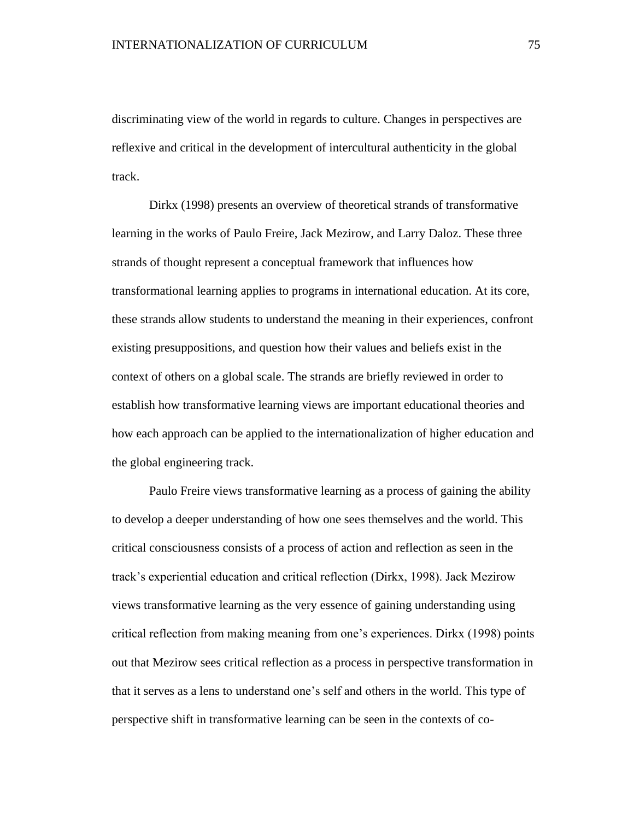discriminating view of the world in regards to culture. Changes in perspectives are reflexive and critical in the development of intercultural authenticity in the global track.

Dirkx (1998) presents an overview of theoretical strands of transformative learning in the works of Paulo Freire, Jack Mezirow, and Larry Daloz. These three strands of thought represent a conceptual framework that influences how transformational learning applies to programs in international education. At its core, these strands allow students to understand the meaning in their experiences, confront existing presuppositions, and question how their values and beliefs exist in the context of others on a global scale. The strands are briefly reviewed in order to establish how transformative learning views are important educational theories and how each approach can be applied to the internationalization of higher education and the global engineering track.

Paulo Freire views transformative learning as a process of gaining the ability to develop a deeper understanding of how one sees themselves and the world. This critical consciousness consists of a process of action and reflection as seen in the track's experiential education and critical reflection (Dirkx, 1998). Jack Mezirow views transformative learning as the very essence of gaining understanding using critical reflection from making meaning from one's experiences. Dirkx (1998) points out that Mezirow sees critical reflection as a process in perspective transformation in that it serves as a lens to understand one's self and others in the world. This type of perspective shift in transformative learning can be seen in the contexts of co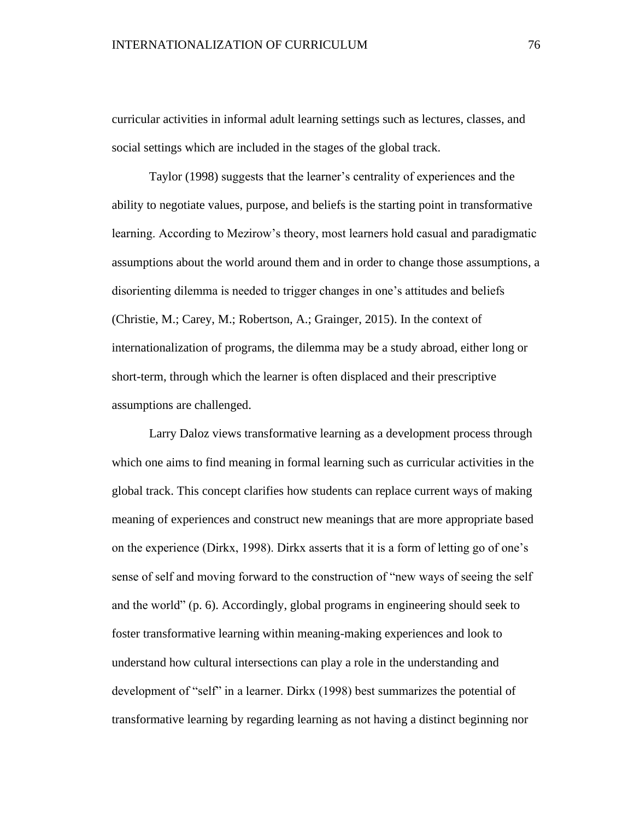curricular activities in informal adult learning settings such as lectures, classes, and social settings which are included in the stages of the global track.

Taylor (1998) suggests that the learner's centrality of experiences and the ability to negotiate values, purpose, and beliefs is the starting point in transformative learning. According to Mezirow's theory, most learners hold casual and paradigmatic assumptions about the world around them and in order to change those assumptions, a disorienting dilemma is needed to trigger changes in one's attitudes and beliefs (Christie, M.; Carey, M.; Robertson, A.; Grainger, 2015). In the context of internationalization of programs, the dilemma may be a study abroad, either long or short-term, through which the learner is often displaced and their prescriptive assumptions are challenged.

Larry Daloz views transformative learning as a development process through which one aims to find meaning in formal learning such as curricular activities in the global track. This concept clarifies how students can replace current ways of making meaning of experiences and construct new meanings that are more appropriate based on the experience (Dirkx, 1998). Dirkx asserts that it is a form of letting go of one's sense of self and moving forward to the construction of "new ways of seeing the self and the world" (p. 6). Accordingly, global programs in engineering should seek to foster transformative learning within meaning-making experiences and look to understand how cultural intersections can play a role in the understanding and development of "self" in a learner. Dirkx (1998) best summarizes the potential of transformative learning by regarding learning as not having a distinct beginning nor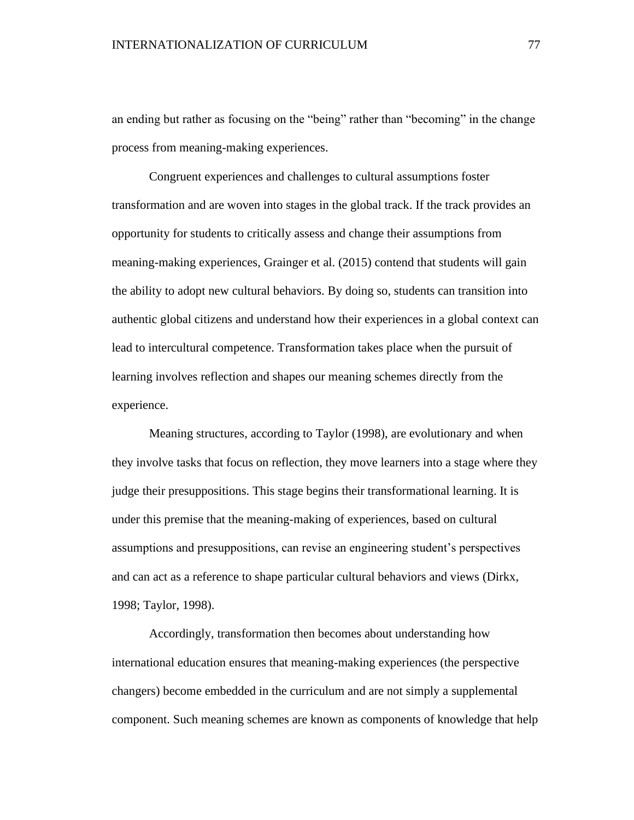an ending but rather as focusing on the "being" rather than "becoming" in the change process from meaning-making experiences.

Congruent experiences and challenges to cultural assumptions foster transformation and are woven into stages in the global track. If the track provides an opportunity for students to critically assess and change their assumptions from meaning-making experiences, Grainger et al. (2015) contend that students will gain the ability to adopt new cultural behaviors. By doing so, students can transition into authentic global citizens and understand how their experiences in a global context can lead to intercultural competence. Transformation takes place when the pursuit of learning involves reflection and shapes our meaning schemes directly from the experience.

Meaning structures, according to Taylor (1998), are evolutionary and when they involve tasks that focus on reflection, they move learners into a stage where they judge their presuppositions. This stage begins their transformational learning. It is under this premise that the meaning-making of experiences, based on cultural assumptions and presuppositions, can revise an engineering student's perspectives and can act as a reference to shape particular cultural behaviors and views (Dirkx, 1998; Taylor, 1998).

Accordingly, transformation then becomes about understanding how international education ensures that meaning-making experiences (the perspective changers) become embedded in the curriculum and are not simply a supplemental component. Such meaning schemes are known as components of knowledge that help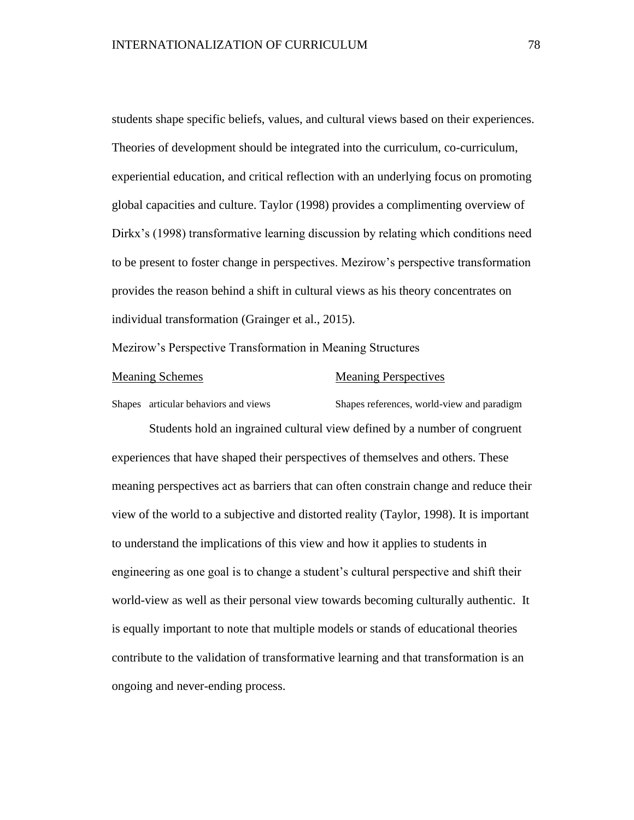students shape specific beliefs, values, and cultural views based on their experiences. Theories of development should be integrated into the curriculum, co-curriculum, experiential education, and critical reflection with an underlying focus on promoting global capacities and culture. Taylor (1998) provides a complimenting overview of Dirkx's (1998) transformative learning discussion by relating which conditions need to be present to foster change in perspectives. Mezirow's perspective transformation provides the reason behind a shift in cultural views as his theory concentrates on individual transformation (Grainger et al., 2015).

Mezirow's Perspective Transformation in Meaning Structures

#### Meaning Schemes Meaning Perspectives

Students hold an ingrained cultural view defined by a number of congruent experiences that have shaped their perspectives of themselves and others. These meaning perspectives act as barriers that can often constrain change and reduce their view of the world to a subjective and distorted reality (Taylor, 1998). It is important to understand the implications of this view and how it applies to students in engineering as one goal is to change a student's cultural perspective and shift their world-view as well as their personal view towards becoming culturally authentic. It is equally important to note that multiple models or stands of educational theories contribute to the validation of transformative learning and that transformation is an ongoing and never-ending process.

Shapes articular behaviors and views Shapes references, world-view and paradigm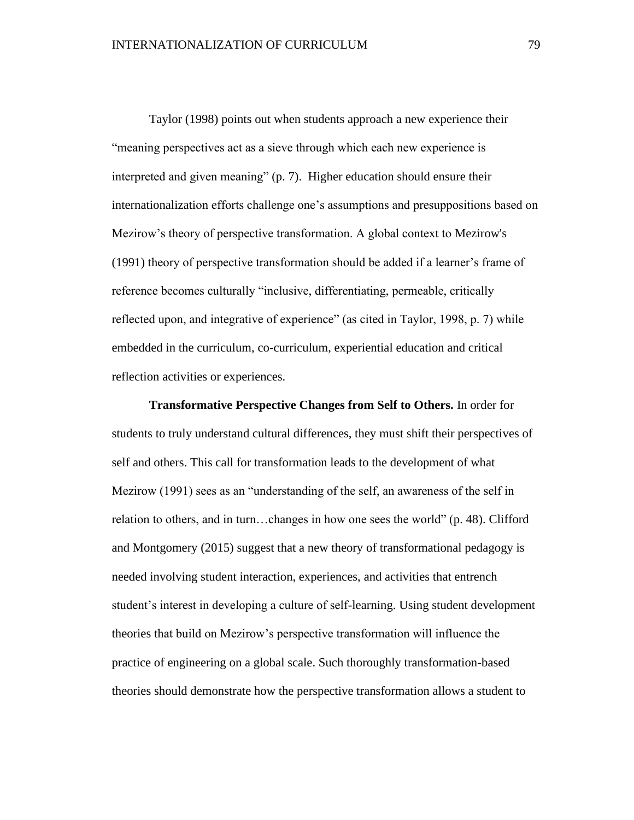Taylor (1998) points out when students approach a new experience their "meaning perspectives act as a sieve through which each new experience is interpreted and given meaning" (p. 7). Higher education should ensure their internationalization efforts challenge one's assumptions and presuppositions based on Mezirow's theory of perspective transformation. A global context to Mezirow's (1991) theory of perspective transformation should be added if a learner's frame of reference becomes culturally "inclusive, differentiating, permeable, critically reflected upon, and integrative of experience" (as cited in Taylor, 1998, p. 7) while embedded in the curriculum, co-curriculum, experiential education and critical reflection activities or experiences.

**Transformative Perspective Changes from Self to Others.** In order for students to truly understand cultural differences, they must shift their perspectives of self and others. This call for transformation leads to the development of what Mezirow (1991) sees as an "understanding of the self, an awareness of the self in relation to others, and in turn…changes in how one sees the world" (p. 48). Clifford and Montgomery (2015) suggest that a new theory of transformational pedagogy is needed involving student interaction, experiences, and activities that entrench student's interest in developing a culture of self-learning. Using student development theories that build on Mezirow's perspective transformation will influence the practice of engineering on a global scale. Such thoroughly transformation-based theories should demonstrate how the perspective transformation allows a student to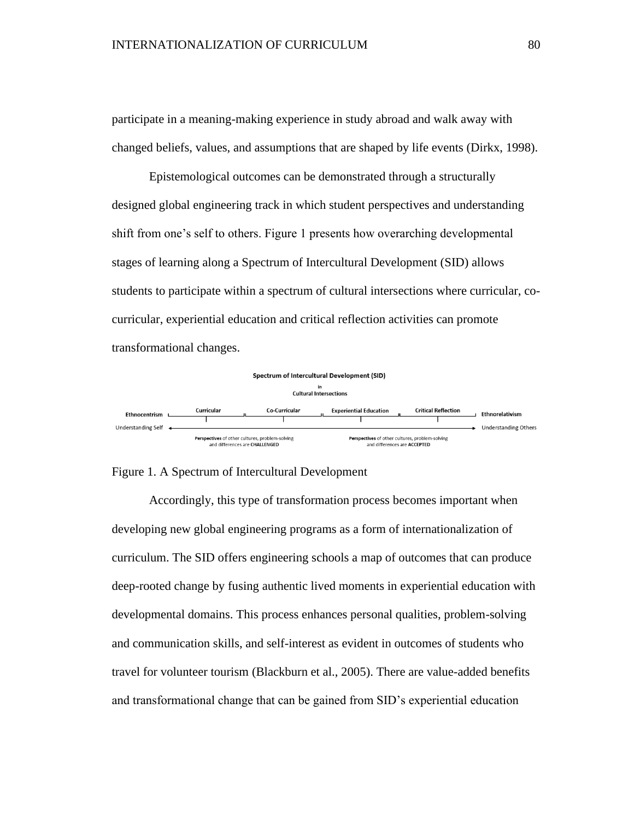participate in a meaning-making experience in study abroad and walk away with changed beliefs, values, and assumptions that are shaped by life events (Dirkx, 1998).

Epistemological outcomes can be demonstrated through a structurally designed global engineering track in which student perspectives and understanding shift from one's self to others. Figure 1 presents how overarching developmental stages of learning along a Spectrum of Intercultural Development (SID) allows students to participate within a spectrum of cultural intersections where curricular, cocurricular, experiential education and critical reflection activities can promote transformational changes.



Figure 1. A Spectrum of Intercultural Development

Accordingly, this type of transformation process becomes important when developing new global engineering programs as a form of internationalization of curriculum. The SID offers engineering schools a map of outcomes that can produce deep-rooted change by fusing authentic lived moments in experiential education with developmental domains. This process enhances personal qualities, problem-solving and communication skills, and self-interest as evident in outcomes of students who travel for volunteer tourism (Blackburn et al., 2005). There are value-added benefits and transformational change that can be gained from SID's experiential education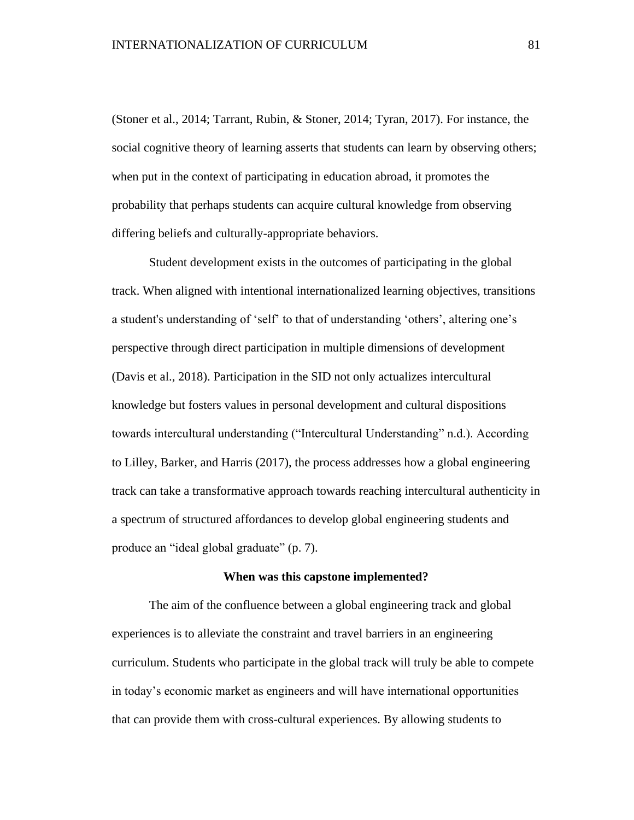(Stoner et al., 2014; Tarrant, Rubin, & Stoner, 2014; Tyran, 2017). For instance, the social cognitive theory of learning asserts that students can learn by observing others; when put in the context of participating in education abroad, it promotes the probability that perhaps students can acquire cultural knowledge from observing differing beliefs and culturally-appropriate behaviors.

Student development exists in the outcomes of participating in the global track. When aligned with intentional internationalized learning objectives, transitions a student's understanding of 'self' to that of understanding 'others', altering one's perspective through direct participation in multiple dimensions of development (Davis et al., 2018). Participation in the SID not only actualizes intercultural knowledge but fosters values in personal development and cultural dispositions towards intercultural understanding ("Intercultural Understanding" n.d.). According to Lilley, Barker, and Harris (2017), the process addresses how a global engineering track can take a transformative approach towards reaching intercultural authenticity in a spectrum of structured affordances to develop global engineering students and produce an "ideal global graduate" (p. 7).

### **When was this capstone implemented?**

The aim of the confluence between a global engineering track and global experiences is to alleviate the constraint and travel barriers in an engineering curriculum. Students who participate in the global track will truly be able to compete in today's economic market as engineers and will have international opportunities that can provide them with cross-cultural experiences. By allowing students to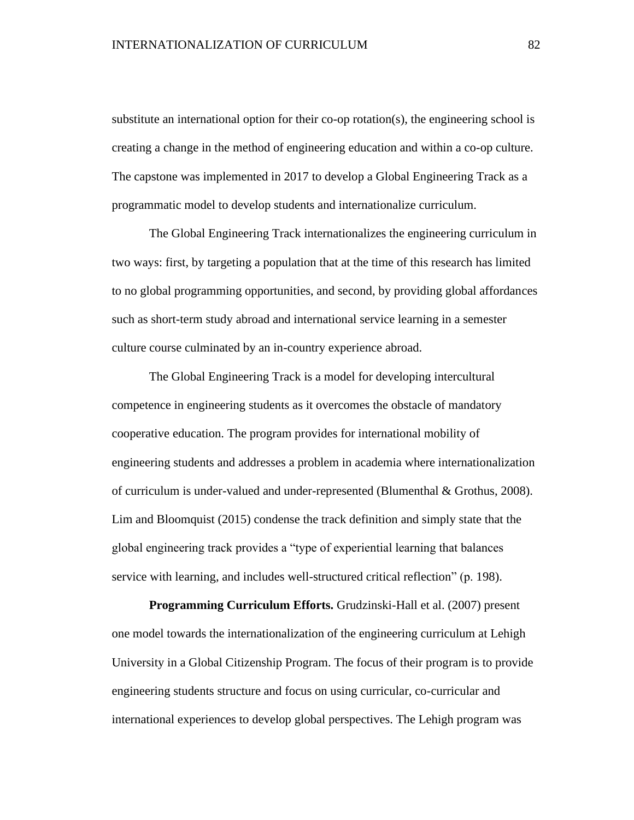substitute an international option for their co-op rotation(s), the engineering school is creating a change in the method of engineering education and within a co-op culture. The capstone was implemented in 2017 to develop a Global Engineering Track as a programmatic model to develop students and internationalize curriculum.

The Global Engineering Track internationalizes the engineering curriculum in two ways: first, by targeting a population that at the time of this research has limited to no global programming opportunities, and second, by providing global affordances such as short-term study abroad and international service learning in a semester culture course culminated by an in-country experience abroad.

The Global Engineering Track is a model for developing intercultural competence in engineering students as it overcomes the obstacle of mandatory cooperative education. The program provides for international mobility of engineering students and addresses a problem in academia where internationalization of curriculum is under-valued and under-represented (Blumenthal & Grothus, 2008). Lim and Bloomquist (2015) condense the track definition and simply state that the global engineering track provides a "type of experiential learning that balances service with learning, and includes well-structured critical reflection" (p. 198).

**Programming Curriculum Efforts.** Grudzinski-Hall et al. (2007) present one model towards the internationalization of the engineering curriculum at Lehigh University in a Global Citizenship Program. The focus of their program is to provide engineering students structure and focus on using curricular, co-curricular and international experiences to develop global perspectives. The Lehigh program was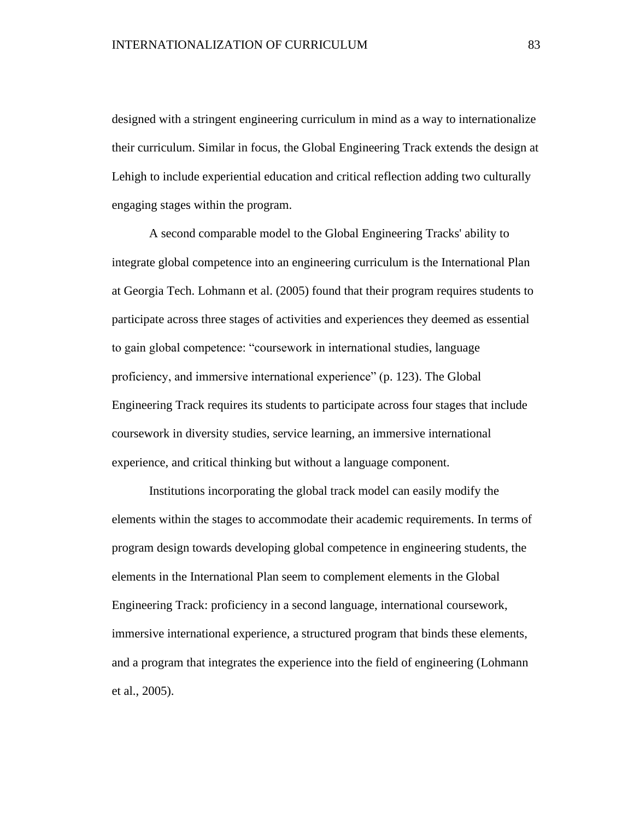designed with a stringent engineering curriculum in mind as a way to internationalize their curriculum. Similar in focus, the Global Engineering Track extends the design at Lehigh to include experiential education and critical reflection adding two culturally engaging stages within the program.

A second comparable model to the Global Engineering Tracks' ability to integrate global competence into an engineering curriculum is the International Plan at Georgia Tech. Lohmann et al. (2005) found that their program requires students to participate across three stages of activities and experiences they deemed as essential to gain global competence: "coursework in international studies, language proficiency, and immersive international experience" (p. 123). The Global Engineering Track requires its students to participate across four stages that include coursework in diversity studies, service learning, an immersive international experience, and critical thinking but without a language component.

Institutions incorporating the global track model can easily modify the elements within the stages to accommodate their academic requirements. In terms of program design towards developing global competence in engineering students, the elements in the International Plan seem to complement elements in the Global Engineering Track: proficiency in a second language, international coursework, immersive international experience, a structured program that binds these elements, and a program that integrates the experience into the field of engineering (Lohmann et al., 2005).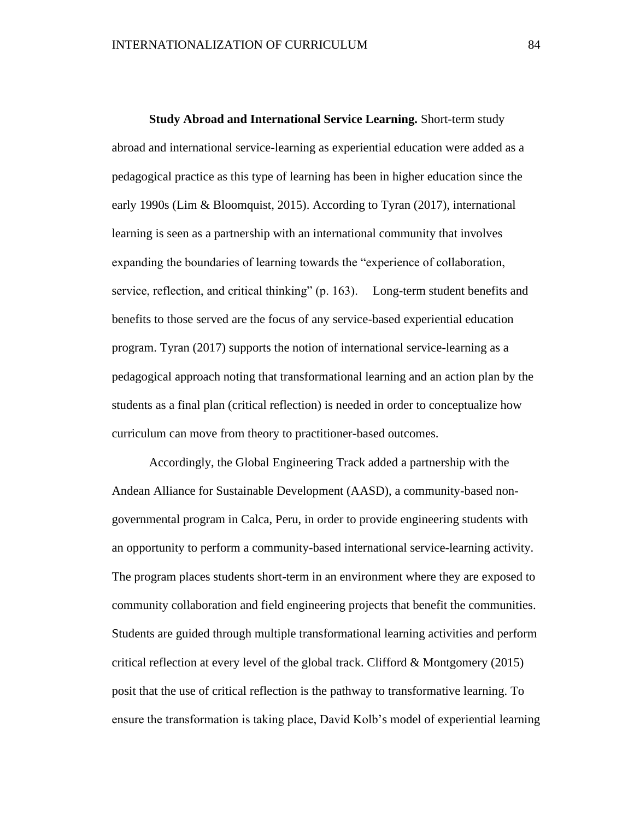**Study Abroad and International Service Learning.** Short-term study abroad and international service-learning as experiential education were added as a pedagogical practice as this type of learning has been in higher education since the early 1990s (Lim & Bloomquist, 2015). According to Tyran (2017), international learning is seen as a partnership with an international community that involves expanding the boundaries of learning towards the "experience of collaboration, service, reflection, and critical thinking" (p. 163). Long-term student benefits and benefits to those served are the focus of any service-based experiential education program. Tyran (2017) supports the notion of international service-learning as a pedagogical approach noting that transformational learning and an action plan by the students as a final plan (critical reflection) is needed in order to conceptualize how curriculum can move from theory to practitioner-based outcomes.

Accordingly, the Global Engineering Track added a partnership with the Andean Alliance for Sustainable Development (AASD), a community-based nongovernmental program in Calca, Peru, in order to provide engineering students with an opportunity to perform a community-based international service-learning activity. The program places students short-term in an environment where they are exposed to community collaboration and field engineering projects that benefit the communities. Students are guided through multiple transformational learning activities and perform critical reflection at every level of the global track. Clifford & Montgomery (2015) posit that the use of critical reflection is the pathway to transformative learning. To ensure the transformation is taking place, David Kolb's model of experiential learning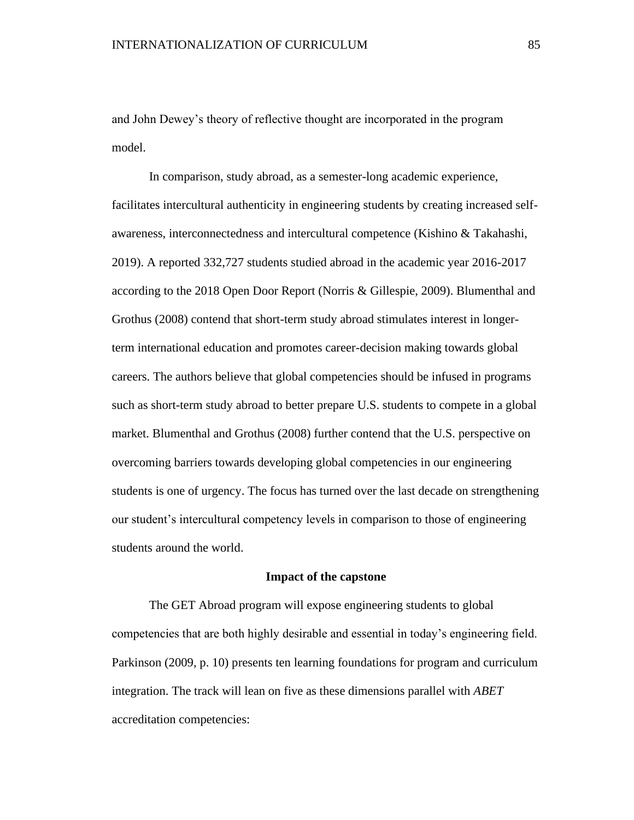and John Dewey's theory of reflective thought are incorporated in the program model.

In comparison, study abroad, as a semester-long academic experience, facilitates intercultural authenticity in engineering students by creating increased selfawareness, interconnectedness and intercultural competence (Kishino & Takahashi, 2019). A reported 332,727 students studied abroad in the academic year 2016-2017 according to the 2018 Open Door Report (Norris & Gillespie, 2009). Blumenthal and Grothus (2008) contend that short-term study abroad stimulates interest in longerterm international education and promotes career-decision making towards global careers. The authors believe that global competencies should be infused in programs such as short-term study abroad to better prepare U.S. students to compete in a global market. Blumenthal and Grothus (2008) further contend that the U.S. perspective on overcoming barriers towards developing global competencies in our engineering students is one of urgency. The focus has turned over the last decade on strengthening our student's intercultural competency levels in comparison to those of engineering students around the world.

### **Impact of the capstone**

The GET Abroad program will expose engineering students to global competencies that are both highly desirable and essential in today's engineering field. Parkinson (2009, p. 10) presents ten learning foundations for program and curriculum integration. The track will lean on five as these dimensions parallel with *ABET* accreditation competencies: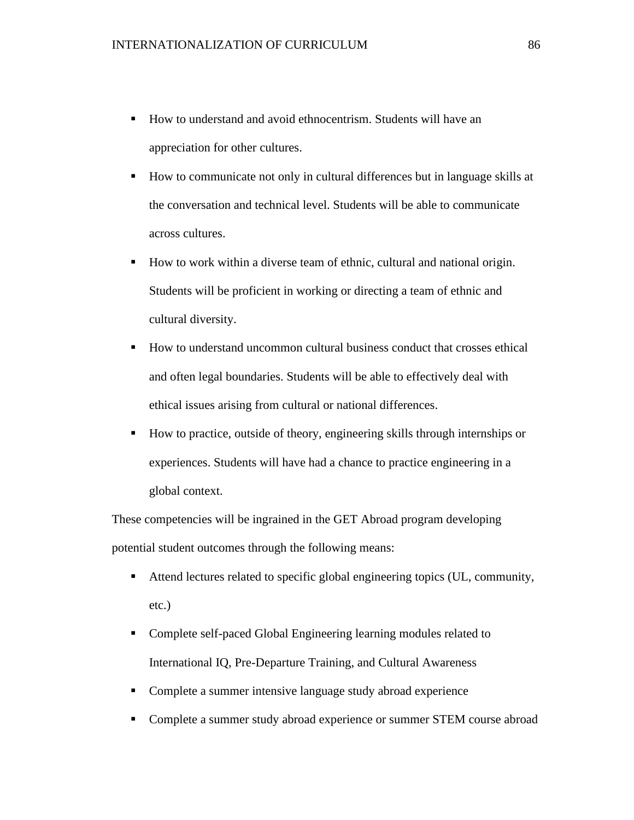- How to understand and avoid ethnocentrism. Students will have an appreciation for other cultures.
- How to communicate not only in cultural differences but in language skills at the conversation and technical level. Students will be able to communicate across cultures.
- How to work within a diverse team of ethnic, cultural and national origin. Students will be proficient in working or directing a team of ethnic and cultural diversity.
- How to understand uncommon cultural business conduct that crosses ethical and often legal boundaries. Students will be able to effectively deal with ethical issues arising from cultural or national differences.
- How to practice, outside of theory, engineering skills through internships or experiences. Students will have had a chance to practice engineering in a global context.

These competencies will be ingrained in the GET Abroad program developing potential student outcomes through the following means:

- Attend lectures related to specific global engineering topics (UL, community, etc.)
- Complete self-paced Global Engineering learning modules related to International IQ, Pre-Departure Training, and Cultural Awareness
- Complete a summer intensive language study abroad experience
- Complete a summer study abroad experience or summer STEM course abroad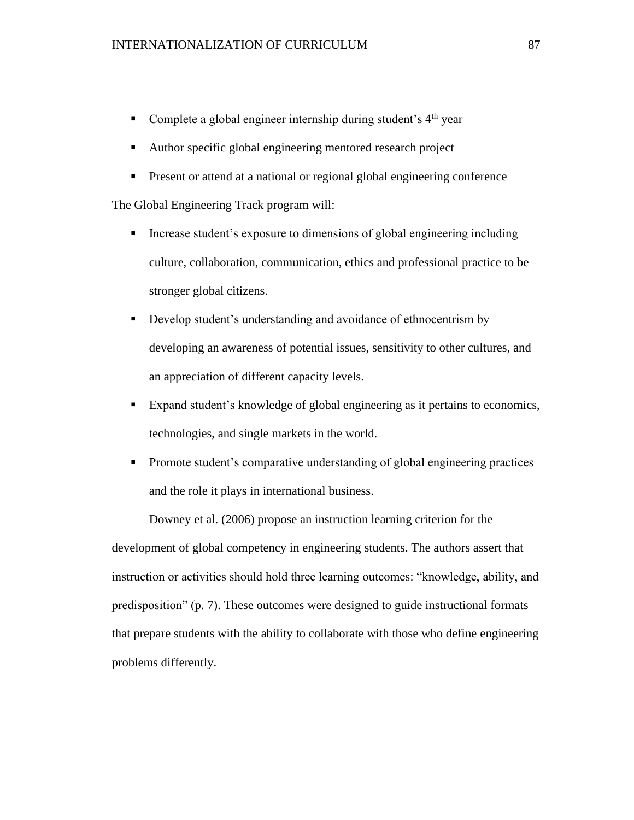- **•** Complete a global engineer internship during student's  $4<sup>th</sup>$  year
- Author specific global engineering mentored research project
- **•** Present or attend at a national or regional global engineering conference

The Global Engineering Track program will:

- **•** Increase student's exposure to dimensions of global engineering including culture, collaboration, communication, ethics and professional practice to be stronger global citizens.
- **•** Develop student's understanding and avoidance of ethnocentrism by developing an awareness of potential issues, sensitivity to other cultures, and an appreciation of different capacity levels.
- Expand student's knowledge of global engineering as it pertains to economics, technologies, and single markets in the world.
- **•** Promote student's comparative understanding of global engineering practices and the role it plays in international business.

Downey et al. (2006) propose an instruction learning criterion for the development of global competency in engineering students. The authors assert that instruction or activities should hold three learning outcomes: "knowledge, ability, and predisposition" (p. 7). These outcomes were designed to guide instructional formats that prepare students with the ability to collaborate with those who define engineering problems differently.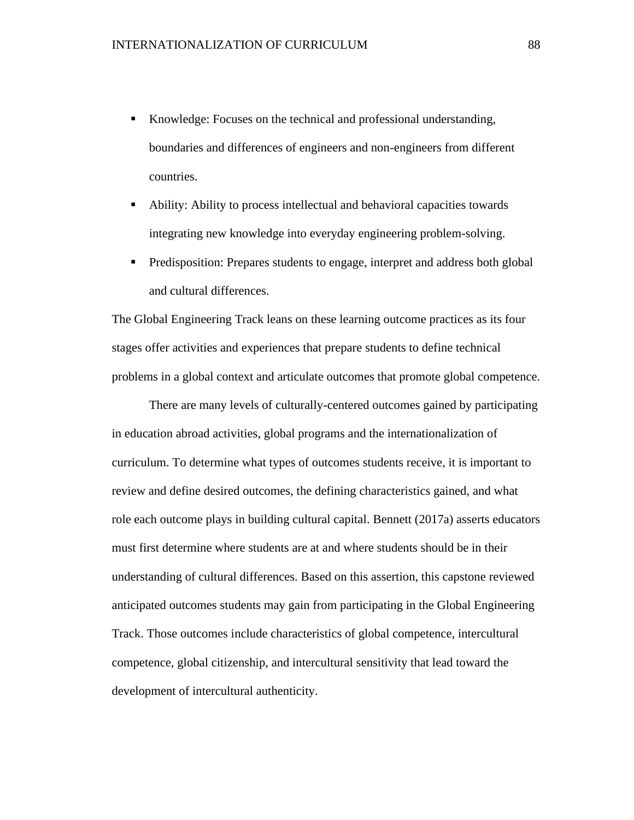- Knowledge: Focuses on the technical and professional understanding, boundaries and differences of engineers and non-engineers from different countries.
- Ability: Ability to process intellectual and behavioral capacities towards integrating new knowledge into everyday engineering problem-solving.
- Predisposition: Prepares students to engage, interpret and address both global and cultural differences.

The Global Engineering Track leans on these learning outcome practices as its four stages offer activities and experiences that prepare students to define technical problems in a global context and articulate outcomes that promote global competence.

There are many levels of culturally-centered outcomes gained by participating in education abroad activities, global programs and the internationalization of curriculum. To determine what types of outcomes students receive, it is important to review and define desired outcomes, the defining characteristics gained, and what role each outcome plays in building cultural capital. Bennett (2017a) asserts educators must first determine where students are at and where students should be in their understanding of cultural differences. Based on this assertion, this capstone reviewed anticipated outcomes students may gain from participating in the Global Engineering Track. Those outcomes include characteristics of global competence, intercultural competence, global citizenship, and intercultural sensitivity that lead toward the development of intercultural authenticity.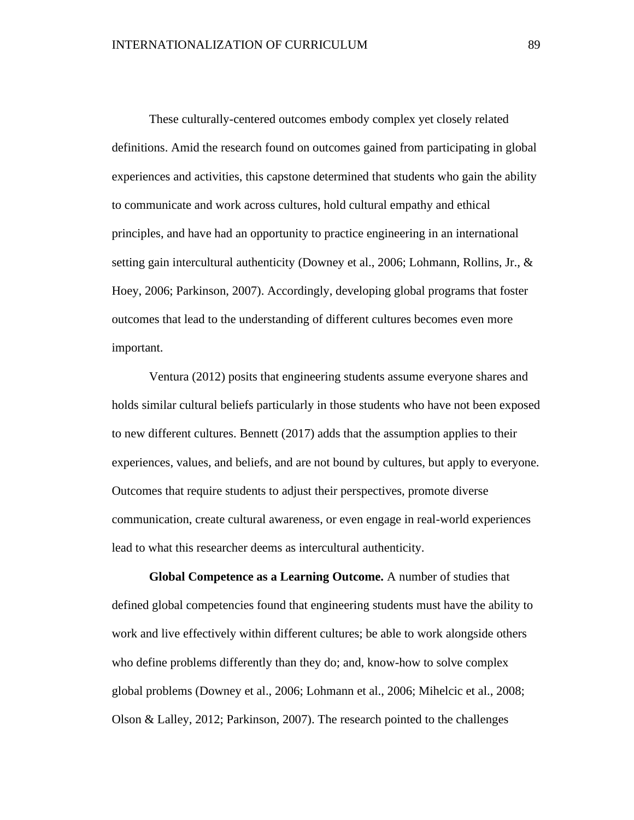These culturally-centered outcomes embody complex yet closely related definitions. Amid the research found on outcomes gained from participating in global experiences and activities, this capstone determined that students who gain the ability to communicate and work across cultures, hold cultural empathy and ethical principles, and have had an opportunity to practice engineering in an international setting gain intercultural authenticity (Downey et al., 2006; Lohmann, Rollins, Jr., & Hoey, 2006; Parkinson, 2007). Accordingly, developing global programs that foster outcomes that lead to the understanding of different cultures becomes even more important.

Ventura (2012) posits that engineering students assume everyone shares and holds similar cultural beliefs particularly in those students who have not been exposed to new different cultures. Bennett (2017) adds that the assumption applies to their experiences, values, and beliefs, and are not bound by cultures, but apply to everyone. Outcomes that require students to adjust their perspectives, promote diverse communication, create cultural awareness, or even engage in real-world experiences lead to what this researcher deems as intercultural authenticity.

**Global Competence as a Learning Outcome.** A number of studies that defined global competencies found that engineering students must have the ability to work and live effectively within different cultures; be able to work alongside others who define problems differently than they do; and, know-how to solve complex global problems (Downey et al., 2006; Lohmann et al., 2006; Mihelcic et al., 2008; Olson & Lalley, 2012; Parkinson, 2007). The research pointed to the challenges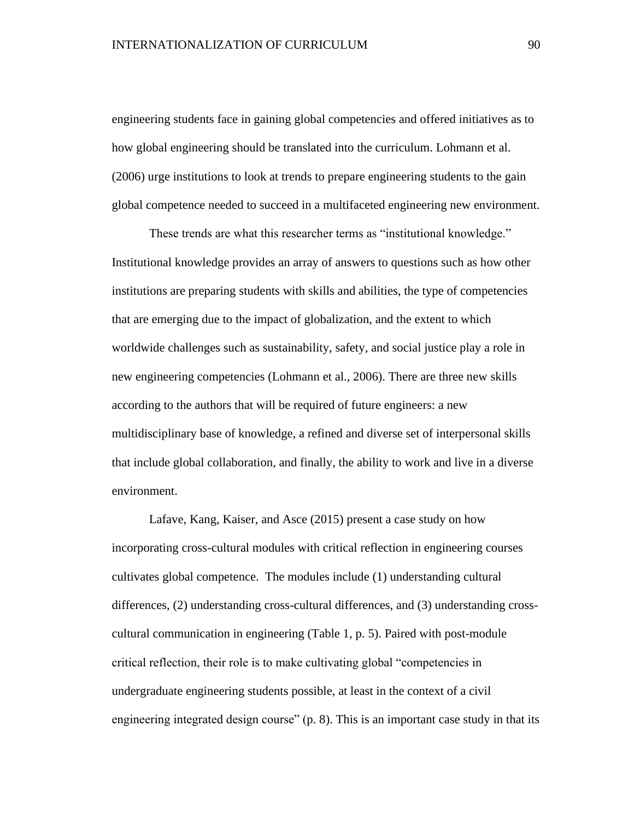engineering students face in gaining global competencies and offered initiatives as to how global engineering should be translated into the curriculum. Lohmann et al. (2006) urge institutions to look at trends to prepare engineering students to the gain global competence needed to succeed in a multifaceted engineering new environment.

These trends are what this researcher terms as "institutional knowledge." Institutional knowledge provides an array of answers to questions such as how other institutions are preparing students with skills and abilities, the type of competencies that are emerging due to the impact of globalization, and the extent to which worldwide challenges such as sustainability, safety, and social justice play a role in new engineering competencies (Lohmann et al., 2006). There are three new skills according to the authors that will be required of future engineers: a new multidisciplinary base of knowledge, a refined and diverse set of interpersonal skills that include global collaboration, and finally, the ability to work and live in a diverse environment.

Lafave, Kang, Kaiser, and Asce (2015) present a case study on how incorporating cross-cultural modules with critical reflection in engineering courses cultivates global competence. The modules include (1) understanding cultural differences, (2) understanding cross-cultural differences, and (3) understanding crosscultural communication in engineering (Table 1, p. 5). Paired with post-module critical reflection, their role is to make cultivating global "competencies in undergraduate engineering students possible, at least in the context of a civil engineering integrated design course" (p. 8). This is an important case study in that its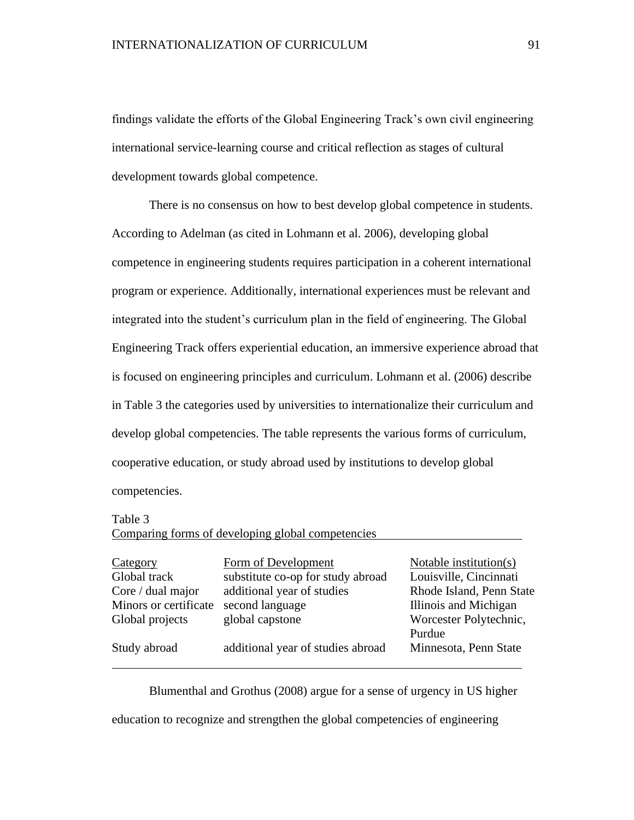findings validate the efforts of the Global Engineering Track's own civil engineering international service-learning course and critical reflection as stages of cultural development towards global competence.

There is no consensus on how to best develop global competence in students. According to Adelman (as cited in Lohmann et al. 2006), developing global competence in engineering students requires participation in a coherent international program or experience. Additionally, international experiences must be relevant and integrated into the student's curriculum plan in the field of engineering. The Global Engineering Track offers experiential education, an immersive experience abroad that is focused on engineering principles and curriculum. Lohmann et al. (2006) describe in Table 3 the categories used by universities to internationalize their curriculum and develop global competencies. The table represents the various forms of curriculum, cooperative education, or study abroad used by institutions to develop global competencies.

Table 3

|                       | Comparing forms of developing global competencies |                          |
|-----------------------|---------------------------------------------------|--------------------------|
| Category              | Form of Development                               | Notable institution(s)   |
| Global track          | substitute co-op for study abroad                 | Louisville, Cincinnati   |
| Core / dual major     | additional year of studies                        | Rhode Island, Penn State |
| Minors or certificate | second language                                   | Illinois and Michigan    |
| Global projects       | global capstone                                   | Worcester Polytechnic,   |
|                       |                                                   | Purdue                   |
| Study abroad          | additional year of studies abroad                 | Minnesota, Penn State    |
|                       |                                                   |                          |

Blumenthal and Grothus (2008) argue for a sense of urgency in US higher

education to recognize and strengthen the global competencies of engineering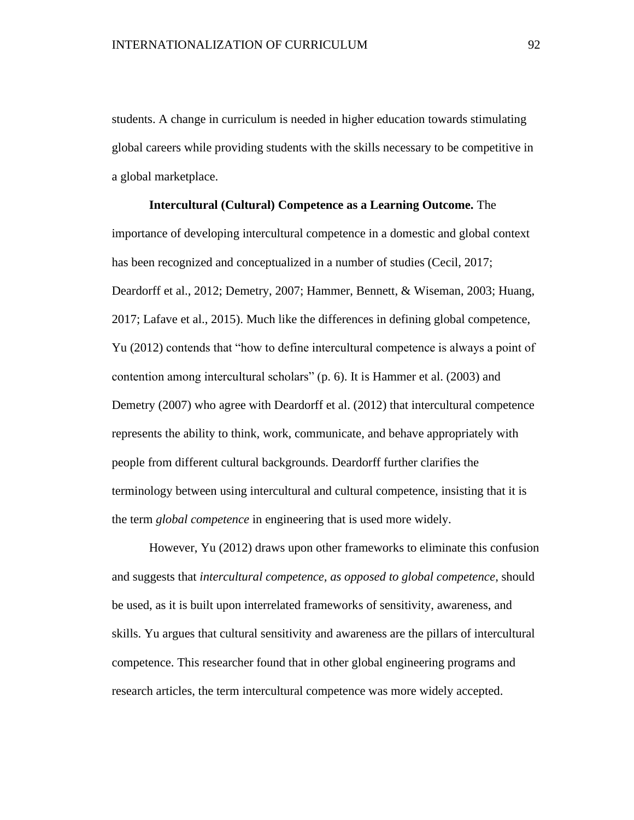students. A change in curriculum is needed in higher education towards stimulating global careers while providing students with the skills necessary to be competitive in a global marketplace.

# **Intercultural (Cultural) Competence as a Learning Outcome.** The importance of developing intercultural competence in a domestic and global context has been recognized and conceptualized in a number of studies (Cecil, 2017; Deardorff et al., 2012; Demetry, 2007; Hammer, Bennett, & Wiseman, 2003; Huang, 2017; Lafave et al., 2015). Much like the differences in defining global competence, Yu (2012) contends that "how to define intercultural competence is always a point of contention among intercultural scholars" (p. 6). It is Hammer et al. (2003) and Demetry (2007) who agree with Deardorff et al. (2012) that intercultural competence represents the ability to think, work, communicate, and behave appropriately with people from different cultural backgrounds. Deardorff further clarifies the terminology between using intercultural and cultural competence, insisting that it is the term *global competence* in engineering that is used more widely.

However, Yu (2012) draws upon other frameworks to eliminate this confusion and suggests that *intercultural competence, as opposed to global competence*, should be used, as it is built upon interrelated frameworks of sensitivity, awareness, and skills. Yu argues that cultural sensitivity and awareness are the pillars of intercultural competence. This researcher found that in other global engineering programs and research articles, the term intercultural competence was more widely accepted.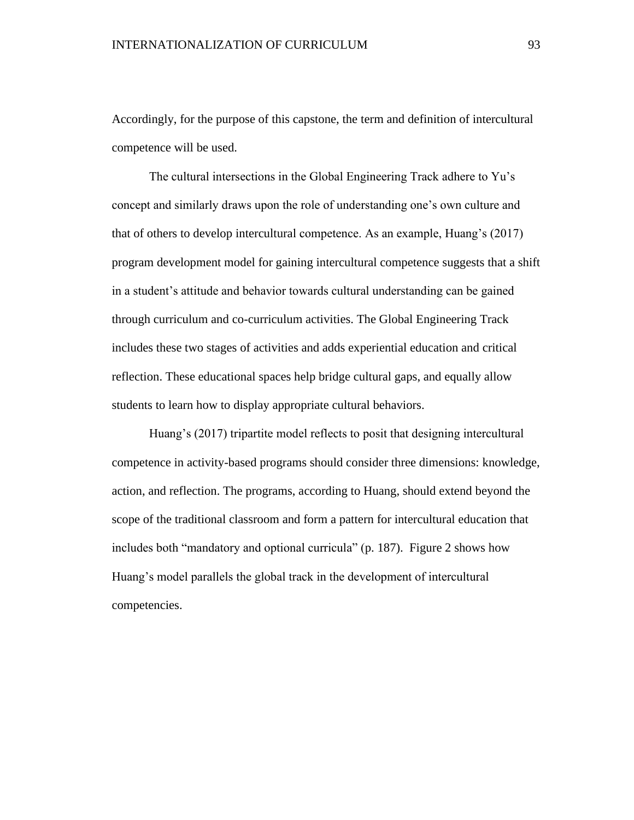Accordingly, for the purpose of this capstone, the term and definition of intercultural competence will be used.

The cultural intersections in the Global Engineering Track adhere to Yu's concept and similarly draws upon the role of understanding one's own culture and that of others to develop intercultural competence. As an example, Huang's (2017) program development model for gaining intercultural competence suggests that a shift in a student's attitude and behavior towards cultural understanding can be gained through curriculum and co-curriculum activities. The Global Engineering Track includes these two stages of activities and adds experiential education and critical reflection. These educational spaces help bridge cultural gaps, and equally allow students to learn how to display appropriate cultural behaviors.

Huang's (2017) tripartite model reflects to posit that designing intercultural competence in activity-based programs should consider three dimensions: knowledge, action, and reflection. The programs, according to Huang, should extend beyond the scope of the traditional classroom and form a pattern for intercultural education that includes both "mandatory and optional curricula" (p. 187). Figure 2 shows how Huang's model parallels the global track in the development of intercultural competencies.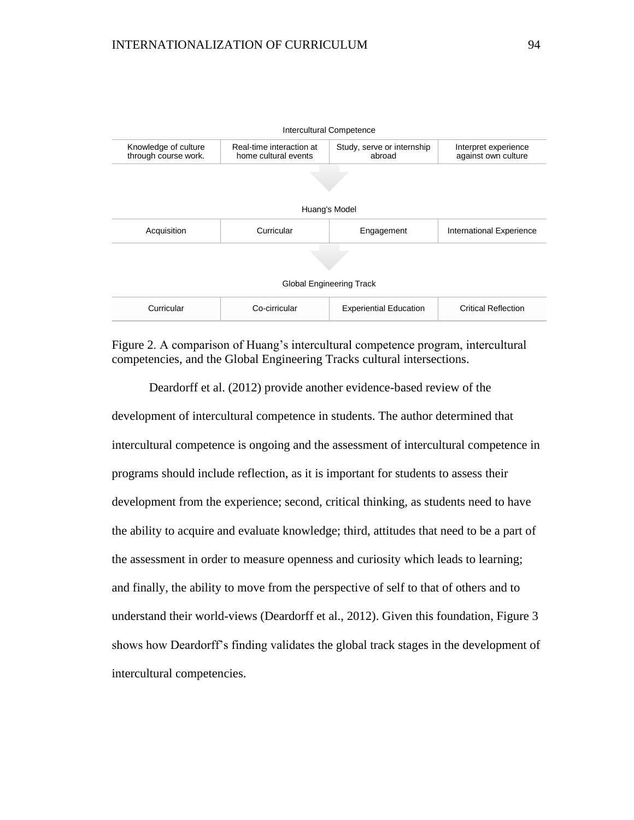

Figure 2. A comparison of Huang's intercultural competence program, intercultural competencies, and the Global Engineering Tracks cultural intersections.

Deardorff et al. (2012) provide another evidence-based review of the development of intercultural competence in students. The author determined that intercultural competence is ongoing and the assessment of intercultural competence in programs should include reflection, as it is important for students to assess their development from the experience; second, critical thinking, as students need to have the ability to acquire and evaluate knowledge; third, attitudes that need to be a part of the assessment in order to measure openness and curiosity which leads to learning; and finally, the ability to move from the perspective of self to that of others and to understand their world-views (Deardorff et al., 2012). Given this foundation, Figure 3 shows how Deardorff's finding validates the global track stages in the development of intercultural competencies.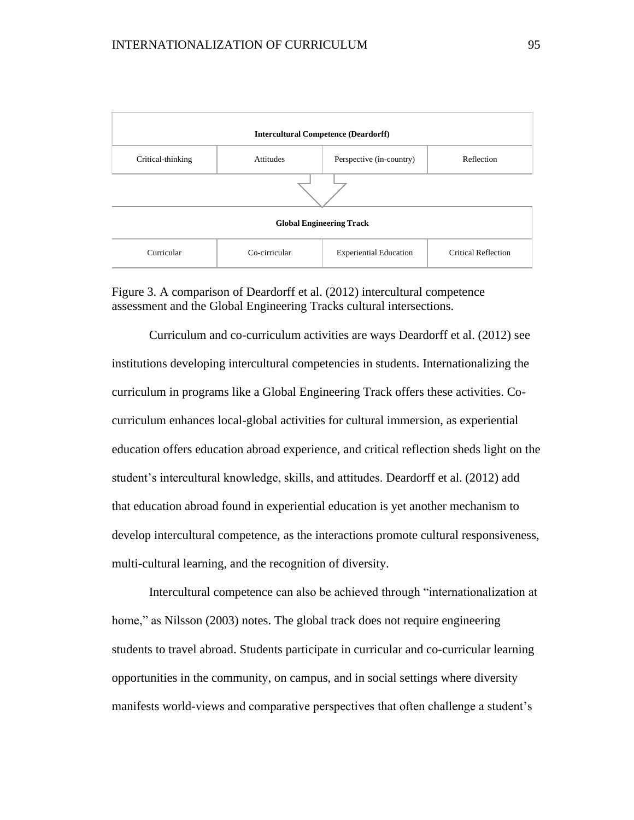

Figure 3. A comparison of Deardorff et al. (2012) intercultural competence assessment and the Global Engineering Tracks cultural intersections.

Curriculum and co-curriculum activities are ways Deardorff et al. (2012) see institutions developing intercultural competencies in students. Internationalizing the curriculum in programs like a Global Engineering Track offers these activities. Cocurriculum enhances local-global activities for cultural immersion, as experiential education offers education abroad experience, and critical reflection sheds light on the student's intercultural knowledge, skills, and attitudes. Deardorff et al. (2012) add that education abroad found in experiential education is yet another mechanism to develop intercultural competence, as the interactions promote cultural responsiveness, multi-cultural learning, and the recognition of diversity.

Intercultural competence can also be achieved through "internationalization at home," as Nilsson (2003) notes. The global track does not require engineering students to travel abroad. Students participate in curricular and co-curricular learning opportunities in the community, on campus, and in social settings where diversity manifests world-views and comparative perspectives that often challenge a student's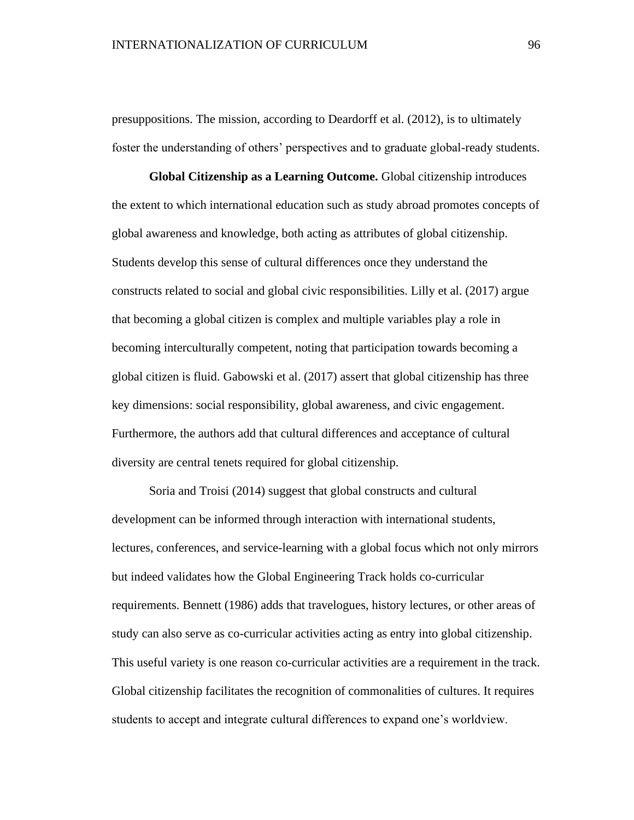presuppositions. The mission, according to Deardorff et al. (2012), is to ultimately foster the understanding of others' perspectives and to graduate global-ready students.

**Global Citizenship as a Learning Outcome.** Global citizenship introduces the extent to which international education such as study abroad promotes concepts of global awareness and knowledge, both acting as attributes of global citizenship. Students develop this sense of cultural differences once they understand the constructs related to social and global civic responsibilities. Lilly et al. (2017) argue that becoming a global citizen is complex and multiple variables play a role in becoming interculturally competent, noting that participation towards becoming a global citizen is fluid. Gabowski et al. (2017) assert that global citizenship has three key dimensions: social responsibility, global awareness, and civic engagement. Furthermore, the authors add that cultural differences and acceptance of cultural diversity are central tenets required for global citizenship.

Soria and Troisi (2014) suggest that global constructs and cultural development can be informed through interaction with international students, lectures, conferences, and service-learning with a global focus which not only mirrors but indeed validates how the Global Engineering Track holds co-curricular requirements. Bennett (1986) adds that travelogues, history lectures, or other areas of study can also serve as co-curricular activities acting as entry into global citizenship. This useful variety is one reason co-curricular activities are a requirement in the track. Global citizenship facilitates the recognition of commonalities of cultures. It requires students to accept and integrate cultural differences to expand one's worldview.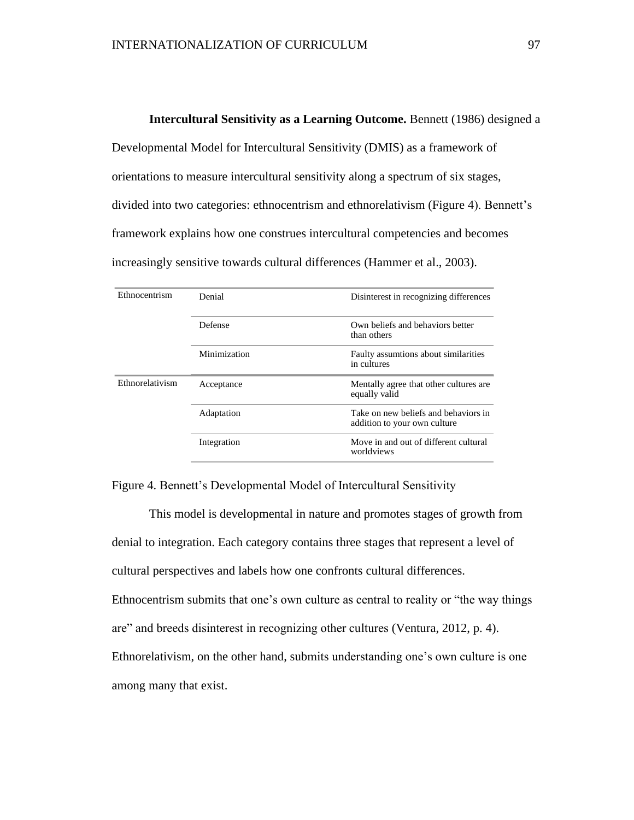#### **Intercultural Sensitivity as a Learning Outcome.** Bennett (1986) designed a

Developmental Model for Intercultural Sensitivity (DMIS) as a framework of orientations to measure intercultural sensitivity along a spectrum of six stages, divided into two categories: ethnocentrism and ethnorelativism (Figure 4). Bennett's framework explains how one construes intercultural competencies and becomes increasingly sensitive towards cultural differences (Hammer et al., 2003).

| Ethnocentrism   | Denial       | Disinterest in recognizing differences                               |
|-----------------|--------------|----------------------------------------------------------------------|
|                 | Defense      | Own beliefs and behaviors better<br>than others                      |
|                 | Minimization | Faulty assumtions about similarities<br>in cultures                  |
| Ethnorelativism | Acceptance   | Mentally agree that other cultures are.<br>equally valid             |
|                 | Adaptation   | Take on new beliefs and behaviors in<br>addition to your own culture |
|                 | Integration  | Move in and out of different cultural<br>worldviews                  |

Figure 4. Bennett's Developmental Model of Intercultural Sensitivity

This model is developmental in nature and promotes stages of growth from denial to integration. Each category contains three stages that represent a level of cultural perspectives and labels how one confronts cultural differences. Ethnocentrism submits that one's own culture as central to reality or "the way things are" and breeds disinterest in recognizing other cultures (Ventura, 2012, p. 4). Ethnorelativism, on the other hand, submits understanding one's own culture is one among many that exist.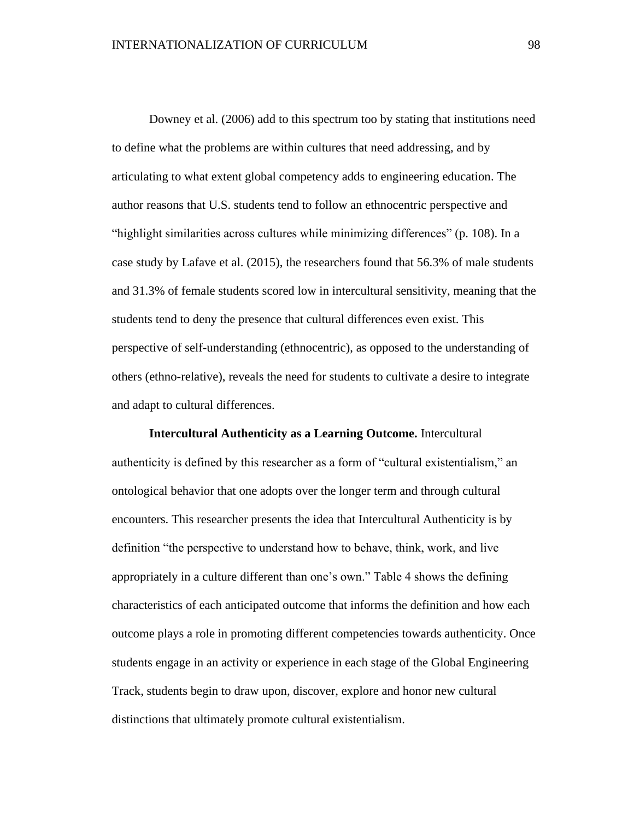Downey et al. (2006) add to this spectrum too by stating that institutions need to define what the problems are within cultures that need addressing, and by articulating to what extent global competency adds to engineering education. The author reasons that U.S. students tend to follow an ethnocentric perspective and "highlight similarities across cultures while minimizing differences" (p. 108). In a case study by Lafave et al. (2015), the researchers found that 56.3% of male students and 31.3% of female students scored low in intercultural sensitivity, meaning that the students tend to deny the presence that cultural differences even exist. This perspective of self-understanding (ethnocentric), as opposed to the understanding of others (ethno-relative), reveals the need for students to cultivate a desire to integrate and adapt to cultural differences.

**Intercultural Authenticity as a Learning Outcome.** Intercultural authenticity is defined by this researcher as a form of "cultural existentialism," an ontological behavior that one adopts over the longer term and through cultural encounters. This researcher presents the idea that Intercultural Authenticity is by definition "the perspective to understand how to behave, think, work, and live appropriately in a culture different than one's own." Table 4 shows the defining characteristics of each anticipated outcome that informs the definition and how each outcome plays a role in promoting different competencies towards authenticity. Once students engage in an activity or experience in each stage of the Global Engineering Track, students begin to draw upon, discover, explore and honor new cultural distinctions that ultimately promote cultural existentialism.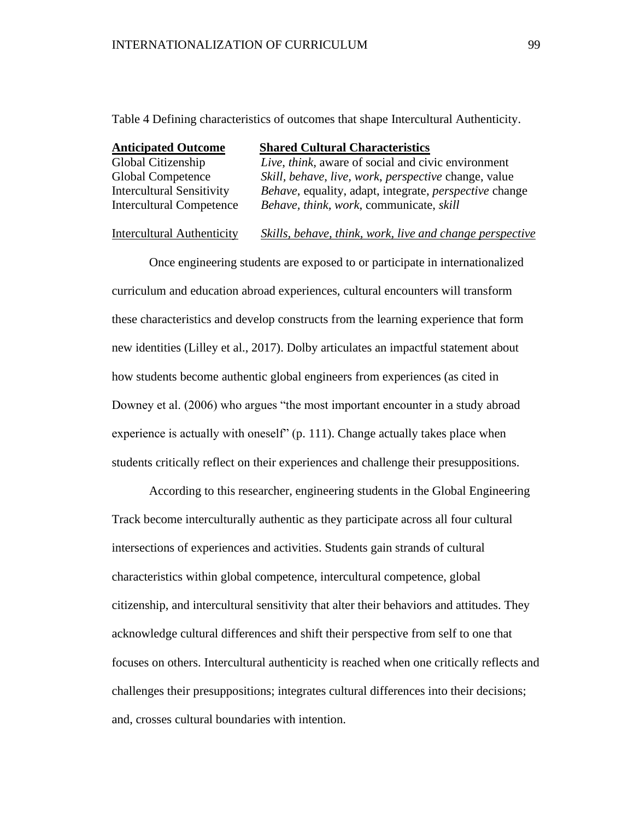Table 4 Defining characteristics of outcomes that shape Intercultural Authenticity.

| <b>Anticipated Outcome</b>        | <b>Shared Cultural Characteristics</b>                        |
|-----------------------------------|---------------------------------------------------------------|
| Global Citizenship                | Live, think, aware of social and civic environment            |
| Global Competence                 | Skill, behave, live, work, perspective change, value          |
| <b>Intercultural Sensitivity</b>  | Behave, equality, adapt, integrate, <i>perspective</i> change |
| <b>Intercultural Competence</b>   | Behave, think, work, communicate, skill                       |
| <b>Intercultural Authenticity</b> | Skills, behave, think, work, live and change perspective      |

Once engineering students are exposed to or participate in internationalized curriculum and education abroad experiences, cultural encounters will transform these characteristics and develop constructs from the learning experience that form new identities (Lilley et al., 2017). Dolby articulates an impactful statement about how students become authentic global engineers from experiences (as cited in Downey et al. (2006) who argues "the most important encounter in a study abroad experience is actually with oneself" (p. 111). Change actually takes place when students critically reflect on their experiences and challenge their presuppositions.

According to this researcher, engineering students in the Global Engineering Track become interculturally authentic as they participate across all four cultural intersections of experiences and activities. Students gain strands of cultural characteristics within global competence, intercultural competence, global citizenship, and intercultural sensitivity that alter their behaviors and attitudes. They acknowledge cultural differences and shift their perspective from self to one that focuses on others. Intercultural authenticity is reached when one critically reflects and challenges their presuppositions; integrates cultural differences into their decisions; and, crosses cultural boundaries with intention.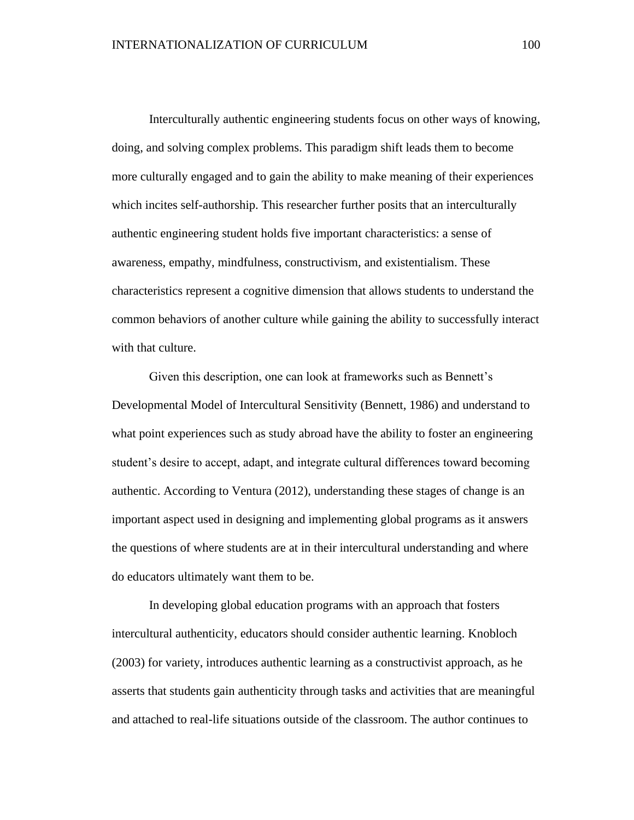Interculturally authentic engineering students focus on other ways of knowing, doing, and solving complex problems. This paradigm shift leads them to become more culturally engaged and to gain the ability to make meaning of their experiences which incites self-authorship. This researcher further posits that an interculturally authentic engineering student holds five important characteristics: a sense of awareness, empathy, mindfulness, constructivism, and existentialism. These characteristics represent a cognitive dimension that allows students to understand the common behaviors of another culture while gaining the ability to successfully interact with that culture.

Given this description, one can look at frameworks such as Bennett's Developmental Model of Intercultural Sensitivity (Bennett, 1986) and understand to what point experiences such as study abroad have the ability to foster an engineering student's desire to accept, adapt, and integrate cultural differences toward becoming authentic. According to Ventura (2012), understanding these stages of change is an important aspect used in designing and implementing global programs as it answers the questions of where students are at in their intercultural understanding and where do educators ultimately want them to be.

In developing global education programs with an approach that fosters intercultural authenticity, educators should consider authentic learning. Knobloch (2003) for variety, introduces authentic learning as a constructivist approach, as he asserts that students gain authenticity through tasks and activities that are meaningful and attached to real-life situations outside of the classroom. The author continues to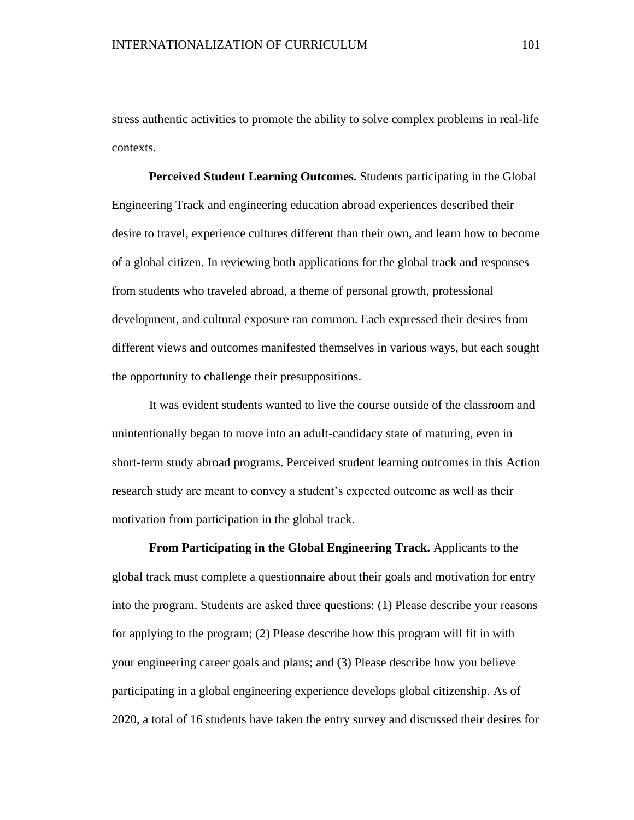stress authentic activities to promote the ability to solve complex problems in real-life contexts.

**Perceived Student Learning Outcomes.** Students participating in the Global Engineering Track and engineering education abroad experiences described their desire to travel, experience cultures different than their own, and learn how to become of a global citizen. In reviewing both applications for the global track and responses from students who traveled abroad, a theme of personal growth, professional development, and cultural exposure ran common. Each expressed their desires from different views and outcomes manifested themselves in various ways, but each sought the opportunity to challenge their presuppositions.

It was evident students wanted to live the course outside of the classroom and unintentionally began to move into an adult-candidacy state of maturing, even in short-term study abroad programs. Perceived student learning outcomes in this Action research study are meant to convey a student's expected outcome as well as their motivation from participation in the global track.

**From Participating in the Global Engineering Track.** Applicants to the global track must complete a questionnaire about their goals and motivation for entry into the program. Students are asked three questions: (1) Please describe your reasons for applying to the program; (2) Please describe how this program will fit in with your engineering career goals and plans; and (3) Please describe how you believe participating in a global engineering experience develops global citizenship. As of 2020, a total of 16 students have taken the entry survey and discussed their desires for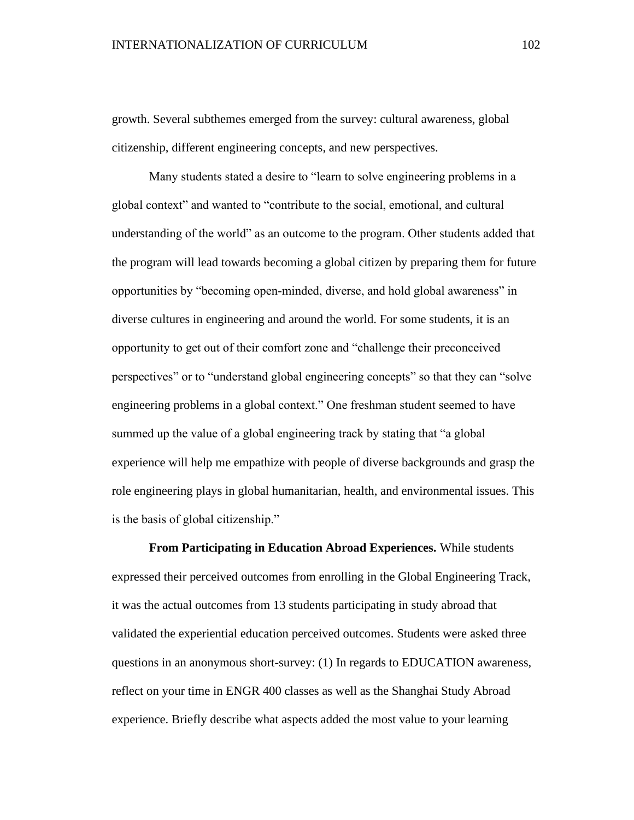growth. Several subthemes emerged from the survey: cultural awareness, global citizenship, different engineering concepts, and new perspectives.

Many students stated a desire to "learn to solve engineering problems in a global context" and wanted to "contribute to the social, emotional, and cultural understanding of the world" as an outcome to the program. Other students added that the program will lead towards becoming a global citizen by preparing them for future opportunities by "becoming open-minded, diverse, and hold global awareness" in diverse cultures in engineering and around the world. For some students, it is an opportunity to get out of their comfort zone and "challenge their preconceived perspectives" or to "understand global engineering concepts" so that they can "solve engineering problems in a global context." One freshman student seemed to have summed up the value of a global engineering track by stating that "a global experience will help me empathize with people of diverse backgrounds and grasp the role engineering plays in global humanitarian, health, and environmental issues. This is the basis of global citizenship."

**From Participating in Education Abroad Experiences.** While students expressed their perceived outcomes from enrolling in the Global Engineering Track, it was the actual outcomes from 13 students participating in study abroad that validated the experiential education perceived outcomes. Students were asked three questions in an anonymous short-survey: (1) In regards to EDUCATION awareness, reflect on your time in ENGR 400 classes as well as the Shanghai Study Abroad experience. Briefly describe what aspects added the most value to your learning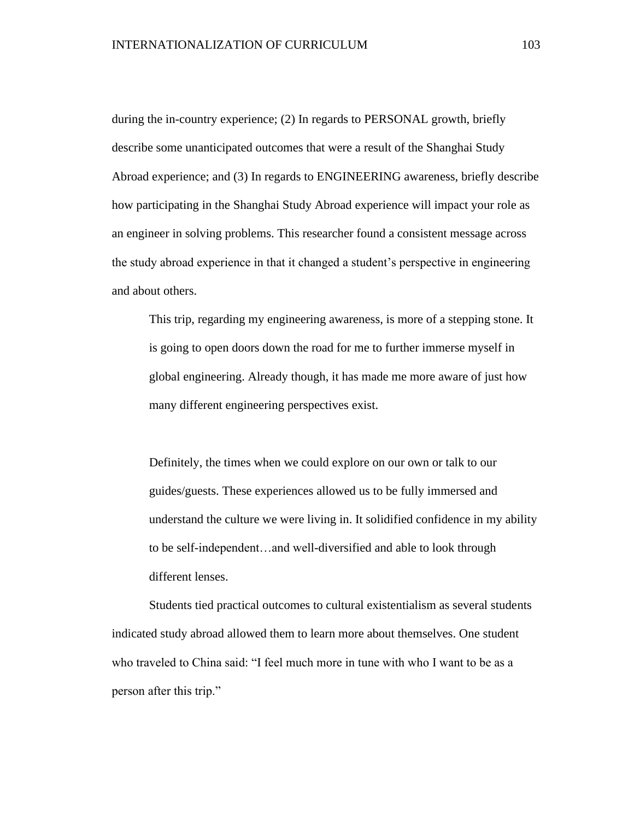during the in-country experience; (2) In regards to PERSONAL growth, briefly describe some unanticipated outcomes that were a result of the Shanghai Study Abroad experience; and (3) In regards to ENGINEERING awareness, briefly describe how participating in the Shanghai Study Abroad experience will impact your role as an engineer in solving problems. This researcher found a consistent message across the study abroad experience in that it changed a student's perspective in engineering and about others.

This trip, regarding my engineering awareness, is more of a stepping stone. It is going to open doors down the road for me to further immerse myself in global engineering. Already though, it has made me more aware of just how many different engineering perspectives exist.

Definitely, the times when we could explore on our own or talk to our guides/guests. These experiences allowed us to be fully immersed and understand the culture we were living in. It solidified confidence in my ability to be self-independent…and well-diversified and able to look through different lenses.

Students tied practical outcomes to cultural existentialism as several students indicated study abroad allowed them to learn more about themselves. One student who traveled to China said: "I feel much more in tune with who I want to be as a person after this trip."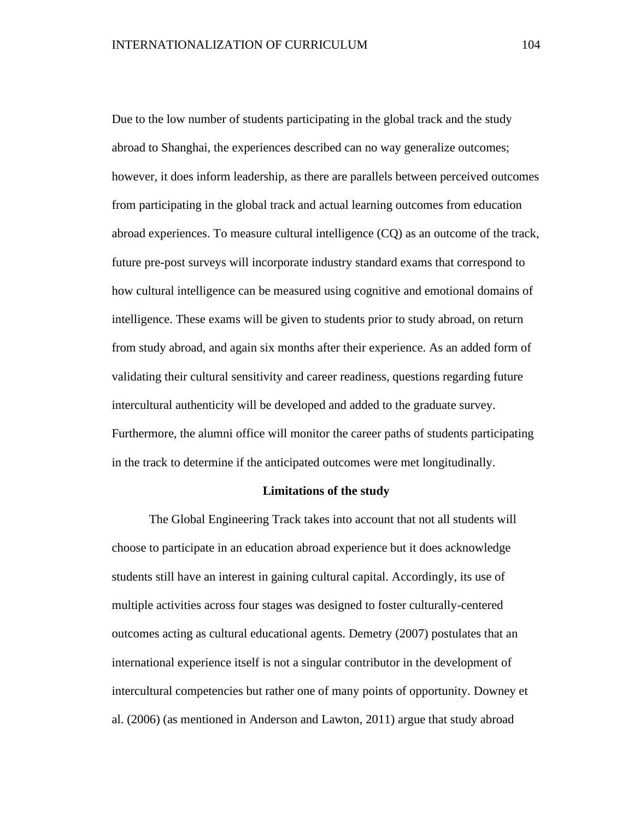Due to the low number of students participating in the global track and the study abroad to Shanghai, the experiences described can no way generalize outcomes; however, it does inform leadership, as there are parallels between perceived outcomes from participating in the global track and actual learning outcomes from education abroad experiences. To measure cultural intelligence (CQ) as an outcome of the track, future pre-post surveys will incorporate industry standard exams that correspond to how cultural intelligence can be measured using cognitive and emotional domains of intelligence. These exams will be given to students prior to study abroad, on return from study abroad, and again six months after their experience. As an added form of validating their cultural sensitivity and career readiness, questions regarding future intercultural authenticity will be developed and added to the graduate survey. Furthermore, the alumni office will monitor the career paths of students participating in the track to determine if the anticipated outcomes were met longitudinally.

#### **Limitations of the study**

The Global Engineering Track takes into account that not all students will choose to participate in an education abroad experience but it does acknowledge students still have an interest in gaining cultural capital. Accordingly, its use of multiple activities across four stages was designed to foster culturally-centered outcomes acting as cultural educational agents. Demetry (2007) postulates that an international experience itself is not a singular contributor in the development of intercultural competencies but rather one of many points of opportunity. Downey et al. (2006) (as mentioned in Anderson and Lawton, 2011) argue that study abroad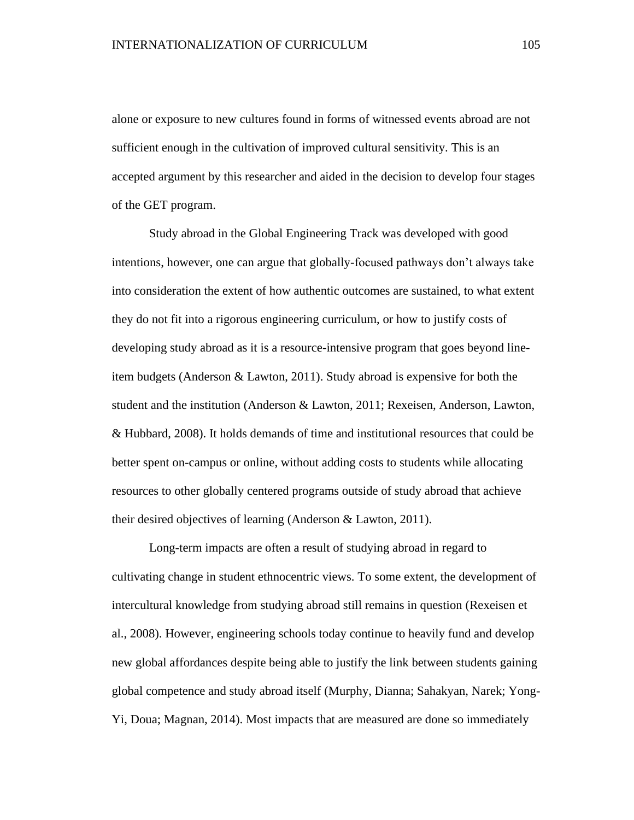alone or exposure to new cultures found in forms of witnessed events abroad are not sufficient enough in the cultivation of improved cultural sensitivity. This is an accepted argument by this researcher and aided in the decision to develop four stages of the GET program.

Study abroad in the Global Engineering Track was developed with good intentions, however, one can argue that globally-focused pathways don't always take into consideration the extent of how authentic outcomes are sustained, to what extent they do not fit into a rigorous engineering curriculum, or how to justify costs of developing study abroad as it is a resource-intensive program that goes beyond lineitem budgets (Anderson & Lawton, 2011). Study abroad is expensive for both the student and the institution (Anderson & Lawton, 2011; Rexeisen, Anderson, Lawton, & Hubbard, 2008). It holds demands of time and institutional resources that could be better spent on-campus or online, without adding costs to students while allocating resources to other globally centered programs outside of study abroad that achieve their desired objectives of learning (Anderson & Lawton, 2011).

Long-term impacts are often a result of studying abroad in regard to cultivating change in student ethnocentric views. To some extent, the development of intercultural knowledge from studying abroad still remains in question (Rexeisen et al., 2008). However, engineering schools today continue to heavily fund and develop new global affordances despite being able to justify the link between students gaining global competence and study abroad itself (Murphy, Dianna; Sahakyan, Narek; Yong-Yi, Doua; Magnan, 2014). Most impacts that are measured are done so immediately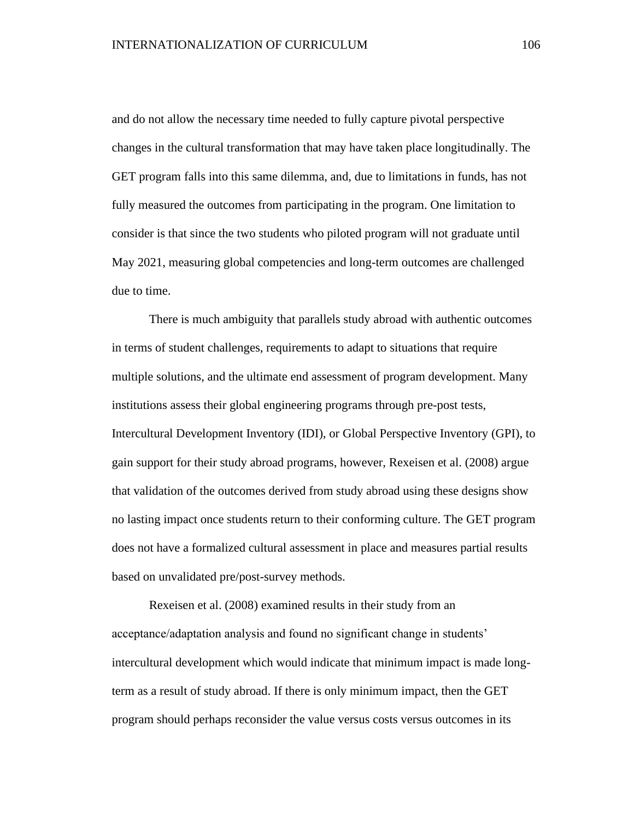and do not allow the necessary time needed to fully capture pivotal perspective changes in the cultural transformation that may have taken place longitudinally. The GET program falls into this same dilemma, and, due to limitations in funds, has not fully measured the outcomes from participating in the program. One limitation to consider is that since the two students who piloted program will not graduate until May 2021, measuring global competencies and long-term outcomes are challenged due to time.

There is much ambiguity that parallels study abroad with authentic outcomes in terms of student challenges, requirements to adapt to situations that require multiple solutions, and the ultimate end assessment of program development. Many institutions assess their global engineering programs through pre-post tests, Intercultural Development Inventory (IDI), or Global Perspective Inventory (GPI), to gain support for their study abroad programs, however, Rexeisen et al. (2008) argue that validation of the outcomes derived from study abroad using these designs show no lasting impact once students return to their conforming culture. The GET program does not have a formalized cultural assessment in place and measures partial results based on unvalidated pre/post-survey methods.

Rexeisen et al. (2008) examined results in their study from an acceptance/adaptation analysis and found no significant change in students' intercultural development which would indicate that minimum impact is made longterm as a result of study abroad. If there is only minimum impact, then the GET program should perhaps reconsider the value versus costs versus outcomes in its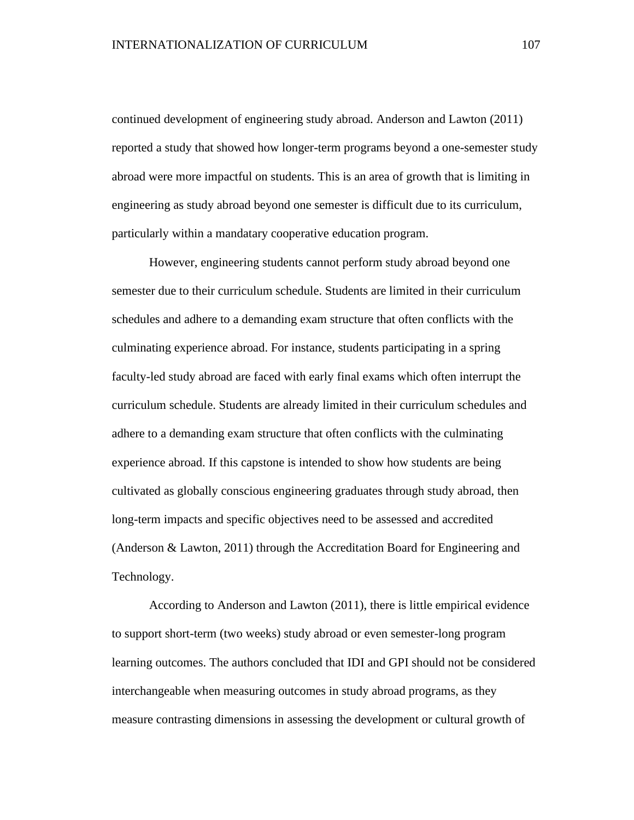continued development of engineering study abroad. Anderson and Lawton (2011) reported a study that showed how longer-term programs beyond a one-semester study abroad were more impactful on students. This is an area of growth that is limiting in engineering as study abroad beyond one semester is difficult due to its curriculum, particularly within a mandatary cooperative education program.

However, engineering students cannot perform study abroad beyond one semester due to their curriculum schedule. Students are limited in their curriculum schedules and adhere to a demanding exam structure that often conflicts with the culminating experience abroad. For instance, students participating in a spring faculty-led study abroad are faced with early final exams which often interrupt the curriculum schedule. Students are already limited in their curriculum schedules and adhere to a demanding exam structure that often conflicts with the culminating experience abroad. If this capstone is intended to show how students are being cultivated as globally conscious engineering graduates through study abroad, then long-term impacts and specific objectives need to be assessed and accredited (Anderson & Lawton, 2011) through the Accreditation Board for Engineering and Technology.

According to Anderson and Lawton (2011), there is little empirical evidence to support short-term (two weeks) study abroad or even semester-long program learning outcomes. The authors concluded that IDI and GPI should not be considered interchangeable when measuring outcomes in study abroad programs, as they measure contrasting dimensions in assessing the development or cultural growth of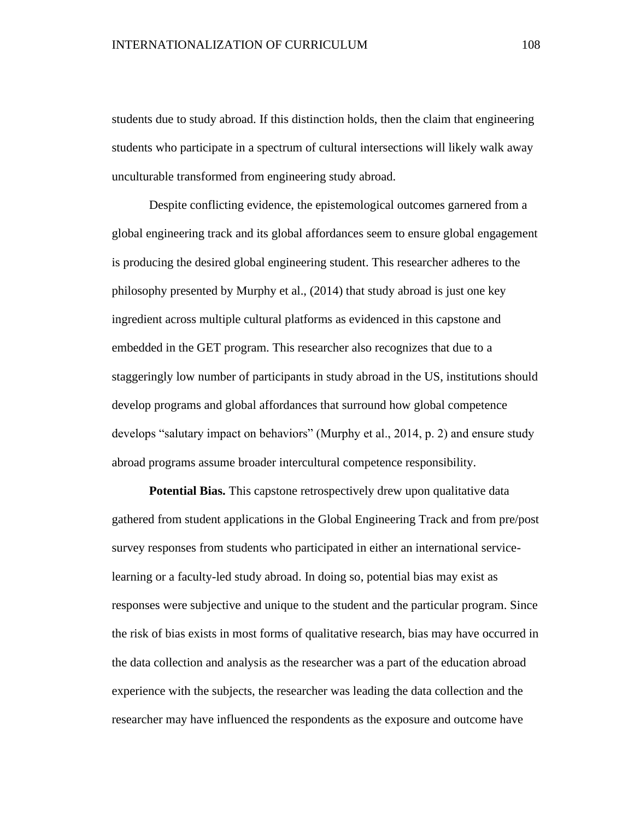students due to study abroad. If this distinction holds, then the claim that engineering students who participate in a spectrum of cultural intersections will likely walk away unculturable transformed from engineering study abroad.

Despite conflicting evidence, the epistemological outcomes garnered from a global engineering track and its global affordances seem to ensure global engagement is producing the desired global engineering student. This researcher adheres to the philosophy presented by Murphy et al., (2014) that study abroad is just one key ingredient across multiple cultural platforms as evidenced in this capstone and embedded in the GET program. This researcher also recognizes that due to a staggeringly low number of participants in study abroad in the US, institutions should develop programs and global affordances that surround how global competence develops "salutary impact on behaviors" (Murphy et al., 2014, p. 2) and ensure study abroad programs assume broader intercultural competence responsibility.

**Potential Bias.** This capstone retrospectively drew upon qualitative data gathered from student applications in the Global Engineering Track and from pre/post survey responses from students who participated in either an international servicelearning or a faculty-led study abroad. In doing so, potential bias may exist as responses were subjective and unique to the student and the particular program. Since the risk of bias exists in most forms of qualitative research, bias may have occurred in the data collection and analysis as the researcher was a part of the education abroad experience with the subjects, the researcher was leading the data collection and the researcher may have influenced the respondents as the exposure and outcome have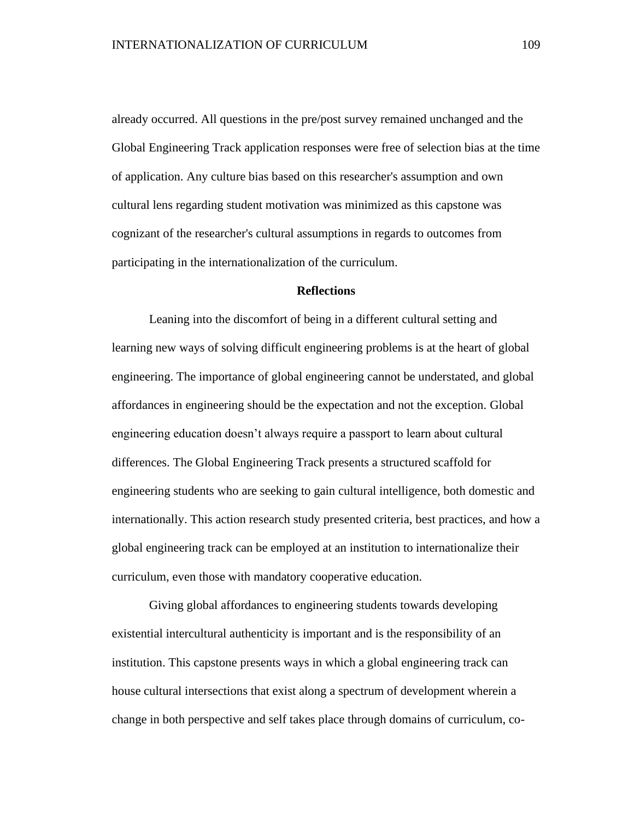already occurred. All questions in the pre/post survey remained unchanged and the Global Engineering Track application responses were free of selection bias at the time of application. Any culture bias based on this researcher's assumption and own cultural lens regarding student motivation was minimized as this capstone was cognizant of the researcher's cultural assumptions in regards to outcomes from participating in the internationalization of the curriculum.

#### **Reflections**

Leaning into the discomfort of being in a different cultural setting and learning new ways of solving difficult engineering problems is at the heart of global engineering. The importance of global engineering cannot be understated, and global affordances in engineering should be the expectation and not the exception. Global engineering education doesn't always require a passport to learn about cultural differences. The Global Engineering Track presents a structured scaffold for engineering students who are seeking to gain cultural intelligence, both domestic and internationally. This action research study presented criteria, best practices, and how a global engineering track can be employed at an institution to internationalize their curriculum, even those with mandatory cooperative education.

Giving global affordances to engineering students towards developing existential intercultural authenticity is important and is the responsibility of an institution. This capstone presents ways in which a global engineering track can house cultural intersections that exist along a spectrum of development wherein a change in both perspective and self takes place through domains of curriculum, co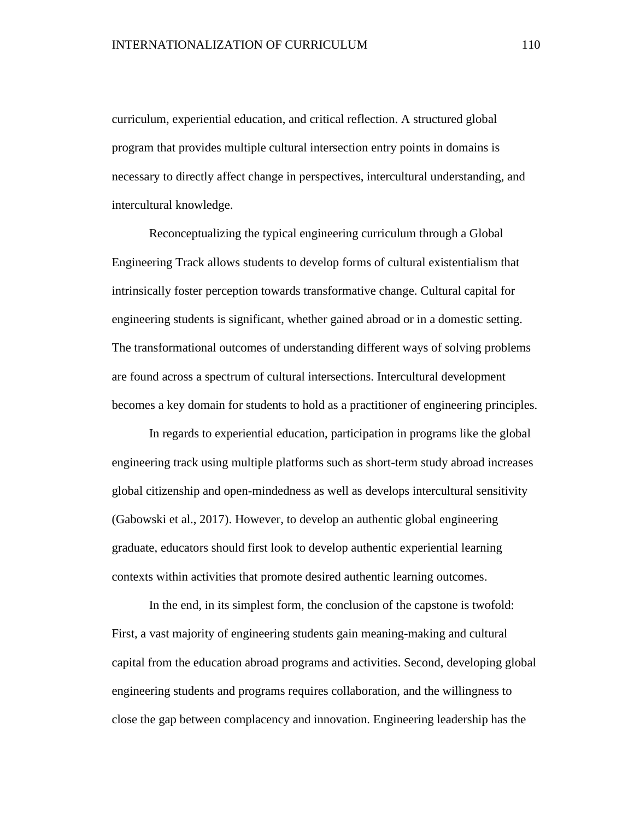curriculum, experiential education, and critical reflection. A structured global program that provides multiple cultural intersection entry points in domains is necessary to directly affect change in perspectives, intercultural understanding, and intercultural knowledge.

Reconceptualizing the typical engineering curriculum through a Global Engineering Track allows students to develop forms of cultural existentialism that intrinsically foster perception towards transformative change. Cultural capital for engineering students is significant, whether gained abroad or in a domestic setting. The transformational outcomes of understanding different ways of solving problems are found across a spectrum of cultural intersections. Intercultural development becomes a key domain for students to hold as a practitioner of engineering principles.

In regards to experiential education, participation in programs like the global engineering track using multiple platforms such as short-term study abroad increases global citizenship and open-mindedness as well as develops intercultural sensitivity (Gabowski et al., 2017). However, to develop an authentic global engineering graduate, educators should first look to develop authentic experiential learning contexts within activities that promote desired authentic learning outcomes.

In the end, in its simplest form, the conclusion of the capstone is twofold: First, a vast majority of engineering students gain meaning-making and cultural capital from the education abroad programs and activities. Second, developing global engineering students and programs requires collaboration, and the willingness to close the gap between complacency and innovation. Engineering leadership has the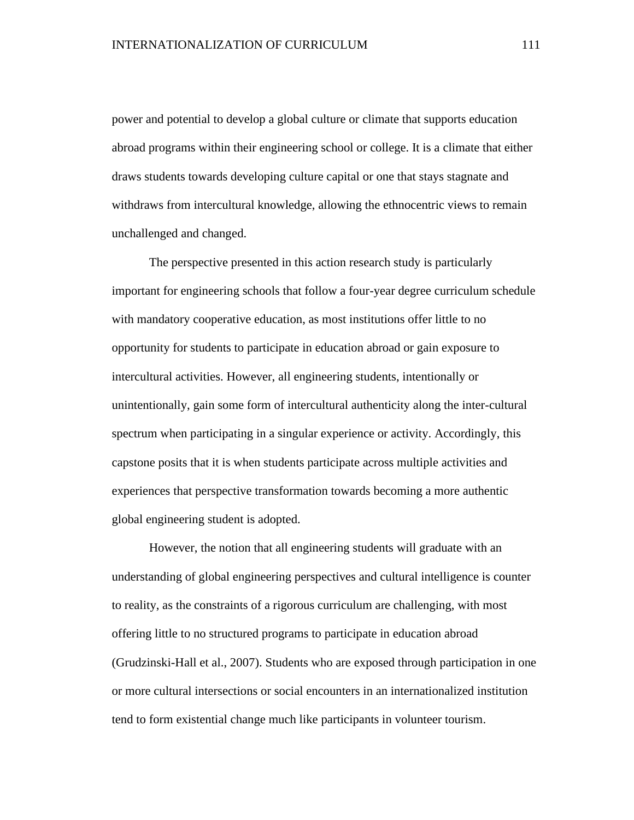power and potential to develop a global culture or climate that supports education abroad programs within their engineering school or college. It is a climate that either draws students towards developing culture capital or one that stays stagnate and withdraws from intercultural knowledge, allowing the ethnocentric views to remain unchallenged and changed.

The perspective presented in this action research study is particularly important for engineering schools that follow a four-year degree curriculum schedule with mandatory cooperative education, as most institutions offer little to no opportunity for students to participate in education abroad or gain exposure to intercultural activities. However, all engineering students, intentionally or unintentionally, gain some form of intercultural authenticity along the inter-cultural spectrum when participating in a singular experience or activity. Accordingly, this capstone posits that it is when students participate across multiple activities and experiences that perspective transformation towards becoming a more authentic global engineering student is adopted.

However, the notion that all engineering students will graduate with an understanding of global engineering perspectives and cultural intelligence is counter to reality, as the constraints of a rigorous curriculum are challenging, with most offering little to no structured programs to participate in education abroad (Grudzinski-Hall et al., 2007). Students who are exposed through participation in one or more cultural intersections or social encounters in an internationalized institution tend to form existential change much like participants in volunteer tourism.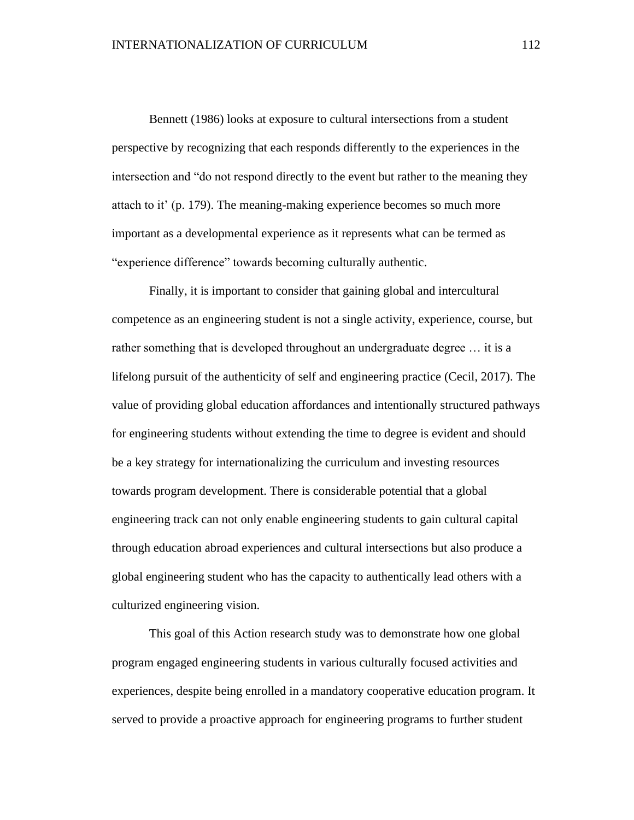Bennett (1986) looks at exposure to cultural intersections from a student perspective by recognizing that each responds differently to the experiences in the intersection and "do not respond directly to the event but rather to the meaning they attach to it' (p. 179). The meaning-making experience becomes so much more important as a developmental experience as it represents what can be termed as "experience difference" towards becoming culturally authentic.

Finally, it is important to consider that gaining global and intercultural competence as an engineering student is not a single activity, experience, course, but rather something that is developed throughout an undergraduate degree … it is a lifelong pursuit of the authenticity of self and engineering practice (Cecil, 2017). The value of providing global education affordances and intentionally structured pathways for engineering students without extending the time to degree is evident and should be a key strategy for internationalizing the curriculum and investing resources towards program development. There is considerable potential that a global engineering track can not only enable engineering students to gain cultural capital through education abroad experiences and cultural intersections but also produce a global engineering student who has the capacity to authentically lead others with a culturized engineering vision.

This goal of this Action research study was to demonstrate how one global program engaged engineering students in various culturally focused activities and experiences, despite being enrolled in a mandatory cooperative education program. It served to provide a proactive approach for engineering programs to further student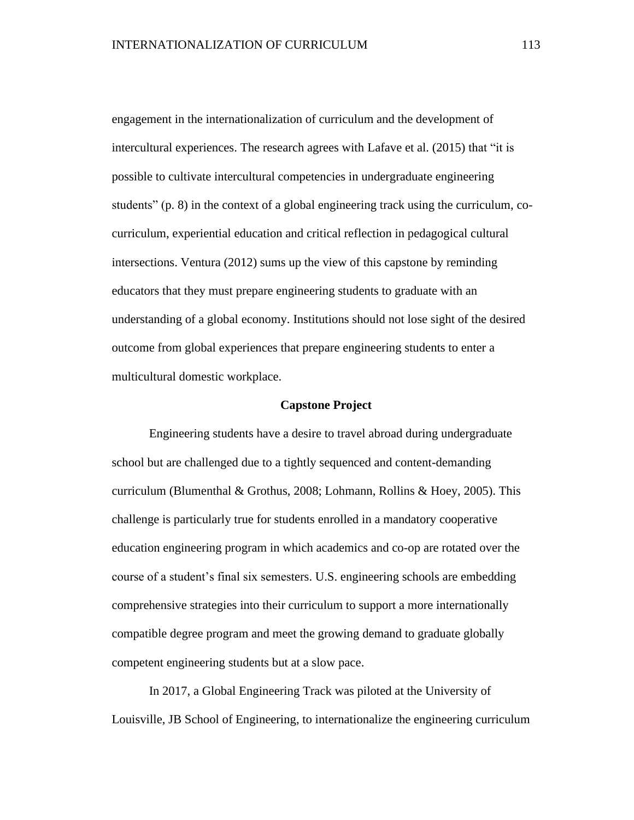engagement in the internationalization of curriculum and the development of intercultural experiences. The research agrees with Lafave et al. (2015) that "it is possible to cultivate intercultural competencies in undergraduate engineering students" (p. 8) in the context of a global engineering track using the curriculum, cocurriculum, experiential education and critical reflection in pedagogical cultural intersections. Ventura (2012) sums up the view of this capstone by reminding educators that they must prepare engineering students to graduate with an understanding of a global economy. Institutions should not lose sight of the desired outcome from global experiences that prepare engineering students to enter a multicultural domestic workplace.

#### **Capstone Project**

Engineering students have a desire to travel abroad during undergraduate school but are challenged due to a tightly sequenced and content-demanding curriculum (Blumenthal & Grothus, 2008; Lohmann, Rollins & Hoey, 2005). This challenge is particularly true for students enrolled in a mandatory cooperative education engineering program in which academics and co-op are rotated over the course of a student's final six semesters. U.S. engineering schools are embedding comprehensive strategies into their curriculum to support a more internationally compatible degree program and meet the growing demand to graduate globally competent engineering students but at a slow pace.

In 2017, a Global Engineering Track was piloted at the University of Louisville, JB School of Engineering, to internationalize the engineering curriculum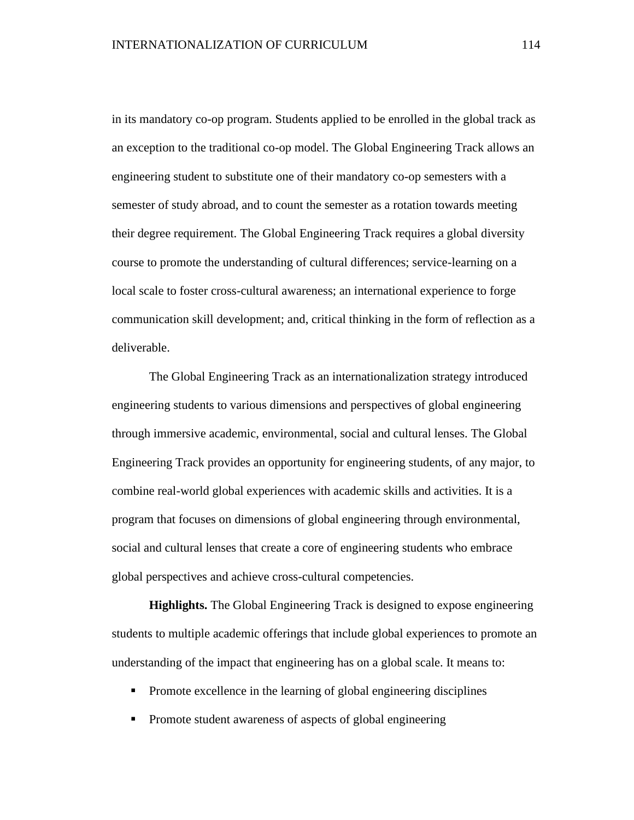in its mandatory co-op program. Students applied to be enrolled in the global track as an exception to the traditional co-op model. The Global Engineering Track allows an engineering student to substitute one of their mandatory co-op semesters with a semester of study abroad, and to count the semester as a rotation towards meeting their degree requirement. The Global Engineering Track requires a global diversity course to promote the understanding of cultural differences; service-learning on a local scale to foster cross-cultural awareness; an international experience to forge communication skill development; and, critical thinking in the form of reflection as a deliverable.

The Global Engineering Track as an internationalization strategy introduced engineering students to various dimensions and perspectives of global engineering through immersive academic, environmental, social and cultural lenses. The Global Engineering Track provides an opportunity for engineering students, of any major, to combine real-world global experiences with academic skills and activities. It is a program that focuses on dimensions of global engineering through environmental, social and cultural lenses that create a core of engineering students who embrace global perspectives and achieve cross-cultural competencies.

**Highlights.** The Global Engineering Track is designed to expose engineering students to multiple academic offerings that include global experiences to promote an understanding of the impact that engineering has on a global scale. It means to:

- **•** Promote excellence in the learning of global engineering disciplines
- Promote student awareness of aspects of global engineering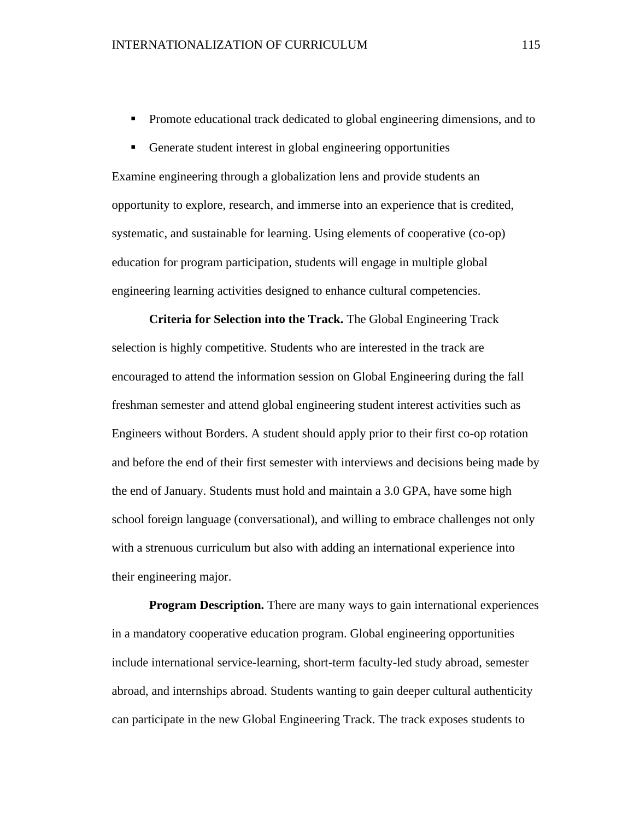- **•** Promote educational track dedicated to global engineering dimensions, and to
- Generate student interest in global engineering opportunities

Examine engineering through a globalization lens and provide students an opportunity to explore, research, and immerse into an experience that is credited, systematic, and sustainable for learning. Using elements of cooperative (co-op) education for program participation, students will engage in multiple global engineering learning activities designed to enhance cultural competencies.

**Criteria for Selection into the Track.** The Global Engineering Track selection is highly competitive. Students who are interested in the track are encouraged to attend the information session on Global Engineering during the fall freshman semester and attend global engineering student interest activities such as Engineers without Borders. A student should apply prior to their first co-op rotation and before the end of their first semester with interviews and decisions being made by the end of January. Students must hold and maintain a 3.0 GPA, have some high school foreign language (conversational), and willing to embrace challenges not only with a strenuous curriculum but also with adding an international experience into their engineering major.

**Program Description.** There are many ways to gain international experiences in a mandatory cooperative education program. Global engineering opportunities include international service-learning, short-term faculty-led study abroad, semester abroad, and internships abroad. Students wanting to gain deeper cultural authenticity can participate in the new Global Engineering Track. The track exposes students to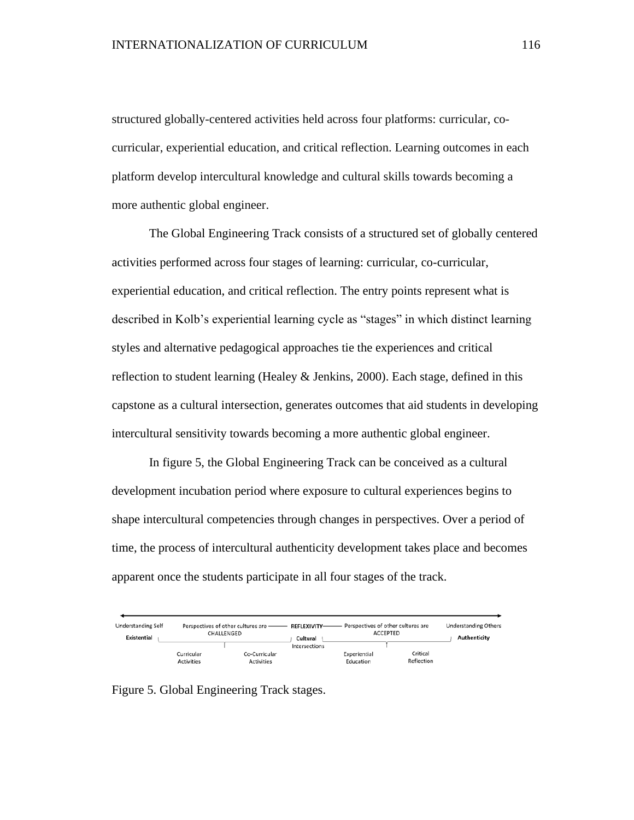structured globally-centered activities held across four platforms: curricular, cocurricular, experiential education, and critical reflection. Learning outcomes in each platform develop intercultural knowledge and cultural skills towards becoming a more authentic global engineer.

The Global Engineering Track consists of a structured set of globally centered activities performed across four stages of learning: curricular, co-curricular, experiential education, and critical reflection. The entry points represent what is described in Kolb's experiential learning cycle as "stages" in which distinct learning styles and alternative pedagogical approaches tie the experiences and critical reflection to student learning (Healey & Jenkins, 2000). Each stage, defined in this capstone as a cultural intersection, generates outcomes that aid students in developing intercultural sensitivity towards becoming a more authentic global engineer.

In figure 5, the Global Engineering Track can be conceived as a cultural development incubation period where exposure to cultural experiences begins to shape intercultural competencies through changes in perspectives. Over a period of time, the process of intercultural authenticity development takes place and becomes apparent once the students participate in all four stages of the track.

| <b>Understanding Self</b><br>Existential |                   | Perspectives of other cultures are - REFLEXIVITY-<br>CHALLENGED | Cultural      | Perspectives of other cultures are | ACCEPTED   | <b>Understanding Others</b><br>Authenticity |
|------------------------------------------|-------------------|-----------------------------------------------------------------|---------------|------------------------------------|------------|---------------------------------------------|
|                                          |                   |                                                                 | Intersections |                                    |            |                                             |
|                                          | Curricular        | Co-Curricular                                                   |               | Experiential                       | Critical   |                                             |
|                                          | <b>Activities</b> | <b>Activities</b>                                               |               | Education                          | Reflection |                                             |

Figure 5. Global Engineering Track stages.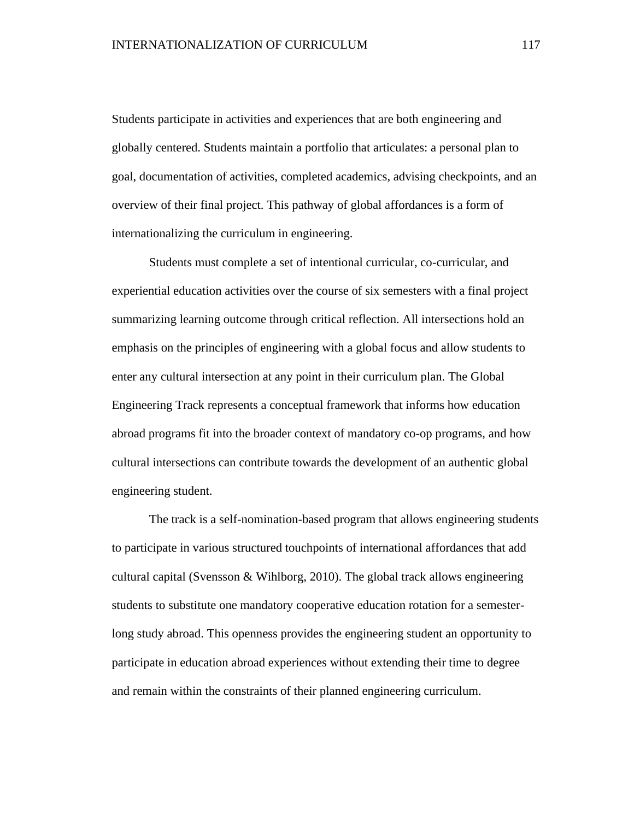Students participate in activities and experiences that are both engineering and globally centered. Students maintain a portfolio that articulates: a personal plan to goal, documentation of activities, completed academics, advising checkpoints, and an overview of their final project. This pathway of global affordances is a form of internationalizing the curriculum in engineering.

Students must complete a set of intentional curricular, co-curricular, and experiential education activities over the course of six semesters with a final project summarizing learning outcome through critical reflection. All intersections hold an emphasis on the principles of engineering with a global focus and allow students to enter any cultural intersection at any point in their curriculum plan. The Global Engineering Track represents a conceptual framework that informs how education abroad programs fit into the broader context of mandatory co-op programs, and how cultural intersections can contribute towards the development of an authentic global engineering student.

The track is a self-nomination-based program that allows engineering students to participate in various structured touchpoints of international affordances that add cultural capital (Svensson  $\&$  Wihlborg, 2010). The global track allows engineering students to substitute one mandatory cooperative education rotation for a semesterlong study abroad. This openness provides the engineering student an opportunity to participate in education abroad experiences without extending their time to degree and remain within the constraints of their planned engineering curriculum.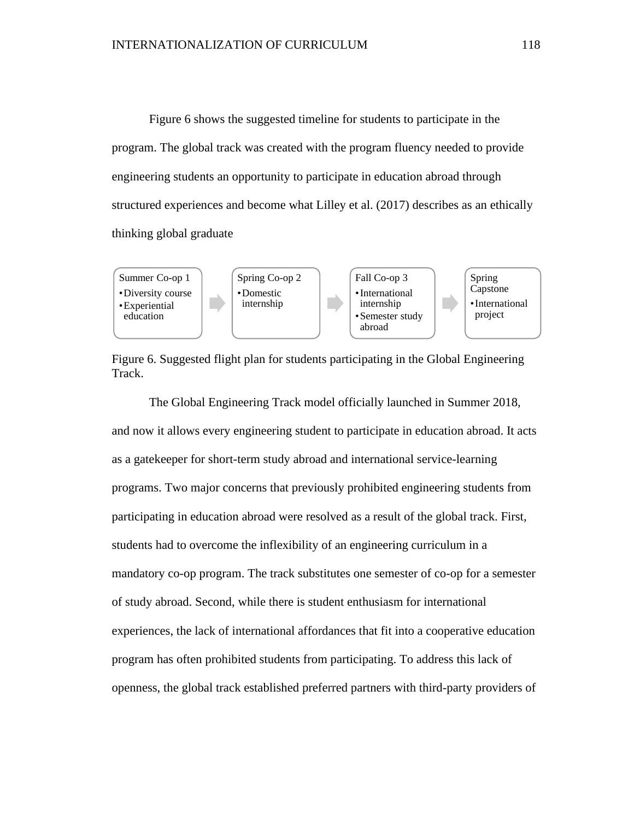Figure 6 shows the suggested timeline for students to participate in the program. The global track was created with the program fluency needed to provide engineering students an opportunity to participate in education abroad through structured experiences and become what Lilley et al. (2017) describes as an ethically thinking global graduate





The Global Engineering Track model officially launched in Summer 2018, and now it allows every engineering student to participate in education abroad. It acts as a gatekeeper for short-term study abroad and international service-learning programs. Two major concerns that previously prohibited engineering students from participating in education abroad were resolved as a result of the global track. First, students had to overcome the inflexibility of an engineering curriculum in a mandatory co-op program. The track substitutes one semester of co-op for a semester of study abroad. Second, while there is student enthusiasm for international experiences, the lack of international affordances that fit into a cooperative education program has often prohibited students from participating. To address this lack of openness, the global track established preferred partners with third-party providers of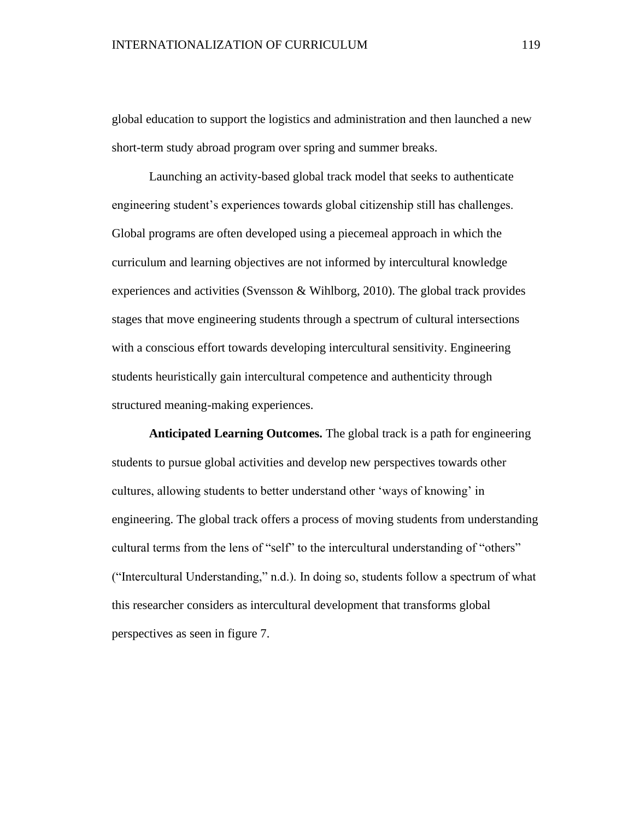global education to support the logistics and administration and then launched a new short-term study abroad program over spring and summer breaks.

Launching an activity-based global track model that seeks to authenticate engineering student's experiences towards global citizenship still has challenges. Global programs are often developed using a piecemeal approach in which the curriculum and learning objectives are not informed by intercultural knowledge experiences and activities (Svensson & Wihlborg, 2010). The global track provides stages that move engineering students through a spectrum of cultural intersections with a conscious effort towards developing intercultural sensitivity. Engineering students heuristically gain intercultural competence and authenticity through structured meaning-making experiences.

**Anticipated Learning Outcomes.** The global track is a path for engineering students to pursue global activities and develop new perspectives towards other cultures, allowing students to better understand other 'ways of knowing' in engineering. The global track offers a process of moving students from understanding cultural terms from the lens of "self" to the intercultural understanding of "others" ("Intercultural Understanding," n.d.). In doing so, students follow a spectrum of what this researcher considers as intercultural development that transforms global perspectives as seen in figure 7.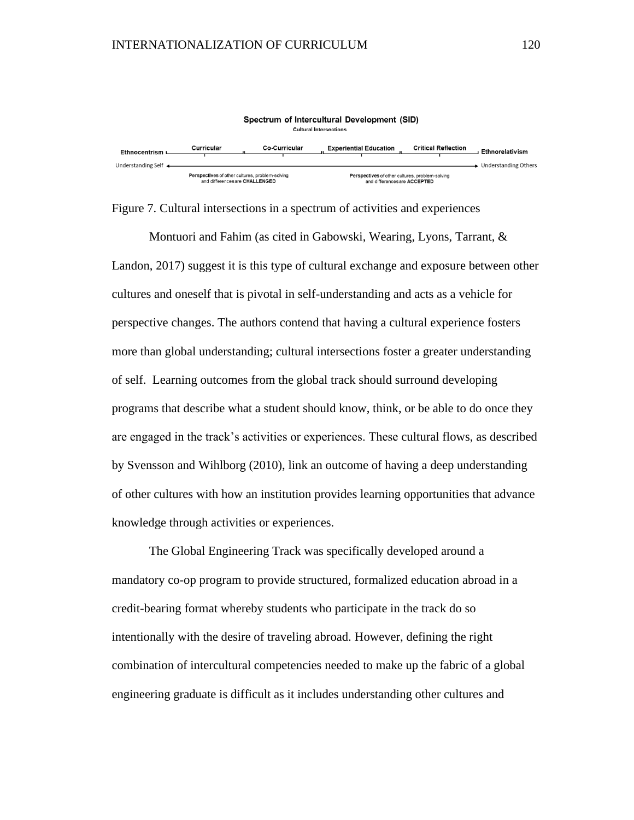

Figure 7. Cultural intersections in a spectrum of activities and experiences

Montuori and Fahim (as cited in Gabowski, Wearing, Lyons, Tarrant, & Landon, 2017) suggest it is this type of cultural exchange and exposure between other cultures and oneself that is pivotal in self-understanding and acts as a vehicle for perspective changes. The authors contend that having a cultural experience fosters more than global understanding; cultural intersections foster a greater understanding of self. Learning outcomes from the global track should surround developing programs that describe what a student should know, think, or be able to do once they are engaged in the track's activities or experiences. These cultural flows, as described by Svensson and Wihlborg (2010), link an outcome of having a deep understanding of other cultures with how an institution provides learning opportunities that advance knowledge through activities or experiences.

The Global Engineering Track was specifically developed around a mandatory co-op program to provide structured, formalized education abroad in a credit-bearing format whereby students who participate in the track do so intentionally with the desire of traveling abroad. However, defining the right combination of intercultural competencies needed to make up the fabric of a global engineering graduate is difficult as it includes understanding other cultures and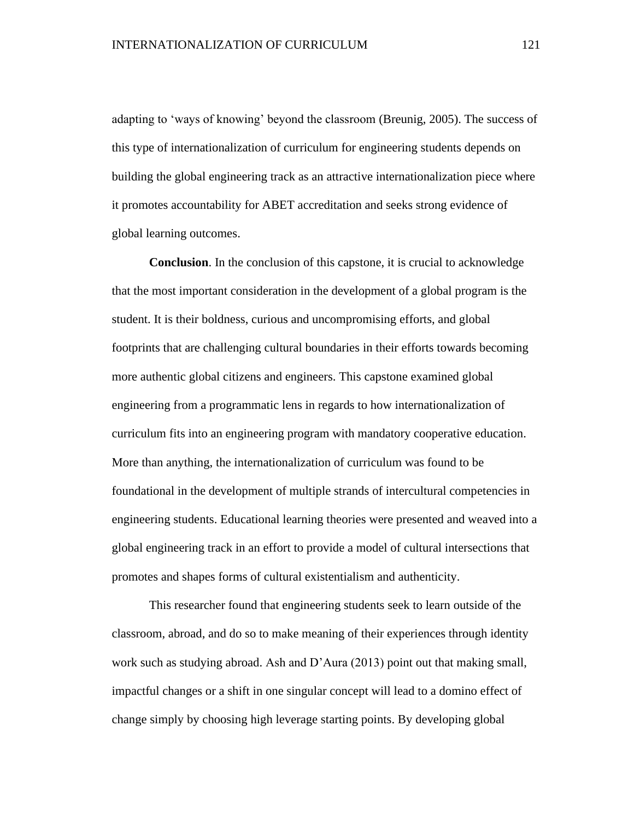adapting to 'ways of knowing' beyond the classroom (Breunig, 2005). The success of this type of internationalization of curriculum for engineering students depends on building the global engineering track as an attractive internationalization piece where it promotes accountability for ABET accreditation and seeks strong evidence of global learning outcomes.

**Conclusion**. In the conclusion of this capstone, it is crucial to acknowledge that the most important consideration in the development of a global program is the student. It is their boldness, curious and uncompromising efforts, and global footprints that are challenging cultural boundaries in their efforts towards becoming more authentic global citizens and engineers. This capstone examined global engineering from a programmatic lens in regards to how internationalization of curriculum fits into an engineering program with mandatory cooperative education. More than anything, the internationalization of curriculum was found to be foundational in the development of multiple strands of intercultural competencies in engineering students. Educational learning theories were presented and weaved into a global engineering track in an effort to provide a model of cultural intersections that promotes and shapes forms of cultural existentialism and authenticity.

This researcher found that engineering students seek to learn outside of the classroom, abroad, and do so to make meaning of their experiences through identity work such as studying abroad. Ash and D'Aura (2013) point out that making small, impactful changes or a shift in one singular concept will lead to a domino effect of change simply by choosing high leverage starting points. By developing global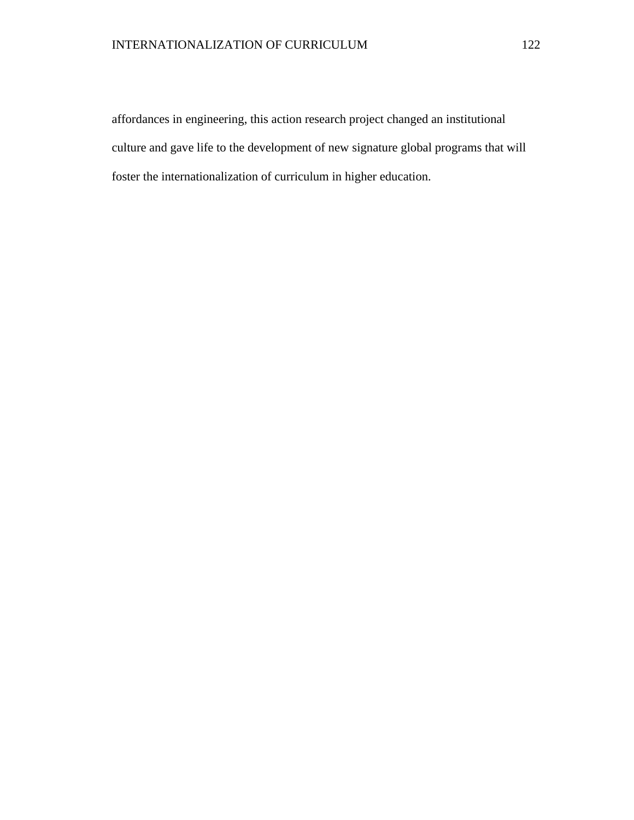affordances in engineering, this action research project changed an institutional culture and gave life to the development of new signature global programs that will foster the internationalization of curriculum in higher education.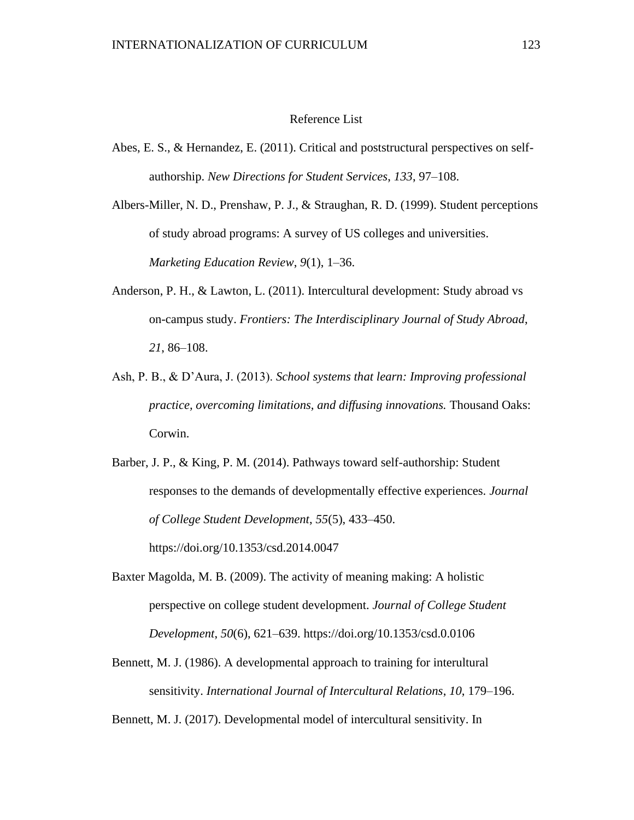#### Reference List

Abes, E. S., & Hernandez, E. (2011). Critical and poststructural perspectives on selfauthorship. *New Directions for Student Services*, *133*, 97–108.

Albers-Miller, N. D., Prenshaw, P. J., & Straughan, R. D. (1999). Student perceptions of study abroad programs: A survey of US colleges and universities. *Marketing Education Review*, *9*(1), 1–36.

- Anderson, P. H., & Lawton, L. (2011). Intercultural development: Study abroad vs on-campus study. *Frontiers: The Interdisciplinary Journal of Study Abroad*, *21*, 86–108.
- Ash, P. B., & D'Aura, J. (2013). *School systems that learn: Improving professional practice, overcoming limitations, and diffusing innovations.* Thousand Oaks: Corwin.

Barber, J. P., & King, P. M. (2014). Pathways toward self-authorship: Student responses to the demands of developmentally effective experiences. *Journal of College Student Development*, *55*(5), 433–450. https://doi.org/10.1353/csd.2014.0047

Baxter Magolda, M. B. (2009). The activity of meaning making: A holistic perspective on college student development. *Journal of College Student Development*, *50*(6), 621–639. https://doi.org/10.1353/csd.0.0106

Bennett, M. J. (1986). A developmental approach to training for interultural sensitivity. *International Journal of Intercultural Relations*, *10*, 179–196.

Bennett, M. J. (2017). Developmental model of intercultural sensitivity. In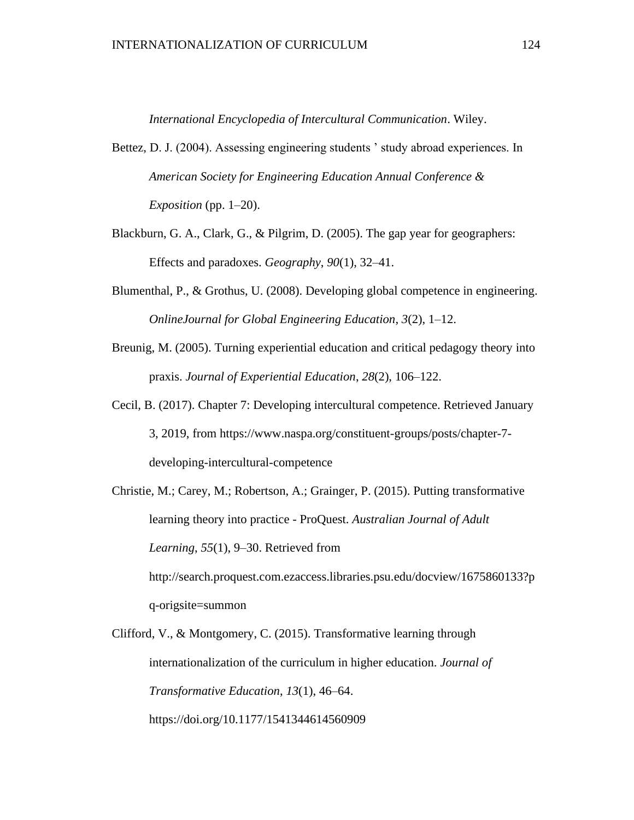*International Encyclopedia of Intercultural Communication*. Wiley.

- Bettez, D. J. (2004). Assessing engineering students ' study abroad experiences. In *American Society for Engineering Education Annual Conference & Exposition* (pp. 1–20).
- Blackburn, G. A., Clark, G., & Pilgrim, D. (2005). The gap year for geographers: Effects and paradoxes. *Geography*, *90*(1), 32–41.
- Blumenthal, P., & Grothus, U. (2008). Developing global competence in engineering. *OnlineJournal for Global Engineering Education*, *3*(2), 1–12.
- Breunig, M. (2005). Turning experiential education and critical pedagogy theory into praxis. *Journal of Experiential Education*, *28*(2), 106–122.
- Cecil, B. (2017). Chapter 7: Developing intercultural competence. Retrieved January 3, 2019, from https://www.naspa.org/constituent-groups/posts/chapter-7 developing-intercultural-competence

Christie, M.; Carey, M.; Robertson, A.; Grainger, P. (2015). Putting transformative learning theory into practice - ProQuest. *Australian Journal of Adult Learning*, *55*(1), 9–30. Retrieved from http://search.proquest.com.ezaccess.libraries.psu.edu/docview/1675860133?p q-origsite=summon

Clifford, V., & Montgomery, C. (2015). Transformative learning through internationalization of the curriculum in higher education. *Journal of Transformative Education*, *13*(1), 46–64. https://doi.org/10.1177/1541344614560909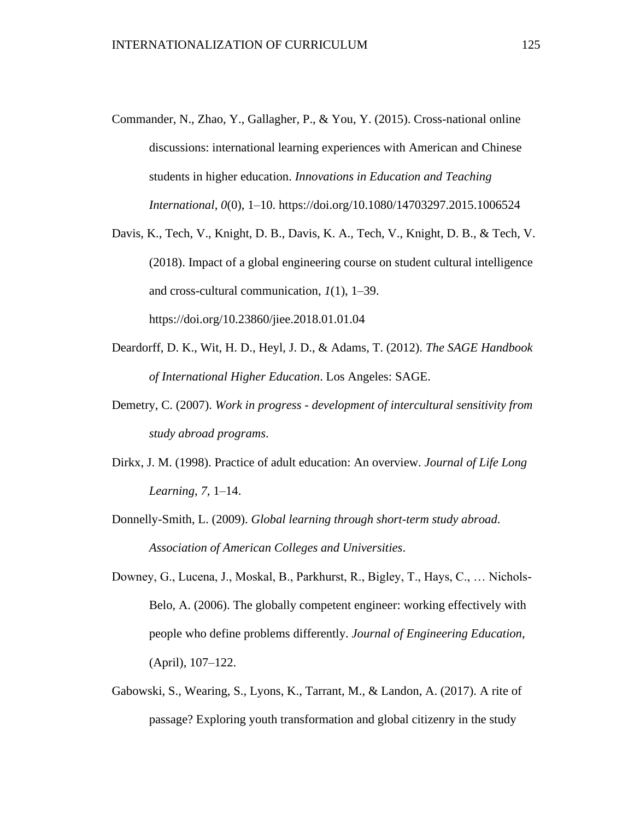- Commander, N., Zhao, Y., Gallagher, P., & You, Y. (2015). Cross-national online discussions: international learning experiences with American and Chinese students in higher education. *Innovations in Education and Teaching International*, *0*(0), 1–10. https://doi.org/10.1080/14703297.2015.1006524
- Davis, K., Tech, V., Knight, D. B., Davis, K. A., Tech, V., Knight, D. B., & Tech, V. (2018). Impact of a global engineering course on student cultural intelligence and cross-cultural communication, *1*(1), 1–39. https://doi.org/10.23860/jiee.2018.01.01.04
- Deardorff, D. K., Wit, H. D., Heyl, J. D., & Adams, T. (2012). *The SAGE Handbook of International Higher Education*. Los Angeles: SAGE.
- Demetry, C. (2007). *Work in progress - development of intercultural sensitivity from study abroad programs*.
- Dirkx, J. M. (1998). Practice of adult education: An overview. *Journal of Life Long Learning*, *7*, 1–14.
- Donnelly-Smith, L. (2009). *Global learning through short-term study abroad*. *Association of American Colleges and Universities*.
- Downey, G., Lucena, J., Moskal, B., Parkhurst, R., Bigley, T., Hays, C., … Nichols-Belo, A. (2006). The globally competent engineer: working effectively with people who define problems differently. *Journal of Engineering Education*, (April), 107–122.
- Gabowski, S., Wearing, S., Lyons, K., Tarrant, M., & Landon, A. (2017). A rite of passage? Exploring youth transformation and global citizenry in the study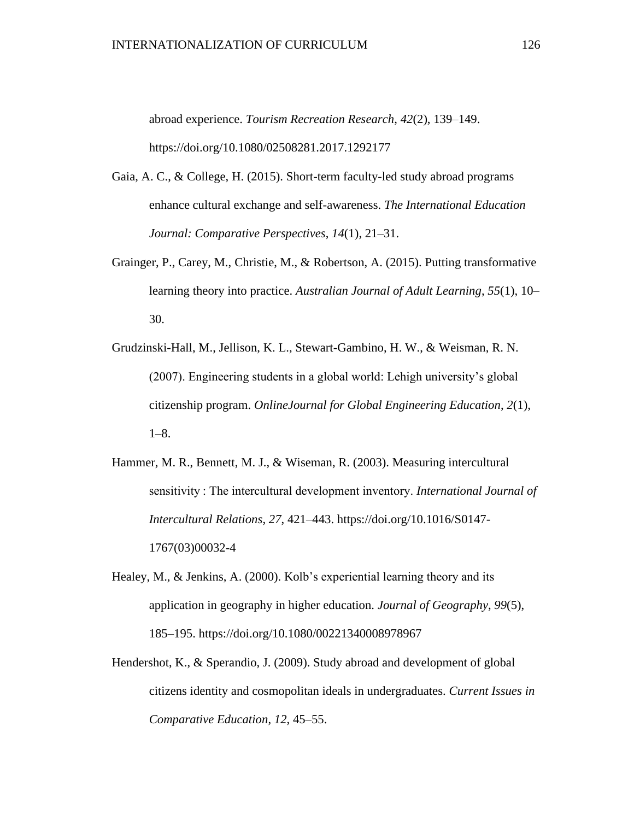abroad experience. *Tourism Recreation Research*, *42*(2), 139–149. https://doi.org/10.1080/02508281.2017.1292177

- Gaia, A. C., & College, H. (2015). Short-term faculty-led study abroad programs enhance cultural exchange and self-awareness. *The International Education Journal: Comparative Perspectives*, *14*(1), 21–31.
- Grainger, P., Carey, M., Christie, M., & Robertson, A. (2015). Putting transformative learning theory into practice. *Australian Journal of Adult Learning*, *55*(1), 10– 30.
- Grudzinski-Hall, M., Jellison, K. L., Stewart-Gambino, H. W., & Weisman, R. N. (2007). Engineering students in a global world: Lehigh university's global citizenship program. *OnlineJournal for Global Engineering Education*, *2*(1), 1–8.
- Hammer, M. R., Bennett, M. J., & Wiseman, R. (2003). Measuring intercultural sensitivity : The intercultural development inventory. *International Journal of Intercultural Relations*, *27*, 421–443. https://doi.org/10.1016/S0147- 1767(03)00032-4
- Healey, M., & Jenkins, A. (2000). Kolb's experiential learning theory and its application in geography in higher education. *Journal of Geography*, *99*(5), 185–195. https://doi.org/10.1080/00221340008978967
- Hendershot, K., & Sperandio, J. (2009). Study abroad and development of global citizens identity and cosmopolitan ideals in undergraduates. *Current Issues in Comparative Education*, *12*, 45–55.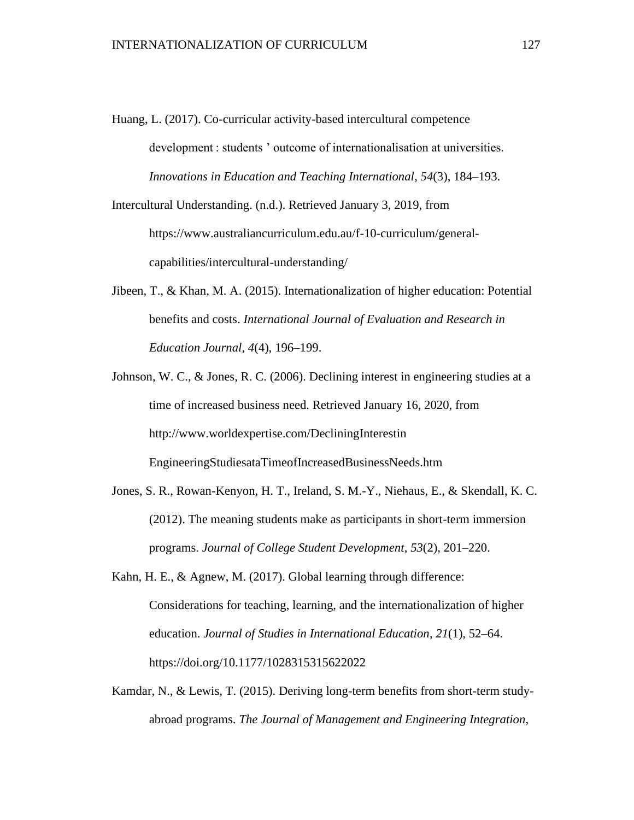Huang, L. (2017). Co-curricular activity-based intercultural competence development : students ' outcome of internationalisation at universities. *Innovations in Education and Teaching International*, *54*(3), 184–193.

Intercultural Understanding. (n.d.). Retrieved January 3, 2019, from https://www.australiancurriculum.edu.au/f-10-curriculum/generalcapabilities/intercultural-understanding/

- Jibeen, T., & Khan, M. A. (2015). Internationalization of higher education: Potential benefits and costs. *International Journal of Evaluation and Research in Education Journal*, *4*(4), 196–199.
- Johnson, W. C., & Jones, R. C. (2006). Declining interest in engineering studies at a time of increased business need. Retrieved January 16, 2020, from http://www.worldexpertise.com/DecliningInterestin EngineeringStudiesataTimeofIncreasedBusinessNeeds.htm
- Jones, S. R., Rowan-Kenyon, H. T., Ireland, S. M.-Y., Niehaus, E., & Skendall, K. C. (2012). The meaning students make as participants in short-term immersion programs. *Journal of College Student Development*, *53*(2), 201–220.
- Kahn, H. E., & Agnew, M. (2017). Global learning through difference: Considerations for teaching, learning, and the internationalization of higher education. *Journal of Studies in International Education*, *21*(1), 52–64. https://doi.org/10.1177/1028315315622022
- Kamdar, N., & Lewis, T. (2015). Deriving long-term benefits from short-term studyabroad programs. *The Journal of Management and Engineering Integration*,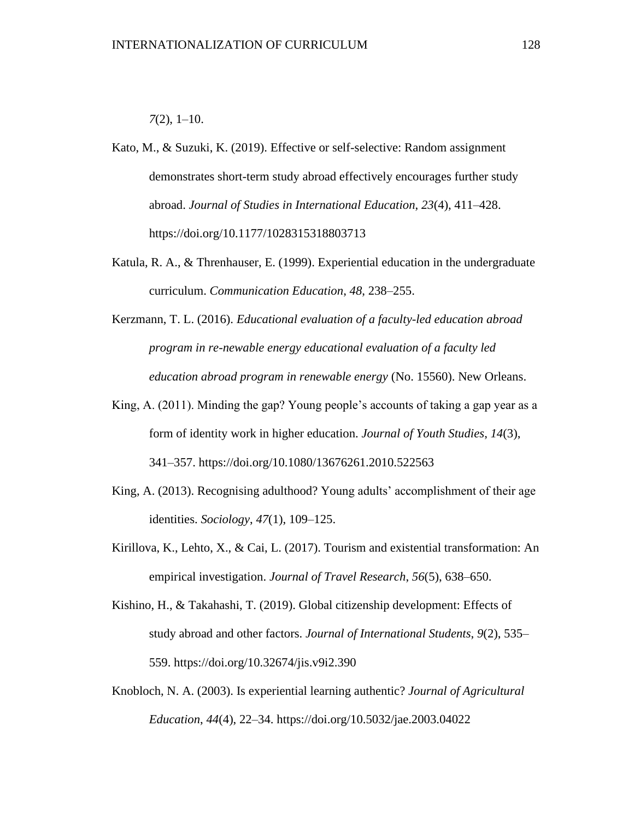#### *7*(2), 1–10.

Kato, M., & Suzuki, K. (2019). Effective or self-selective: Random assignment demonstrates short-term study abroad effectively encourages further study abroad. *Journal of Studies in International Education*, *23*(4), 411–428. https://doi.org/10.1177/1028315318803713

- Katula, R. A., & Threnhauser, E. (1999). Experiential education in the undergraduate curriculum. *Communication Education*, *48*, 238–255.
- Kerzmann, T. L. (2016). *Educational evaluation of a faculty-led education abroad program in re-newable energy educational evaluation of a faculty led education abroad program in renewable energy* (No. 15560). New Orleans.
- King, A. (2011). Minding the gap? Young people's accounts of taking a gap year as a form of identity work in higher education. *Journal of Youth Studies*, *14*(3), 341–357. https://doi.org/10.1080/13676261.2010.522563
- King, A. (2013). Recognising adulthood? Young adults' accomplishment of their age identities. *Sociology*, *47*(1), 109–125.
- Kirillova, K., Lehto, X., & Cai, L. (2017). Tourism and existential transformation: An empirical investigation. *Journal of Travel Research*, *56*(5), 638–650.
- Kishino, H., & Takahashi, T. (2019). Global citizenship development: Effects of study abroad and other factors. *Journal of International Students*, *9*(2), 535– 559. https://doi.org/10.32674/jis.v9i2.390
- Knobloch, N. A. (2003). Is experiential learning authentic? *Journal of Agricultural Education*, *44*(4), 22–34. https://doi.org/10.5032/jae.2003.04022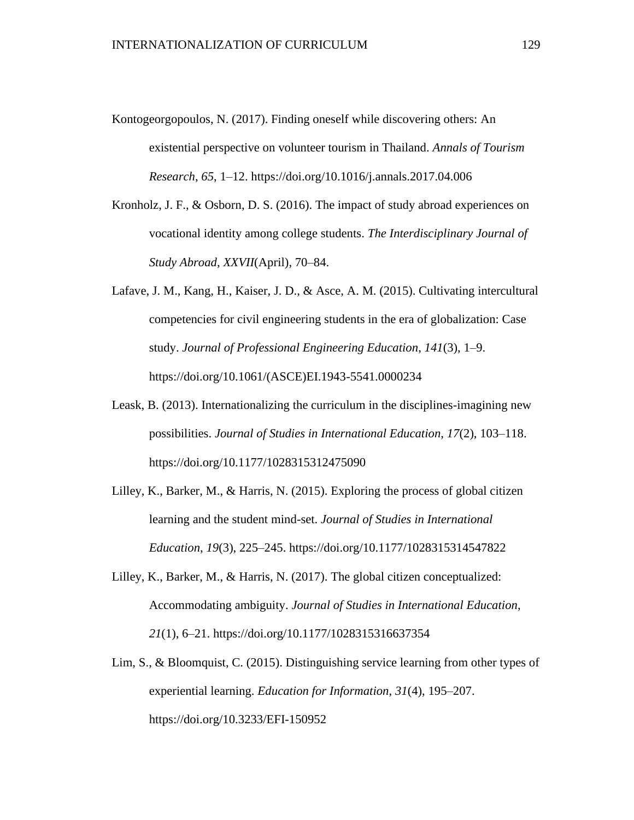- Kontogeorgopoulos, N. (2017). Finding oneself while discovering others: An existential perspective on volunteer tourism in Thailand. *Annals of Tourism Research*, *65*, 1–12. https://doi.org/10.1016/j.annals.2017.04.006
- Kronholz, J. F., & Osborn, D. S. (2016). The impact of study abroad experiences on vocational identity among college students. *The Interdisciplinary Journal of Study Abroad*, *XXVII*(April), 70–84.
- Lafave, J. M., Kang, H., Kaiser, J. D., & Asce, A. M. (2015). Cultivating intercultural competencies for civil engineering students in the era of globalization: Case study. *Journal of Professional Engineering Education*, *141*(3), 1–9. https://doi.org/10.1061/(ASCE)EI.1943-5541.0000234
- Leask, B. (2013). Internationalizing the curriculum in the disciplines-imagining new possibilities. *Journal of Studies in International Education*, *17*(2), 103–118. https://doi.org/10.1177/1028315312475090
- Lilley, K., Barker, M., & Harris, N. (2015). Exploring the process of global citizen learning and the student mind-set. *Journal of Studies in International Education*, *19*(3), 225–245. https://doi.org/10.1177/1028315314547822
- Lilley, K., Barker, M., & Harris, N. (2017). The global citizen conceptualized: Accommodating ambiguity. *Journal of Studies in International Education*, *21*(1), 6–21. https://doi.org/10.1177/1028315316637354
- Lim, S., & Bloomquist, C. (2015). Distinguishing service learning from other types of experiential learning. *Education for Information*, *31*(4), 195–207. https://doi.org/10.3233/EFI-150952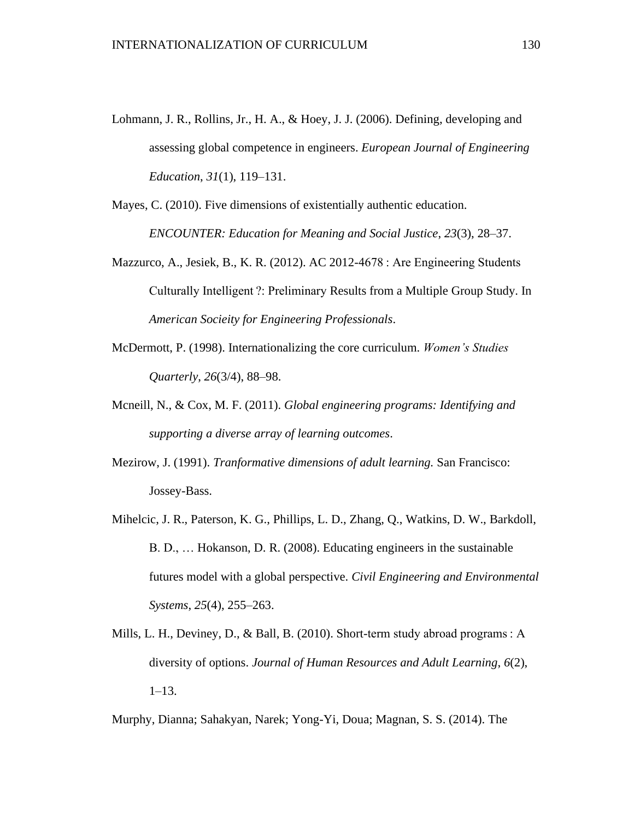- Lohmann, J. R., Rollins, Jr., H. A., & Hoey, J. J. (2006). Defining, developing and assessing global competence in engineers. *European Journal of Engineering Education*, *31*(1), 119–131.
- Mayes, C. (2010). Five dimensions of existentially authentic education. *ENCOUNTER: Education for Meaning and Social Justice*, *23*(3), 28–37.
- Mazzurco, A., Jesiek, B., K. R. (2012). AC 2012-4678 : Are Engineering Students Culturally Intelligent ?: Preliminary Results from a Multiple Group Study. In *American Socieity for Engineering Professionals*.
- McDermott, P. (1998). Internationalizing the core curriculum. *Women's Studies Quarterly*, *26*(3/4), 88–98.
- Mcneill, N., & Cox, M. F. (2011). *Global engineering programs: Identifying and supporting a diverse array of learning outcomes*.
- Mezirow, J. (1991). *Tranformative dimensions of adult learning.* San Francisco: Jossey-Bass.
- Mihelcic, J. R., Paterson, K. G., Phillips, L. D., Zhang, Q., Watkins, D. W., Barkdoll, B. D., … Hokanson, D. R. (2008). Educating engineers in the sustainable futures model with a global perspective. *Civil Engineering and Environmental Systems*, *25*(4), 255–263.
- Mills, L. H., Deviney, D., & Ball, B. (2010). Short-term study abroad programs : A diversity of options. *Journal of Human Resources and Adult Learning*, *6*(2), 1–13.

Murphy, Dianna; Sahakyan, Narek; Yong-Yi, Doua; Magnan, S. S. (2014). The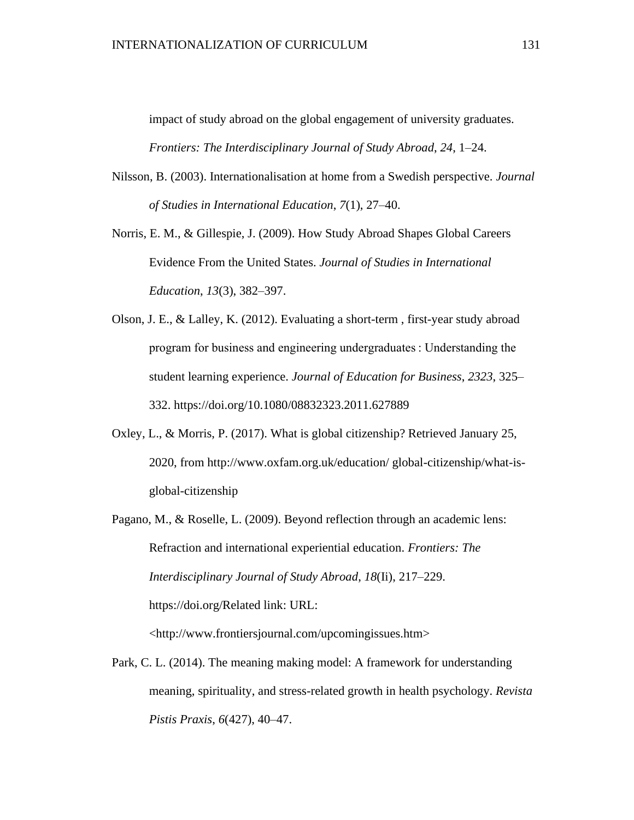impact of study abroad on the global engagement of university graduates. *Frontiers: The Interdisciplinary Journal of Study Abroad*, *24*, 1–24.

- Nilsson, B. (2003). Internationalisation at home from a Swedish perspective. *Journal of Studies in International Education*, *7*(1), 27–40.
- Norris, E. M., & Gillespie, J. (2009). How Study Abroad Shapes Global Careers Evidence From the United States. *Journal of Studies in International Education*, *13*(3), 382–397.
- Olson, J. E., & Lalley, K. (2012). Evaluating a short-term , first-year study abroad program for business and engineering undergraduates : Understanding the student learning experience. *Journal of Education for Business*, *2323*, 325– 332. https://doi.org/10.1080/08832323.2011.627889
- Oxley, L., & Morris, P. (2017). What is global citizenship? Retrieved January 25, 2020, from http://www.oxfam.org.uk/education/ global-citizenship/what-isglobal-citizenship
- Pagano, M., & Roselle, L. (2009). Beyond reflection through an academic lens: Refraction and international experiential education. *Frontiers: The Interdisciplinary Journal of Study Abroad*, *18*(Ii), 217–229. https://doi.org/Related link: URL: <http://www.frontiersjournal.com/upcomingissues.htm>
- Park, C. L. (2014). The meaning making model: A framework for understanding meaning, spirituality, and stress-related growth in health psychology. *Revista Pistis Praxis*, *6*(427), 40–47.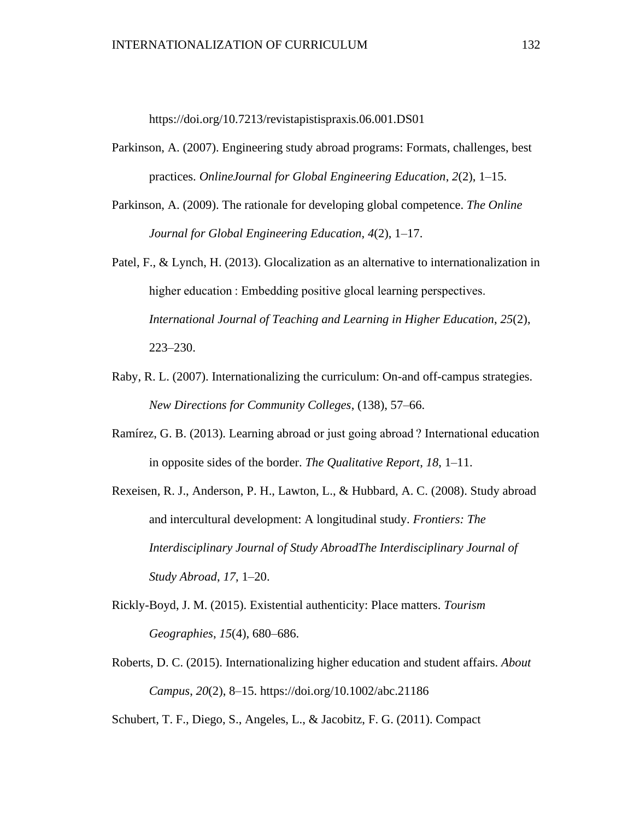https://doi.org/10.7213/revistapistispraxis.06.001.DS01

- Parkinson, A. (2007). Engineering study abroad programs: Formats, challenges, best practices. *OnlineJournal for Global Engineering Education*, *2*(2), 1–15.
- Parkinson, A. (2009). The rationale for developing global competence. *The Online Journal for Global Engineering Education*, *4*(2), 1–17.
- Patel, F., & Lynch, H. (2013). Glocalization as an alternative to internationalization in higher education : Embedding positive glocal learning perspectives. *International Journal of Teaching and Learning in Higher Education*, *25*(2), 223–230.
- Raby, R. L. (2007). Internationalizing the curriculum: On-and off-campus strategies. *New Directions for Community Colleges*, (138), 57–66.
- Ramírez, G. B. (2013). Learning abroad or just going abroad ? International education in opposite sides of the border. *The Qualitative Report*, *18*, 1–11.
- Rexeisen, R. J., Anderson, P. H., Lawton, L., & Hubbard, A. C. (2008). Study abroad and intercultural development: A longitudinal study. *Frontiers: The Interdisciplinary Journal of Study AbroadThe Interdisciplinary Journal of Study Abroad*, *17*, 1–20.
- Rickly-Boyd, J. M. (2015). Existential authenticity: Place matters. *Tourism Geographies*, *15*(4), 680–686.
- Roberts, D. C. (2015). Internationalizing higher education and student affairs. *About Campus*, *20*(2), 8–15. https://doi.org/10.1002/abc.21186

Schubert, T. F., Diego, S., Angeles, L., & Jacobitz, F. G. (2011). Compact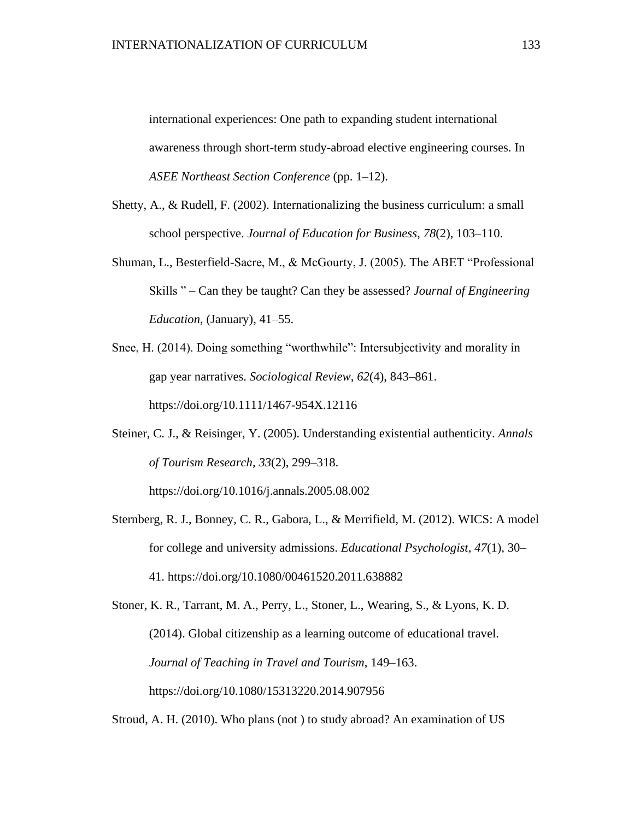international experiences: One path to expanding student international awareness through short-term study-abroad elective engineering courses. In *ASEE Northeast Section Conference* (pp. 1–12).

- Shetty, A., & Rudell, F. (2002). Internationalizing the business curriculum: a small school perspective. *Journal of Education for Business*, *78*(2), 103–110.
- Shuman, L., Besterfield-Sacre, M., & McGourty, J. (2005). The ABET "Professional Skills " – Can they be taught? Can they be assessed? *Journal of Engineering Education*, (January), 41–55.
- Snee, H. (2014). Doing something "worthwhile": Intersubjectivity and morality in gap year narratives. *Sociological Review*, *62*(4), 843–861. https://doi.org/10.1111/1467-954X.12116
- Steiner, C. J., & Reisinger, Y. (2005). Understanding existential authenticity. *Annals of Tourism Research*, *33*(2), 299–318. https://doi.org/10.1016/j.annals.2005.08.002
- Sternberg, R. J., Bonney, C. R., Gabora, L., & Merrifield, M. (2012). WICS: A model for college and university admissions. *Educational Psychologist*, *47*(1), 30– 41. https://doi.org/10.1080/00461520.2011.638882

Stoner, K. R., Tarrant, M. A., Perry, L., Stoner, L., Wearing, S., & Lyons, K. D. (2014). Global citizenship as a learning outcome of educational travel. *Journal of Teaching in Travel and Tourism*, 149–163. https://doi.org/10.1080/15313220.2014.907956

Stroud, A. H. (2010). Who plans (not ) to study abroad? An examination of US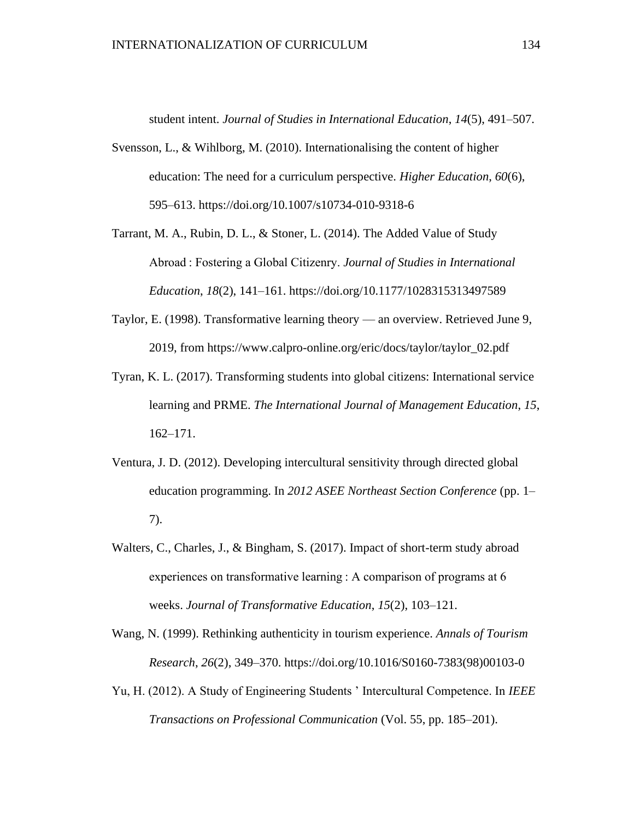student intent. *Journal of Studies in International Education*, *14*(5), 491–507.

- Svensson, L., & Wihlborg, M. (2010). Internationalising the content of higher education: The need for a curriculum perspective. *Higher Education*, *60*(6), 595–613. https://doi.org/10.1007/s10734-010-9318-6
- Tarrant, M. A., Rubin, D. L., & Stoner, L. (2014). The Added Value of Study Abroad : Fostering a Global Citizenry. *Journal of Studies in International Education*, *18*(2), 141–161. https://doi.org/10.1177/1028315313497589
- Taylor, E. (1998). Transformative learning theory an overview. Retrieved June 9, 2019, from https://www.calpro-online.org/eric/docs/taylor/taylor\_02.pdf
- Tyran, K. L. (2017). Transforming students into global citizens: International service learning and PRME. *The International Journal of Management Education*, *15*, 162–171.
- Ventura, J. D. (2012). Developing intercultural sensitivity through directed global education programming. In *2012 ASEE Northeast Section Conference* (pp. 1– 7).
- Walters, C., Charles, J., & Bingham, S. (2017). Impact of short-term study abroad experiences on transformative learning : A comparison of programs at 6 weeks. *Journal of Transformative Education*, *15*(2), 103–121.

Wang, N. (1999). Rethinking authenticity in tourism experience. *Annals of Tourism Research*, *26*(2), 349–370. https://doi.org/10.1016/S0160-7383(98)00103-0

Yu, H. (2012). A Study of Engineering Students ' Intercultural Competence. In *IEEE Transactions on Professional Communication* (Vol. 55, pp. 185–201).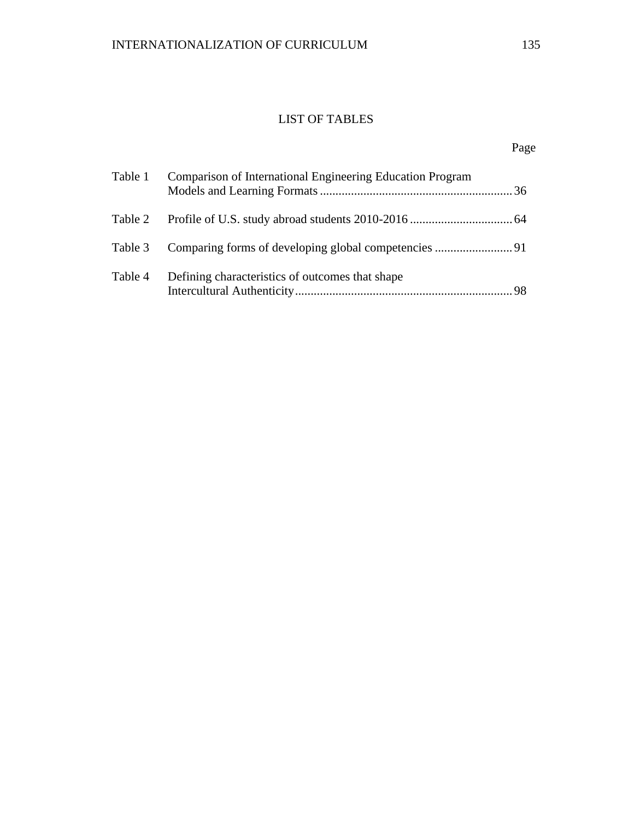## LIST OF TABLES

# Page

| Table 1 | Comparison of International Engineering Education Program |  |
|---------|-----------------------------------------------------------|--|
| Table 2 |                                                           |  |
| Table 3 |                                                           |  |
| Table 4 | Defining characteristics of outcomes that shape           |  |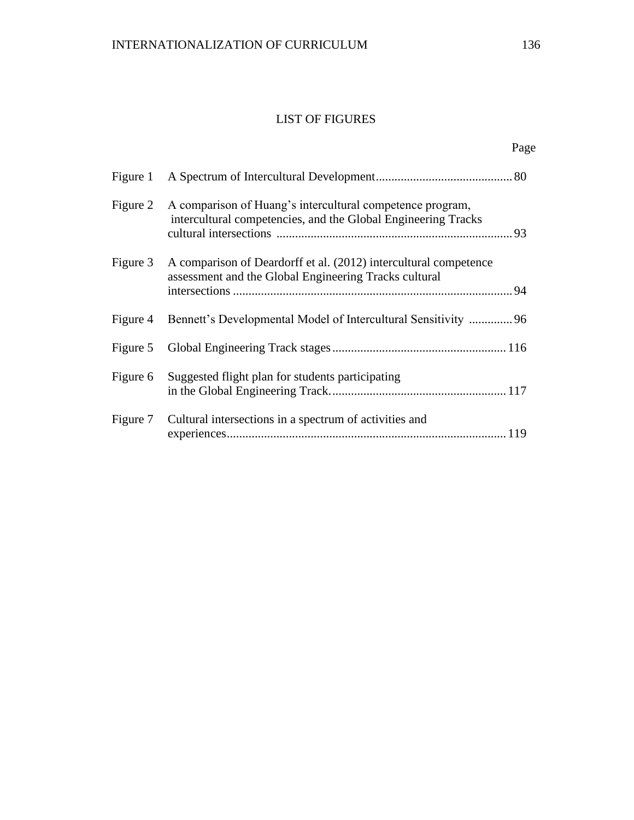## LIST OF FIGURES

| Figure 1 |                                                                                                                            |  |
|----------|----------------------------------------------------------------------------------------------------------------------------|--|
| Figure 2 | A comparison of Huang's intercultural competence program,<br>intercultural competencies, and the Global Engineering Tracks |  |
| Figure 3 | A comparison of Deardorff et al. (2012) intercultural competence<br>assessment and the Global Engineering Tracks cultural  |  |
| Figure 4 | Bennett's Developmental Model of Intercultural Sensitivity  96                                                             |  |
|          |                                                                                                                            |  |
|          | Figure 6 Suggested flight plan for students participating                                                                  |  |
| Figure 7 | Cultural intersections in a spectrum of activities and                                                                     |  |

Page